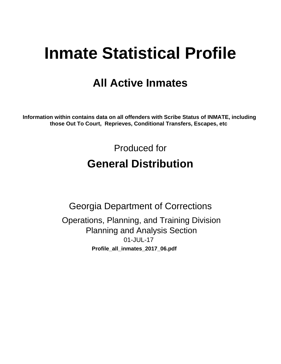# **Inmate Statistical Profile**

## **All Active Inmates**

Information within contains data on all offenders with Scribe Status of INMATE, including those Out To Court, Reprieves, Conditional Transfers, Escapes, etc

> Produced for **General Distribution**

**Georgia Department of Corrections** Operations, Planning, and Training Division **Planning and Analysis Section** 01-JUL-17 Profile\_all\_inmates\_2017\_06.pdf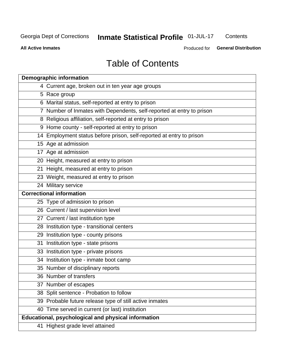## Inmate Statistical Profile 01-JUL-17

Contents

**All Active Inmates** 

Produced for General Distribution

## **Table of Contents**

| <b>Demographic information</b>                                        |
|-----------------------------------------------------------------------|
| 4 Current age, broken out in ten year age groups                      |
| 5 Race group                                                          |
| 6 Marital status, self-reported at entry to prison                    |
| 7 Number of Inmates with Dependents, self-reported at entry to prison |
| 8 Religious affiliation, self-reported at entry to prison             |
| 9 Home county - self-reported at entry to prison                      |
| 14 Employment status before prison, self-reported at entry to prison  |
| 15 Age at admission                                                   |
| 17 Age at admission                                                   |
| 20 Height, measured at entry to prison                                |
| 21 Height, measured at entry to prison                                |
| 23 Weight, measured at entry to prison                                |
| 24 Military service                                                   |
| <b>Correctional information</b>                                       |
| 25 Type of admission to prison                                        |
| 26 Current / last supervision level                                   |
| 27 Current / last institution type                                    |
| 28 Institution type - transitional centers                            |
| 29 Institution type - county prisons                                  |
| 31 Institution type - state prisons                                   |
| 33 Institution type - private prisons                                 |
| 34 Institution type - inmate boot camp                                |
| 35 Number of disciplinary reports                                     |
| 36 Number of transfers                                                |
| 37 Number of escapes                                                  |
| 38 Split sentence - Probation to follow                               |
| 39 Probable future release type of still active inmates               |
| 40 Time served in current (or last) institution                       |
| Educational, psychological and physical information                   |
| 41 Highest grade level attained                                       |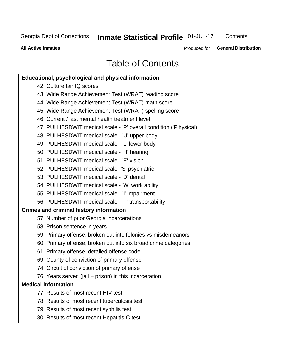## **Inmate Statistical Profile 01-JUL-17**

Contents

**All Active Inmates** 

Produced for **General Distribution** 

## **Table of Contents**

| <b>Educational, psychological and physical information</b>       |
|------------------------------------------------------------------|
| 42 Culture fair IQ scores                                        |
| 43 Wide Range Achievement Test (WRAT) reading score              |
| 44 Wide Range Achievement Test (WRAT) math score                 |
| 45 Wide Range Achievement Test (WRAT) spelling score             |
| 46 Current / last mental health treatment level                  |
| 47 PULHESDWIT medical scale - 'P' overall condition ('P'hysical) |
| 48 PULHESDWIT medical scale - 'U' upper body                     |
| 49 PULHESDWIT medical scale - 'L' lower body                     |
| 50 PULHESDWIT medical scale - 'H' hearing                        |
| 51 PULHESDWIT medical scale - 'E' vision                         |
| 52 PULHESDWIT medical scale -'S' psychiatric                     |
| 53 PULHESDWIT medical scale - 'D' dental                         |
| 54 PULHESDWIT medical scale - 'W' work ability                   |
| 55 PULHESDWIT medical scale - 'I' impairment                     |
| 56 PULHESDWIT medical scale - 'T' transportability               |
| <b>Crimes and criminal history information</b>                   |
| 57 Number of prior Georgia incarcerations                        |
| 58 Prison sentence in years                                      |
| 59 Primary offense, broken out into felonies vs misdemeanors     |
| 60 Primary offense, broken out into six broad crime categories   |
| 61 Primary offense, detailed offense code                        |
| 69 County of conviction of primary offense                       |
| 74 Circuit of conviction of primary offense                      |
| 76 Years served (jail + prison) in this incarceration            |
| <b>Medical information</b>                                       |
| 77 Results of most recent HIV test                               |
| 78 Results of most recent tuberculosis test                      |
| 79 Results of most recent syphilis test                          |
| 80 Results of most recent Hepatitis-C test                       |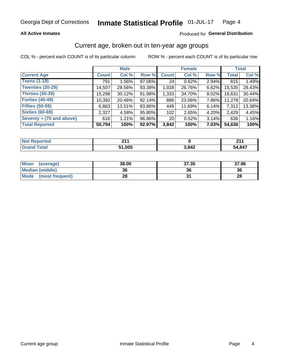#### **All Active Inmates**

#### Produced for General Distribution

### Current age, broken out in ten-year age groups

COL % - percent each COUNT is of its particular column

|                          | <b>Male</b>  |          |        | <b>Female</b>   |        |          | <b>Total</b> |        |
|--------------------------|--------------|----------|--------|-----------------|--------|----------|--------------|--------|
| <b>Current Age</b>       | <b>Count</b> | Col %    | Row %  | <b>Count</b>    | Col %  | Row %    | <b>Total</b> | Col %  |
| <b>Teens (1-19)</b>      | 791          | $1.56\%$ | 97.06% | 24              | 0.62%  | 2.94%    | 815          | 1.49%  |
| <b>Twenties (20-29)</b>  | 14,507       | 28.56%   | 93.38% | 1,028           | 26.76% | 6.62%    | 15,535       | 28.43% |
| <b>Thirties (30-39)</b>  | 15,298       | 30.12%   | 91.98% | 1,333           | 34.70% | 8.02%    | 16,631       | 30.44% |
| <b>Forties (40-49)</b>   | 10,392       | 20.46%   | 92.14% | 886             | 23.06% | 7.86%    | 11,278       | 20.64% |
| <b>Fifties (50-59)</b>   | 6,863        | 13.51%   | 93.86% | 449             | 11.69% | 6.14%    | 7,312        | 13.38% |
| <b>Sixties (60-69)</b>   | 2,327        | 4.58%    | 95.80% | 102             | 2.65%  | 4.20%    | 2,429        | 4.45%  |
| Seventy + (70 and above) | 616          | 1.21%    | 96.86% | 20 <sub>1</sub> | 0.52%  | 3.14%    | 636          | 1.16%  |
| <b>Total Reported</b>    | 50,794       | 100%     | 92.97% | 3,842           | 100%   | $7.03\%$ | 54,636       | 100%   |

| <b>Not Reported</b> | ີ 4.  |       | ົດ4 ^  |
|---------------------|-------|-------|--------|
| Total               | 1,005 | 3,842 | 54,847 |

| <b>Mean</b><br>(average) | 38.00 | 37.35 | 37.96 |
|--------------------------|-------|-------|-------|
| Median (middle)          | 36    | 36    | 36    |
| Mode<br>(most frequent)  | 28    |       | 28    |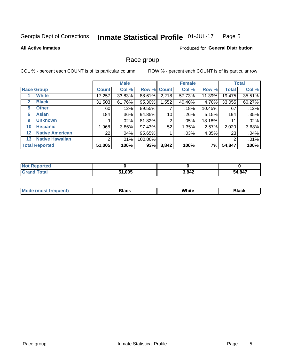#### Inmate Statistical Profile 01-JUL-17 Page 5

#### **All Active Inmates**

#### **Produced for General Distribution**

### Race group

COL % - percent each COUNT is of its particular column

|                   |                        |              | <b>Male</b> |         |             | <b>Female</b> |        |              | <b>Total</b> |  |
|-------------------|------------------------|--------------|-------------|---------|-------------|---------------|--------|--------------|--------------|--|
|                   | <b>Race Group</b>      | <b>Count</b> | Col %       |         | Row % Count | Col %         | Row %  | <b>Total</b> | Col %        |  |
|                   | <b>White</b>           | 17,257       | 33.83%      | 88.61%  | 2,218       | 57.73%        | 11.39% | 19,475       | 35.51%       |  |
| $\mathbf{2}$      | <b>Black</b>           | 31,503       | 61.76%      | 95.30%  | 1,552       | 40.40%        | 4.70%  | 33,055       | 60.27%       |  |
| 5.                | <b>Other</b>           | 60           | .12%        | 89.55%  |             | .18%          | 10.45% | 67           | .12%         |  |
| 6                 | <b>Asian</b>           | 184          | .36%        | 94.85%  | 10          | .26%          | 5.15%  | 194          | .35%         |  |
| 9                 | <b>Unknown</b>         | 9            | $.02\%$     | 81.82%  | 2           | .05%          | 18.18% | 11           | .02%         |  |
| 10                | <b>Hispanic</b>        | 1,968        | $3.86\%$    | 97.43%  | 52          | 1.35%         | 2.57%  | 2,020        | 3.68%        |  |
| $12 \overline{ }$ | <b>Native American</b> | 22           | .04%        | 95.65%  |             | .03%          | 4.35%  | 23           | .04%         |  |
| 13                | <b>Native Hawaiian</b> | 2            | .01%        | 100.00% |             |               |        | 2            | .01%         |  |
|                   | <b>Total Reported</b>  | 51,005       | 100%        | 93%     | 3,842       | 100%          | 7%     | 54,847       | 100%         |  |

| <b>Not Reported</b> |        |       |        |
|---------------------|--------|-------|--------|
| <b>Total</b>        | 51,005 | 3,842 | 54,847 |

| <b>Mode</b><br>---<br>most frequent) | Black | White | <b>Black</b> |
|--------------------------------------|-------|-------|--------------|
|                                      |       |       |              |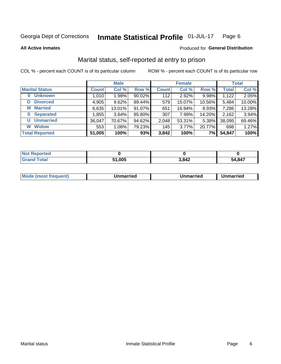#### Inmate Statistical Profile 01-JUL-17 Page 6

**All Active Inmates** 

#### Produced for General Distribution

### Marital status, self-reported at entry to prison

COL % - percent each COUNT is of its particular column

|                       | <b>Male</b>  |        |           | <b>Female</b> |        |        | <b>Total</b> |        |
|-----------------------|--------------|--------|-----------|---------------|--------|--------|--------------|--------|
| <b>Marital Status</b> | <b>Count</b> | Col %  | Row %     | <b>Count</b>  | Col %  | Row %  | <b>Total</b> | Col %  |
| <b>Unknown</b><br>0   | 1,010        | 1.98%  | $90.02\%$ | 112           | 2.92%  | 9.98%  | 1,122        | 2.05%  |
| <b>Divorced</b><br>D  | 4,905        | 9.62%  | 89.44%    | 579           | 15.07% | 10.56% | 5,484        | 10.00% |
| <b>Married</b><br>M   | 6,635        | 13.01% | 91.07%    | 651           | 16.94% | 8.93%  | 7,286        | 13.28% |
| <b>S</b> Separated    | 1,855        | 3.64%  | 85.80%    | 307           | 7.99%  | 14.20% | 2,162        | 3.94%  |
| <b>Unmarried</b><br>U | 36,047       | 70.67% | 94.62%    | 2,048         | 53.31% | 5.38%  | 38,095       | 69.46% |
| <b>Widow</b><br>W     | 553          | 1.08%  | 79.23%    | 145           | 3.77%  | 20.77% | 698          | 1.27%  |
| <b>Total Reported</b> | 51,005       | 100%   | 93%       | 3,842         | 100%   | 7%     | 54,847       | 100%   |

| orted<br>I NOT |            |       |        |
|----------------|------------|-------|--------|
| $\sim$<br>. Gr | $\sqrt{2}$ | 3,842 | 54.847 |

| <b>Mode (most frequent)</b><br>Unmarried<br>Unmarried<br>Jnmarried |
|--------------------------------------------------------------------|
|--------------------------------------------------------------------|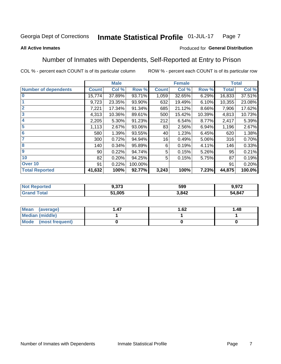#### **Inmate Statistical Profile 01-JUL-17** Page 7

#### **All Active Inmates**

#### Produced for General Distribution

### Number of Inmates with Dependents, Self-Reported at Entry to Prison

COL % - percent each COUNT is of its particular column

|                             |              | <b>Male</b> |         | <b>Female</b> |        |        | <b>Total</b> |        |
|-----------------------------|--------------|-------------|---------|---------------|--------|--------|--------------|--------|
| <b>Number of dependents</b> | <b>Count</b> | Col %       | Row %   | <b>Count</b>  | Col %  | Row %  | <b>Total</b> | Col %  |
| l 0                         | 15,774       | 37.89%      | 93.71%  | 1,059         | 32.65% | 6.29%  | 16,833       | 37.51% |
|                             | 9,723        | 23.35%      | 93.90%  | 632           | 19.49% | 6.10%  | 10,355       | 23.08% |
| $\overline{2}$              | 7,221        | 17.34%      | 91.34%  | 685           | 21.12% | 8.66%  | 7,906        | 17.62% |
| $\overline{\mathbf{3}}$     | 4,313        | 10.36%      | 89.61%  | 500           | 15.42% | 10.39% | 4,813        | 10.73% |
| 4                           | 2,205        | 5.30%       | 91.23%  | 212           | 6.54%  | 8.77%  | 2,417        | 5.39%  |
| 5                           | 1,113        | 2.67%       | 93.06%  | 83            | 2.56%  | 6.94%  | 1,196        | 2.67%  |
| 6                           | 580          | 1.39%       | 93.55%  | 40            | 1.23%  | 6.45%  | 620          | 1.38%  |
| 7                           | 300          | 0.72%       | 94.94%  | 16            | 0.49%  | 5.06%  | 316          | 0.70%  |
| 8                           | 140          | 0.34%       | 95.89%  | 6             | 0.19%  | 4.11%  | 146          | 0.33%  |
| 9                           | 90           | 0.22%       | 94.74%  | 5             | 0.15%  | 5.26%  | 95           | 0.21%  |
| 10                          | 82           | 0.20%       | 94.25%  | 5             | 0.15%  | 5.75%  | 87           | 0.19%  |
| Over 10                     | 91           | 0.22%       | 100.00% |               |        |        | 91           | 0.20%  |
| <b>Total Reported</b>       | 41,632       | 100%        | 92.77%  | 3,243         | 100%   | 7.23%  | 44,875       | 100.0% |

| - פרפ<br>9.JI J | 599  | 072    |
|-----------------|------|--------|
| 51,005          | ,842 | 54,847 |

| Mean (average)         | 1.62 | 1.48 |
|------------------------|------|------|
| <b>Median (middle)</b> |      |      |
| Mode (most frequent)   |      |      |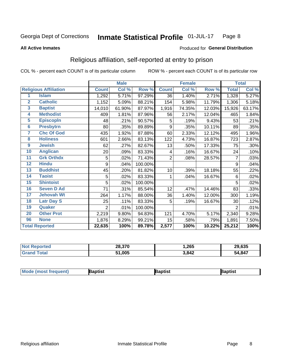#### Inmate Statistical Profile 01-JUL-17 Page 8

#### **All Active Inmates**

#### Produced for General Distribution

### Religious affiliation, self-reported at entry to prison

COL % - percent each COUNT is of its particular column

|                |                              |                | <b>Male</b> |         |                | <b>Female</b> |        |                | <b>Total</b> |
|----------------|------------------------------|----------------|-------------|---------|----------------|---------------|--------|----------------|--------------|
|                | <b>Religious Affiliation</b> | <b>Count</b>   | Col %       | Row %   | <b>Count</b>   | Col %         | Row %  | <b>Total</b>   | Col %        |
| 1              | <b>Islam</b>                 | 1,292          | 5.71%       | 97.29%  | 36             | 1.40%         | 2.71%  | 1,328          | 5.27%        |
| $\overline{2}$ | <b>Catholic</b>              | 1,152          | 5.09%       | 88.21%  | 154            | 5.98%         | 11.79% | 1,306          | 5.18%        |
| 3              | <b>Baptist</b>               | 14,010         | 61.90%      | 87.97%  | 1,916          | 74.35%        | 12.03% | 15,926         | 63.17%       |
| 4              | <b>Methodist</b>             | 409            | 1.81%       | 87.96%  | 56             | 2.17%         | 12.04% | 465            | 1.84%        |
| 5              | <b>EpiscopIn</b>             | 48             | .21%        | 90.57%  | 5              | .19%          | 9.43%  | 53             | .21%         |
| $6\phantom{a}$ | <b>Presbytrn</b>             | 80             | .35%        | 89.89%  | 9              | .35%          | 10.11% | 89             | .35%         |
| 7              | <b>Chc Of God</b>            | 435            | 1.92%       | 87.88%  | 60             | 2.33%         | 12.12% | 495            | 1.96%        |
| 8              | <b>Holiness</b>              | 601            | 2.66%       | 83.13%  | 122            | 4.73%         | 16.87% | 723            | 2.87%        |
| 9              | <b>Jewish</b>                | 62             | .27%        | 82.67%  | 13             | .50%          | 17.33% | 75             | .30%         |
| 10             | <b>Anglican</b>              | 20             | .09%        | 83.33%  | 4              | .16%          | 16.67% | 24             | .10%         |
| 11             | <b>Grk Orthdx</b>            | 5              | .02%        | 71.43%  | $\overline{2}$ | .08%          | 28.57% | 7              | .03%         |
| 12             | <b>Hindu</b>                 | 9              | .04%        | 100.00% |                |               |        | 9              | .04%         |
| 13             | <b>Buddhist</b>              | 45             | .20%        | 81.82%  | 10             | .39%          | 18.18% | 55             | .22%         |
| 14             | <b>Taoist</b>                | 5              | .02%        | 83.33%  | 1              | .04%          | 16.67% | 6              | .02%         |
| 15             | <b>Shintoist</b>             | 5              | .02%        | 100.00% |                |               |        | 5              | .02%         |
| 16             | <b>Seven D Ad</b>            | 71             | .31%        | 85.54%  | 12             | .47%          | 14.46% | 83             | .33%         |
| 17             | <b>Jehovah Wt</b>            | 264            | 1.17%       | 88.00%  | 36             | 1.40%         | 12.00% | 300            | 1.19%        |
| 18             | <b>Latr Day S</b>            | 25             | .11%        | 83.33%  | 5              | .19%          | 16.67% | 30             | .12%         |
| 19             | Quaker                       | $\overline{2}$ | .01%        | 100.00% |                |               |        | $\overline{2}$ | .01%         |
| 20             | <b>Other Prot</b>            | 2,219          | 9.80%       | 94.83%  | 121            | 4.70%         | 5.17%  | 2,340          | 9.28%        |
| 96             | <b>None</b>                  | 1,876          | 8.29%       | 99.21%  | 15             | .58%          | .79%   | 1,891          | 7.50%        |
|                | <b>Total Reported</b>        | 22,635         | 100%        | 89.78%  | 2,577          | 100%          | 10.22% | 25,212         | 100%         |

| <b>Reported</b><br><b>N</b> | 28,370       | .265  | 29,635 |
|-----------------------------|--------------|-------|--------|
| otal                        | 51,005<br>64 | 3,842 | 54,847 |

|  | Moc<br>de (most frequent) | aptist | 3aptist | 3aptist |
|--|---------------------------|--------|---------|---------|
|--|---------------------------|--------|---------|---------|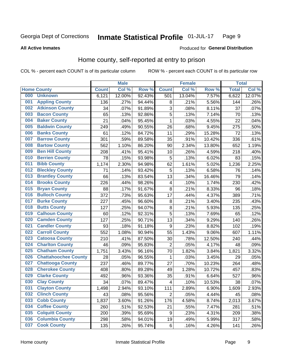#### Inmate Statistical Profile 01-JUL-17 Page 9

**All Active Inmates** 

#### Produced for General Distribution

### Home county, self-reported at entry to prison

COL % - percent each COUNT is of its particular column

|     |                             |              | <b>Male</b> |        |                         | <b>Female</b> |        | <b>Total</b> |        |
|-----|-----------------------------|--------------|-------------|--------|-------------------------|---------------|--------|--------------|--------|
|     | <b>Home County</b>          | <b>Count</b> | Col %       | Row %  | <b>Count</b>            | Col %         | Row %  | <b>Total</b> | Col %  |
| 000 | <b>Unknown</b>              | 6,121        | 12.00%      | 92.43% | 501                     | 13.04%        | 7.57%  | 6,622        | 12.07% |
| 001 | <b>Appling County</b>       | 136          | .27%        | 94.44% | 8                       | .21%          | 5.56%  | 144          | .26%   |
| 002 | <b>Atkinson County</b>      | 34           | .07%        | 91.89% | 3                       | .08%          | 8.11%  | 37           | .07%   |
| 003 | <b>Bacon County</b>         | 65           | .13%        | 92.86% | 5                       | .13%          | 7.14%  | 70           | .13%   |
| 004 | <b>Baker County</b>         | 21           | .04%        | 95.45% | $\mathbf{1}$            | .03%          | 4.55%  | 22           | .04%   |
| 005 | <b>Baldwin County</b>       | 249          | .49%        | 90.55% | 26                      | .68%          | 9.45%  | 275          | .50%   |
| 006 | <b>Banks County</b>         | 61           | .12%        | 84.72% | 11                      | .29%          | 15.28% | 72           | .13%   |
| 007 | <b>Barrow County</b>        | 301          | .59%        | 89.58% | 35                      | .91%          | 10.42% | 336          | .61%   |
| 008 | <b>Bartow County</b>        | 562          | 1.10%       | 86.20% | 90                      | 2.34%         | 13.80% | 652          | 1.19%  |
| 009 | <b>Ben Hill County</b>      | 208          | .41%        | 95.41% | 10                      | .26%          | 4.59%  | 218          | .40%   |
| 010 | <b>Berrien County</b>       | 78           | .15%        | 93.98% | 5                       | .13%          | 6.02%  | 83           | .15%   |
| 011 | <b>Bibb County</b>          | 1,174        | 2.30%       | 94.98% | 62                      | 1.61%         | 5.02%  | 1,236        | 2.25%  |
| 012 | <b>Bleckley County</b>      | 71           | .14%        | 93.42% | 5                       | .13%          | 6.58%  | 76           | .14%   |
| 013 | <b>Brantley County</b>      | 66           | .13%        | 83.54% | 13                      | .34%          | 16.46% | 79           | .14%   |
| 014 | <b>Brooks County</b>        | 226          | .44%        | 98.26% | $\overline{4}$          | .10%          | 1.74%  | 230          | .42%   |
| 015 | <b>Bryan County</b>         | 88           | .17%        | 91.67% | 8                       | .21%          | 8.33%  | 96           | .18%   |
| 016 | <b>Bulloch County</b>       | 372          | .73%        | 95.63% | 17                      | .44%          | 4.37%  | 389          | .71%   |
| 017 | <b>Burke County</b>         | 227          | .45%        | 96.60% | $\bf 8$                 | .21%          | 3.40%  | 235          | .43%   |
| 018 | <b>Butts County</b>         | 127          | .25%        | 94.07% | $\bf 8$                 | .21%          | 5.93%  | 135          | .25%   |
| 019 | <b>Calhoun County</b>       | 60           | .12%        | 92.31% | 5                       | .13%          | 7.69%  | 65           | .12%   |
| 020 | <b>Camden County</b>        | 127          | .25%        | 90.71% | 13                      | .34%          | 9.29%  | 140          | .26%   |
| 021 | <b>Candler County</b>       | 93           | .18%        | 91.18% | $\boldsymbol{9}$        | .23%          | 8.82%  | 102          | .19%   |
| 022 | <b>Carroll County</b>       | 552          | 1.08%       | 90.94% | 55                      | 1.43%         | 9.06%  | 607          | 1.11%  |
| 023 | <b>Catoosa County</b>       | 210          | .41%        | 87.50% | 30                      | .78%          | 12.50% | 240          | .44%   |
| 024 | <b>Charlton County</b>      | 46           | .09%        | 95.83% | 2                       | .05%          | 4.17%  | 48           | .09%   |
| 025 | <b>Chatham County</b>       | 1,751        | 3.43%       | 96.16% | 70                      | 1.82%         | 3.84%  | 1,821        | 3.32%  |
| 026 | <b>Chattahoochee County</b> | 28           | .05%        | 96.55% | 1                       | .03%          | 3.45%  | 29           | .05%   |
| 027 | <b>Chattooga County</b>     | 237          | .46%        | 89.77% | 27                      | .70%          | 10.23% | 264          | .48%   |
| 028 | <b>Cherokee County</b>      | 408          | .80%        | 89.28% | 49                      | 1.28%         | 10.72% | 457          | .83%   |
| 029 | <b>Clarke County</b>        | 492          | .96%        | 93.36% | 35                      | .91%          | 6.64%  | 527          | .96%   |
| 030 | <b>Clay County</b>          | 34           | .07%        | 89.47% | $\overline{\mathbf{4}}$ | .10%          | 10.53% | 38           | .07%   |
| 031 | <b>Clayton County</b>       | 1,498        | 2.94%       | 93.10% | 111                     | 2.89%         | 6.90%  | 1,609        | 2.93%  |
| 032 | <b>Clinch County</b>        | 43           | .08%        | 95.56% | $\overline{2}$          | .05%          | 4.44%  | 45           | .08%   |
| 033 | <b>Cobb County</b>          | 1,837        | 3.60%       | 91.26% | 176                     | 4.58%         | 8.74%  | 2,013        | 3.67%  |
| 034 | <b>Coffee County</b>        | 260          | .51%        | 92.53% | 21                      | .55%          | 7.47%  | 281          | .51%   |
| 035 | <b>Colquitt County</b>      | 200          | .39%        | 95.69% | $\boldsymbol{9}$        | .23%          | 4.31%  | 209          | .38%   |
| 036 | <b>Columbia County</b>      | 298          | .58%        | 94.01% | 19                      | .49%          | 5.99%  | 317          | .58%   |
| 037 | <b>Cook County</b>          | 135          | .26%        | 95.74% | $\,6$                   | .16%          | 4.26%  | 141          | .26%   |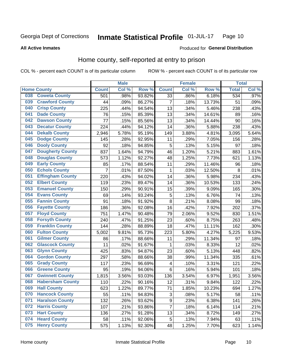#### Inmate Statistical Profile 01-JUL-17 Page 10

#### **All Active Inmates**

#### Produced for General Distribution

### Home county, self-reported at entry to prison

COL % - percent each COUNT is of its particular column

|     |                         |              | <b>Male</b> |        |                 | <b>Female</b> |        | <b>Total</b> |       |
|-----|-------------------------|--------------|-------------|--------|-----------------|---------------|--------|--------------|-------|
|     | <b>Home County</b>      | <b>Count</b> | Col %       | Row %  | <b>Count</b>    | Col %         | Row %  | <b>Total</b> | Col % |
| 038 | <b>Coweta County</b>    | 501          | .98%        | 93.82% | $\overline{33}$ | .86%          | 6.18%  | 534          | .97%  |
| 039 | <b>Crawford County</b>  | 44           | .09%        | 86.27% | 7               | .18%          | 13.73% | 51           | .09%  |
| 040 | <b>Crisp County</b>     | 225          | .44%        | 94.54% | 13              | .34%          | 5.46%  | 238          | .43%  |
| 041 | <b>Dade County</b>      | 76           | .15%        | 85.39% | 13              | .34%          | 14.61% | 89           | .16%  |
| 042 | <b>Dawson County</b>    | 77           | .15%        | 85.56% | 13              | .34%          | 14.44% | 90           | .16%  |
| 043 | <b>Decatur County</b>   | 224          | .44%        | 94.12% | 14              | .36%          | 5.88%  | 238          | .43%  |
| 044 | <b>Dekalb County</b>    | 2,946        | 5.78%       | 95.19% | 149             | 3.88%         | 4.81%  | 3,095        | 5.64% |
| 045 | <b>Dodge County</b>     | 145          | .28%        | 92.95% | 11              | .29%          | 7.05%  | 156          | .28%  |
| 046 | <b>Dooly County</b>     | 92           | .18%        | 94.85% | 5               | .13%          | 5.15%  | 97           | .18%  |
| 047 | <b>Dougherty County</b> | 837          | 1.64%       | 94.79% | 46              | 1.20%         | 5.21%  | 883          | 1.61% |
| 048 | <b>Douglas County</b>   | 573          | 1.12%       | 92.27% | 48              | 1.25%         | 7.73%  | 621          | 1.13% |
| 049 | <b>Early County</b>     | 85           | .17%        | 88.54% | 11              | .29%          | 11.46% | 96           | .18%  |
| 050 | <b>Echols County</b>    | 7            | .01%        | 87.50% | $\mathbf 1$     | .03%          | 12.50% | 8            | .01%  |
| 051 | <b>Effingham County</b> | 220          | .43%        | 94.02% | 14              | .36%          | 5.98%  | 234          | .43%  |
| 052 | <b>Elbert County</b>    | 119          | .23%        | 89.47% | 14              | .36%          | 10.53% | 133          | .24%  |
| 053 | <b>Emanuel County</b>   | 150          | .29%        | 90.91% | 15              | .39%          | 9.09%  | 165          | .30%  |
| 054 | <b>Evans County</b>     | 69           | .14%        | 93.24% | 5               | .13%          | 6.76%  | 74           | .13%  |
| 055 | <b>Fannin County</b>    | 91           | .18%        | 91.92% | 8               | .21%          | 8.08%  | 99           | .18%  |
| 056 | <b>Fayette County</b>   | 186          | .36%        | 92.08% | 16              | .42%          | 7.92%  | 202          | .37%  |
| 057 | <b>Floyd County</b>     | 751          | 1.47%       | 90.48% | 79              | 2.06%         | 9.52%  | 830          | 1.51% |
| 058 | <b>Forsyth County</b>   | 240          | .47%        | 91.25% | 23              | .60%          | 8.75%  | 263          | .48%  |
| 059 | <b>Franklin County</b>  | 144          | .28%        | 88.89% | 18              | .47%          | 11.11% | 162          | .30%  |
| 060 | <b>Fulton County</b>    | 5,002        | 9.81%       | 95.73% | 223             | 5.80%         | 4.27%  | 5,225        | 9.53% |
| 061 | <b>Gilmer County</b>    | 86           | .17%        | 88.66% | 11              | .29%          | 11.34% | 97           | .18%  |
| 062 | <b>Glascock County</b>  | 11           | .02%        | 91.67% | 1               | .03%          | 8.33%  | 12           | .02%  |
| 063 | <b>Glynn County</b>     | 425          | .83%        | 94.87% | 23              | .60%          | 5.13%  | 448          | .82%  |
| 064 | <b>Gordon County</b>    | 297          | .58%        | 88.66% | 38              | .99%          | 11.34% | 335          | .61%  |
| 065 | <b>Grady County</b>     | 117          | .23%        | 96.69% | 4               | .10%          | 3.31%  | 121          | .22%  |
| 066 | <b>Greene County</b>    | 95           | .19%        | 94.06% | 6               | .16%          | 5.94%  | 101          | .18%  |
| 067 | <b>Gwinnett County</b>  | 1,815        | 3.56%       | 93.03% | 136             | 3.54%         | 6.97%  | 1,951        | 3.56% |
| 068 | <b>Habersham County</b> | 110          | .22%        | 90.16% | 12              | .31%          | 9.84%  | 122          | .22%  |
| 069 | <b>Hall County</b>      | 623          | 1.22%       | 89.77% | 71              | 1.85%         | 10.23% | 694          | 1.27% |
| 070 | <b>Hancock County</b>   | 55           | .11%        | 94.83% | 3               | .08%          | 5.17%  | 58           | .11%  |
| 071 | <b>Haralson County</b>  | 132          | .26%        | 93.62% | 9               | .23%          | 6.38%  | 141          | .26%  |
| 072 | <b>Harris County</b>    | 107          | .21%        | 93.86% | $\overline{7}$  | .18%          | 6.14%  | 114          | .21%  |
| 073 | <b>Hart County</b>      | 136          | .27%        | 91.28% | 13              | .34%          | 8.72%  | 149          | .27%  |
| 074 | <b>Heard County</b>     | 58           | .11%        | 92.06% | 5               | .13%          | 7.94%  | 63           | .11%  |
| 075 | <b>Henry County</b>     | 575          | 1.13%       | 92.30% | 48              | 1.25%         | 7.70%  | 623          | 1.14% |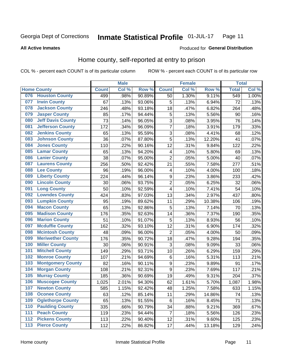#### **Inmate Statistical Profile 01-JUL-17** Page 11

**All Active Inmates** 

#### Produced for General Distribution

### Home county, self-reported at entry to prison

COL % - percent each COUNT is of its particular column

|     |                          |              | <b>Male</b> |        |                         | <b>Female</b> |        | <b>Total</b> |       |
|-----|--------------------------|--------------|-------------|--------|-------------------------|---------------|--------|--------------|-------|
|     | <b>Home County</b>       | <b>Count</b> | Col%        | Row %  | <b>Count</b>            | Col %         | Row %  | <b>Total</b> | Col % |
| 076 | <b>Houston County</b>    | 499          | .98%        | 90.89% | 50                      | 1.30%         | 9.11%  | 549          | 1.00% |
| 077 | <b>Irwin County</b>      | 67           | .13%        | 93.06% | 5                       | .13%          | 6.94%  | 72           | .13%  |
| 078 | <b>Jackson County</b>    | 246          | .48%        | 93.18% | 18                      | .47%          | 6.82%  | 264          | .48%  |
| 079 | <b>Jasper County</b>     | 85           | .17%        | 94.44% | 5                       | .13%          | 5.56%  | 90           | .16%  |
| 080 | <b>Jeff Davis County</b> | 73           | .14%        | 96.05% | 3                       | .08%          | 3.95%  | 76           | .14%  |
| 081 | <b>Jefferson County</b>  | 172          | .34%        | 96.09% | $\overline{7}$          | .18%          | 3.91%  | 179          | .33%  |
| 082 | <b>Jenkins County</b>    | 65           | .13%        | 95.59% | 3                       | .08%          | 4.41%  | 68           | .12%  |
| 083 | <b>Johnson County</b>    | 36           | .07%        | 87.80% | 5                       | .13%          | 12.20% | 41           | .07%  |
| 084 | <b>Jones County</b>      | 110          | .22%        | 90.16% | 12                      | .31%          | 9.84%  | 122          | .22%  |
| 085 | <b>Lamar County</b>      | 65           | .13%        | 94.20% | 4                       | .10%          | 5.80%  | 69           | .13%  |
| 086 | <b>Lanier County</b>     | 38           | .07%        | 95.00% | $\overline{2}$          | .05%          | 5.00%  | 40           | .07%  |
| 087 | <b>Laurens County</b>    | 256          | .50%        | 92.42% | 21                      | .55%          | 7.58%  | 277          | .51%  |
| 088 | <b>Lee County</b>        | 96           | .19%        | 96.00% | $\overline{\mathbf{4}}$ | .10%          | 4.00%  | 100          | .18%  |
| 089 | <b>Liberty County</b>    | 224          | .44%        | 96.14% | $\overline{9}$          | .23%          | 3.86%  | 233          | .42%  |
| 090 | <b>Lincoln County</b>    | 30           | .06%        | 93.75% | $\overline{c}$          | .05%          | 6.25%  | 32           | .06%  |
| 091 | <b>Long County</b>       | 50           | .10%        | 92.59% | $\overline{\mathbf{4}}$ | .10%          | 7.41%  | 54           | .10%  |
| 092 | <b>Lowndes County</b>    | 424          | .83%        | 97.03% | 13                      | .34%          | 2.97%  | 437          | .80%  |
| 093 | <b>Lumpkin County</b>    | 95           | .19%        | 89.62% | 11                      | .29%          | 10.38% | 106          | .19%  |
| 094 | <b>Macon County</b>      | 65           | .13%        | 92.86% | 5                       | .13%          | 7.14%  | 70           | .13%  |
| 095 | <b>Madison County</b>    | 176          | .35%        | 92.63% | 14                      | .36%          | 7.37%  | 190          | .35%  |
| 096 | <b>Marion County</b>     | 51           | .10%        | 91.07% | 5                       | .13%          | 8.93%  | 56           | .10%  |
| 097 | <b>Mcduffie County</b>   | 162          | .32%        | 93.10% | 12                      | .31%          | 6.90%  | 174          | .32%  |
| 098 | <b>Mcintosh County</b>   | 48           | .09%        | 96.00% | $\overline{2}$          | .05%          | 4.00%  | 50           | .09%  |
| 099 | <b>Meriwether County</b> | 176          | .35%        | 90.72% | 18                      | .47%          | 9.28%  | 194          | .35%  |
| 100 | <b>Miller County</b>     | 30           | .06%        | 90.91% | 3                       | .08%          | 9.09%  | 33           | .06%  |
| 101 | <b>Mitchell County</b>   | 149          | .29%        | 93.71% | 10                      | .26%          | 6.29%  | 159          | .29%  |
| 102 | <b>Monroe County</b>     | 107          | .21%        | 94.69% | $\,6$                   | .16%          | 5.31%  | 113          | .21%  |
| 103 | <b>Montgomery County</b> | 82           | .16%        | 90.11% | $\boldsymbol{9}$        | .23%          | 9.89%  | 91           | .17%  |
| 104 | <b>Morgan County</b>     | 108          | .21%        | 92.31% | $\boldsymbol{9}$        | .23%          | 7.69%  | 117          | .21%  |
| 105 | <b>Murray County</b>     | 185          | .36%        | 90.69% | 19                      | .49%          | 9.31%  | 204          | .37%  |
| 106 | <b>Muscogee County</b>   | 1,025        | 2.01%       | 94.30% | 62                      | 1.61%         | 5.70%  | 1,087        | 1.98% |
| 107 | <b>Newton County</b>     | 585          | 1.15%       | 92.42% | 48                      | 1.25%         | 7.58%  | 633          | 1.15% |
| 108 | <b>Oconee County</b>     | 63           | .12%        | 85.14% | 11                      | .29%          | 14.86% | 74           | .13%  |
| 109 | <b>Oglethorpe County</b> | 65           | .13%        | 91.55% | 6                       | .16%          | 8.45%  | 71           | .13%  |
| 110 | <b>Paulding County</b>   | 335          | .66%        | 90.79% | 34                      | .88%          | 9.21%  | 369          | .67%  |
| 111 | <b>Peach County</b>      | 119          | .23%        | 94.44% | $\overline{7}$          | .18%          | 5.56%  | 126          | .23%  |
| 112 | <b>Pickens County</b>    | 113          | .22%        | 90.40% | 12                      | .31%          | 9.60%  | 125          | .23%  |
| 113 | <b>Pierce County</b>     | 112          | .22%        | 86.82% | 17                      | .44%          | 13.18% | 129          | .24%  |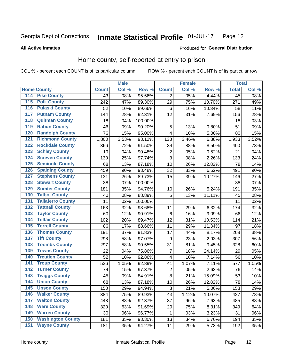#### Inmate Statistical Profile 01-JUL-17 Page 12

**All Active Inmates** 

#### Produced for General Distribution

### Home county, self-reported at entry to prison

COL % - percent each COUNT is of its particular column

|                  |                          |              | <b>Male</b> |         |                         | <b>Female</b> |        | <b>Total</b> |       |
|------------------|--------------------------|--------------|-------------|---------|-------------------------|---------------|--------|--------------|-------|
|                  | <b>Home County</b>       | <b>Count</b> | Col %       | Row %   | <b>Count</b>            | Col %         | Row %  | <b>Total</b> | Col % |
| 114              | <b>Pike County</b>       | 43           | .08%        | 95.56%  | $\overline{2}$          | .05%          | 4.44%  | 45           | .08%  |
| $\overline{115}$ | <b>Polk County</b>       | 242          | .47%        | 89.30%  | 29                      | .75%          | 10.70% | 271          | .49%  |
| 116              | <b>Pulaski County</b>    | 52           | .10%        | 89.66%  | $\,6$                   | .16%          | 10.34% | 58           | .11%  |
| 117              | <b>Putnam County</b>     | 144          | .28%        | 92.31%  | 12                      | .31%          | 7.69%  | 156          | .28%  |
| 118              | <b>Quitman County</b>    | 18           | .04%        | 100.00% |                         |               |        | 18           | .03%  |
| 119              | <b>Rabun County</b>      | 46           | .09%        | 90.20%  | 5                       | .13%          | 9.80%  | 51           | .09%  |
| 120              | <b>Randolph County</b>   | 76           | .15%        | 95.00%  | $\overline{\mathbf{4}}$ | .10%          | 5.00%  | 80           | .15%  |
| 121              | <b>Richmond County</b>   | 1,800        | 3.53%       | 93.12%  | 133                     | 3.46%         | 6.88%  | 1,933        | 3.52% |
| 122              | <b>Rockdale County</b>   | 366          | .72%        | 91.50%  | 34                      | .88%          | 8.50%  | 400          | .73%  |
| 123              | <b>Schley County</b>     | 19           | .04%        | 90.48%  | $\mathbf 2$             | .05%          | 9.52%  | 21           | .04%  |
| 124              | <b>Screven County</b>    | 130          | .25%        | 97.74%  | $\overline{3}$          | .08%          | 2.26%  | 133          | .24%  |
| 125              | <b>Seminole County</b>   | 68           | .13%        | 87.18%  | 10                      | .26%          | 12.82% | 78           | .14%  |
| 126              | <b>Spalding County</b>   | 459          | .90%        | 93.48%  | 32                      | .83%          | 6.52%  | 491          | .90%  |
| 127              | <b>Stephens County</b>   | 131          | .26%        | 89.73%  | 15                      | .39%          | 10.27% | 146          | .27%  |
| 128              | <b>Stewart County</b>    | 38           | .07%        | 100.00% |                         |               |        | 38           | .07%  |
| 129              | <b>Sumter County</b>     | 181          | .35%        | 94.76%  | 10                      | .26%          | 5.24%  | 191          | .35%  |
| 130              | <b>Talbot County</b>     | 40           | .08%        | 88.89%  | 5                       | .13%          | 11.11% | 45           | .08%  |
| 131              | <b>Taliaferro County</b> | 11           | .02%        | 100.00% |                         |               |        | 11           | .02%  |
| 132              | <b>Tattnall County</b>   | 163          | .32%        | 93.68%  | 11                      | .29%          | 6.32%  | 174          | .32%  |
| 133              | <b>Taylor County</b>     | 60           | .12%        | 90.91%  | $\,6$                   | .16%          | 9.09%  | 66           | .12%  |
| 134              | <b>Telfair County</b>    | 102          | .20%        | 89.47%  | 12                      | .31%          | 10.53% | 114          | .21%  |
| 135              | <b>Terrell County</b>    | 86           | .17%        | 88.66%  | 11                      | .29%          | 11.34% | 97           | .18%  |
| 136              | <b>Thomas County</b>     | 191          | .37%        | 91.83%  | 17                      | .44%          | 8.17%  | 208          | .38%  |
| 137              | <b>Tift County</b>       | 298          | .58%        | 97.07%  | $\boldsymbol{9}$        | .23%          | 2.93%  | 307          | .56%  |
| 138              | <b>Toombs County</b>     | 297          | .58%        | 90.55%  | 31                      | .81%          | 9.45%  | 328          | .60%  |
| 139              | <b>Towns County</b>      | 22           | .04%        | 75.86%  | $\overline{7}$          | .18%          | 24.14% | 29           | .05%  |
| 140              | <b>Treutlen County</b>   | 52           | .10%        | 92.86%  | $\overline{\mathbf{4}}$ | .10%          | 7.14%  | 56           | .10%  |
| 141              | <b>Troup County</b>      | 536          | 1.05%       | 92.89%  | 41                      | 1.07%         | 7.11%  | 577          | 1.05% |
| $\overline{142}$ | <b>Turner County</b>     | 74           | .15%        | 97.37%  | $\overline{\mathbf{c}}$ | .05%          | 2.63%  | 76           | .14%  |
| 143              | <b>Twiggs County</b>     | 45           | .09%        | 84.91%  | $\bf 8$                 | .21%          | 15.09% | 53           | .10%  |
| 144              | <b>Union County</b>      | 68           | .13%        | 87.18%  | 10                      | .26%          | 12.82% | 78           | .14%  |
| 145              | <b>Upson County</b>      | 150          | .29%        | 94.94%  | 8                       | .21%          | 5.06%  | 158          | .29%  |
| 146              | <b>Walker County</b>     | 384          | .75%        | 89.93%  | 43                      | 1.12%         | 10.07% | 427          | .78%  |
| 147              | <b>Walton County</b>     | 448          | .88%        | 92.37%  | 37                      | .96%          | 7.63%  | 485          | .88%  |
| 148              | <b>Ware County</b>       | 320          | .63%        | 91.69%  | 29                      | .75%          | 8.31%  | 349          | .64%  |
| 149              | <b>Warren County</b>     | 30           | .06%        | 96.77%  | 1                       | .03%          | 3.23%  | 31           | .06%  |
| 150              | <b>Washington County</b> | 181          | .35%        | 93.30%  | 13                      | .34%          | 6.70%  | 194          | .35%  |
| 151              | <b>Wayne County</b>      | 181          | .35%        | 94.27%  | 11                      | .29%          | 5.73%  | 192          | .35%  |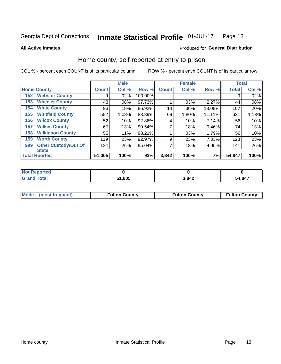#### Inmate Statistical Profile 01-JUL-17 Page 13

#### **All Active Inmates**

#### Produced for General Distribution

### Home county, self-reported at entry to prison

COL % - percent each COUNT is of its particular column

|     |                             |              | <b>Male</b> |         |              | <b>Female</b> |        | <b>Total</b> |       |
|-----|-----------------------------|--------------|-------------|---------|--------------|---------------|--------|--------------|-------|
|     | <b>Home County</b>          | <b>Count</b> | Col %       | Row %   | <b>Count</b> | Col %         | Row %  | Total        | Col % |
| 152 | <b>Webster County</b>       | 9            | .02%        | 100.00% |              |               |        | 9            | .02%  |
| 153 | <b>Wheeler County</b>       | 43           | .08%        | 97.73%  |              | .03%          | 2.27%  | 44           | .08%  |
| 154 | <b>White County</b>         | 93           | .18%        | 86.92%  | 14           | .36%          | 13.08% | 107          | .20%  |
| 155 | <b>Whitfield County</b>     | 552          | 1.08%       | 88.89%  | 69           | 1.80%         | 11.11% | 621          | 1.13% |
| 156 | <b>Wilcox County</b>        | 52           | .10%        | 92.86%  | 4            | .10%          | 7.14%  | 56           | .10%  |
| 157 | <b>Wilkes County</b>        | 67           | .13%        | 90.54%  | 7            | .18%          | 9.46%  | 74           | .13%  |
| 158 | <b>Wilkinson County</b>     | 55           | $.11\%$     | 98.21%  | 1            | $.03\%$       | 1.79%  | 56           | .10%  |
| 159 | <b>Worth County</b>         | 119          | .23%        | 92.97%  | 9            | .23%          | 7.03%  | 128          | .23%  |
| 999 | <b>Other Custody/Out Of</b> | 134          | .26%        | 95.04%  | 7            | .18%          | 4.96%  | 141          | .26%  |
|     | <b>State</b>                |              |             |         |              |               |        |              |       |
|     | <b>Total Rported</b>        | 51,005       | 100%        | 93%     | 3,842        | 100%          | 7%     | 54,847       | 100%  |

| 'Not<br><b>Reported</b> |        |       |        |
|-------------------------|--------|-------|--------|
| <b>Total</b>            | 51,005 | 3,842 | 54,847 |

| Mode (most frequent) | <b>Fulton County</b> | <b>Fulton County</b> | <b>Fulton County</b> |
|----------------------|----------------------|----------------------|----------------------|
|                      |                      |                      |                      |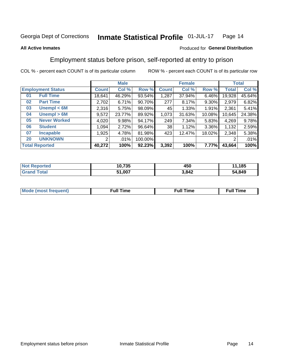#### Inmate Statistical Profile 01-JUL-17 Page 14

#### **All Active Inmates**

#### Produced for General Distribution

### Employment status before prison, self-reported at entry to prison

COL % - percent each COUNT is of its particular column

|                           |              | <b>Male</b> |         |                 | <b>Female</b> |        |        | <b>Total</b> |
|---------------------------|--------------|-------------|---------|-----------------|---------------|--------|--------|--------------|
| <b>Employment Status</b>  | <b>Count</b> | Col %       | Row %   | <b>Count</b>    | Col %         | Row %  | Total  | Col %        |
| <b>Full Time</b><br>01    | 18,641       | 46.29%      | 93.54%  | 1,287           | 37.94%        | 6.46%  | 19,928 | 45.64%       |
| <b>Part Time</b><br>02    | 2,702        | 6.71%       | 90.70%  | 277             | 8.17%         | 9.30%  | 2,979  | 6.82%        |
| Unempl $<$ 6M<br>03       | 2,316        | 5.75%       | 98.09%  | 45              | 1.33%         | 1.91%  | 2,361  | 5.41%        |
| Unempl > 6M<br>04         | 9,572        | 23.77%      | 89.92%  | 1,073           | 31.63%        | 10.08% | 10,645 | 24.38%       |
| <b>Never Worked</b><br>05 | 4,020        | 9.98%       | 94.17%  | 249             | 7.34%         | 5.83%  | 4,269  | 9.78%        |
| <b>Student</b><br>06      | 1.094        | 2.72%       | 96.64%  | 38 <sup>1</sup> | 1.12%         | 3.36%  | 1,132  | 2.59%        |
| 07<br><b>Incapable</b>    | ,925         | 4.78%       | 81.98%  | 423             | 12.47%        | 18.02% | 2,348  | 5.38%        |
| <b>UNKNOWN</b><br>20      | 2            | .01%        | 100.00% |                 |               |        | 2      | .01%         |
| <b>Total Reported</b>     | 40,272       | 100%        | 92.23%  | 3,392           | 100%          | 7.77%  | 43,664 | 100%         |

| <b>Not Reported</b> | 10,735 | 450   | 11,185 |
|---------------------|--------|-------|--------|
| <b>Grand Total</b>  | 51,007 | 3,842 | 54,849 |

| <b>Mode (most frequent)</b> | $^{\prime\prime}$ Time | <b>Time</b><br>rull i |
|-----------------------------|------------------------|-----------------------|
|                             |                        |                       |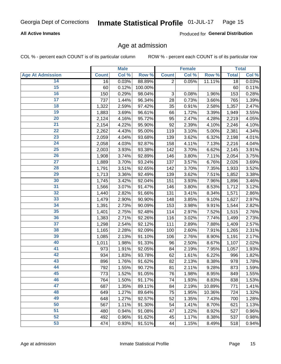#### **All Active Inmates**

Produced for General Distribution

### Age at admission

COL % - percent each COUNT is of its particular column

|                         |              | <b>Male</b> |         |                           | <b>Female</b> |        |              | <b>Total</b> |
|-------------------------|--------------|-------------|---------|---------------------------|---------------|--------|--------------|--------------|
| <b>Age At Admission</b> | <b>Count</b> | Col %       | Row %   | <b>Count</b>              | Col %         | Row %  | <b>Total</b> | Col %        |
| 14                      | 16           | 0.03%       | 88.89%  | $\overline{2}$            | 0.05%         | 11.11% | 18           | 0.03%        |
| 15                      | 60           | 0.12%       | 100.00% |                           |               |        | 60           | 0.11%        |
| 16                      | 150          | 0.29%       | 98.04%  | $\ensuremath{\mathsf{3}}$ | 0.08%         | 1.96%  | 153          | 0.28%        |
| $\overline{17}$         | 737          | 1.44%       | 96.34%  | 28                        | 0.73%         | 3.66%  | 765          | 1.39%        |
| $\overline{18}$         | 1,322        | 2.59%       | 97.42%  | 35                        | 0.91%         | 2.58%  | 1,357        | 2.47%        |
| 19                      | 1,883        | 3.69%       | 96.61%  | 66                        | 1.72%         | 3.39%  | 1,949        | 3.55%        |
| 20                      | 2,124        | 4.16%       | 95.72%  | 95                        | 2.47%         | 4.28%  | 2,219        | 4.05%        |
| $\overline{21}$         | 2,154        | 4.22%       | 95.90%  | 92                        | 2.39%         | 4.10%  | 2,246        | 4.10%        |
| $\overline{22}$         | 2,262        | 4.43%       | 95.00%  | 119                       | 3.10%         | 5.00%  | 2,381        | 4.34%        |
| 23                      | 2,059        | 4.04%       | 93.68%  | 139                       | 3.62%         | 6.32%  | 2,198        | 4.01%        |
| 24                      | 2,058        | 4.03%       | 92.87%  | 158                       | 4.11%         | 7.13%  | 2,216        | 4.04%        |
| $\overline{25}$         | 2,003        | 3.93%       | 93.38%  | 142                       | 3.70%         | 6.62%  | 2,145        | 3.91%        |
| $\overline{26}$         | 1,908        | 3.74%       | 92.89%  | 146                       | 3.80%         | 7.11%  | 2,054        | 3.75%        |
| $\overline{27}$         | 1,889        | 3.70%       | 93.24%  | 137                       | 3.57%         | 6.76%  | 2,026        | 3.69%        |
| 28                      | 1,791        | 3.51%       | 92.65%  | 142                       | 3.70%         | 7.35%  | 1,933        | 3.52%        |
| 29                      | 1,713        | 3.36%       | 92.49%  | 139                       | 3.62%         | 7.51%  | 1,852        | 3.38%        |
| 30                      | 1,745        | 3.42%       | 92.04%  | 151                       | 3.93%         | 7.96%  | 1,896        | 3.46%        |
| 31                      | 1,566        | 3.07%       | 91.47%  | 146                       | 3.80%         | 8.53%  | 1,712        | 3.12%        |
| 32                      | 1,440        | 2.82%       | 91.66%  | 131                       | 3.41%         | 8.34%  | 1,571        | 2.86%        |
| 33                      | 1,479        | 2.90%       | 90.90%  | 148                       | 3.85%         | 9.10%  | 1,627        | 2.97%        |
| 34                      | 1,391        | 2.73%       | 90.09%  | 153                       | 3.98%         | 9.91%  | 1,544        | 2.82%        |
| 35                      | 1,401        | 2.75%       | 92.48%  | 114                       | 2.97%         | 7.52%  | 1,515        | 2.76%        |
| 36                      | 1,383        | 2.71%       | 92.26%  | 116                       | 3.02%         | 7.74%  | 1,499        | 2.73%        |
| $\overline{37}$         | 1,298        | 2.54%       | 92.12%  | 111                       | 2.89%         | 7.88%  | 1,409        | 2.57%        |
| 38                      | 1,165        | 2.28%       | 92.09%  | 100                       | 2.60%         | 7.91%  | 1,265        | 2.31%        |
| 39                      | 1,085        | 2.13%       | 91.10%  | 106                       | 2.76%         | 8.90%  | 1,191        | 2.17%        |
| 40                      | 1,011        | 1.98%       | 91.33%  | 96                        | 2.50%         | 8.67%  | 1,107        | 2.02%        |
| 41                      | 973          | 1.91%       | 92.05%  | 84                        | 2.19%         | 7.95%  | 1,057        | 1.93%        |
| 42                      | 934          | 1.83%       | 93.78%  | 62                        | 1.61%         | 6.22%  | 996          | 1.82%        |
| 43                      | 896          | 1.76%       | 91.62%  | 82                        | 2.13%         | 8.38%  | 978          | 1.78%        |
| 44                      | 792          | 1.55%       | 90.72%  | 81                        | 2.11%         | 9.28%  | 873          | 1.59%        |
| 45                      | 773          | 1.52%       | 91.05%  | 76                        | 1.98%         | 8.95%  | 849          | 1.55%        |
| 46                      | 764          | 1.50%       | 91.17%  | 74                        | 1.93%         | 8.83%  | 838          | 1.53%        |
| 47                      | 687          | 1.35%       | 89.11%  | 84                        | 2.19%         | 10.89% | 771          | 1.41%        |
| 48                      | 649          | 1.27%       | 89.64%  | 75                        | 1.95%         | 10.36% | 724          | 1.32%        |
| 49                      | 648          | 1.27%       | 92.57%  | 52                        | 1.35%         | 7.43%  | 700          | 1.28%        |
| 50                      | 567          | 1.11%       | 91.30%  | 54                        | 1.41%         | 8.70%  | 621          | 1.13%        |
| 51                      | 480          | 0.94%       | 91.08%  | 47                        | 1.22%         | 8.92%  | 527          | 0.96%        |
| 52                      | 492          | 0.96%       | 91.62%  | 45                        | 1.17%         | 8.38%  | 537          | 0.98%        |
| 53                      | 474          | 0.93%       | 91.51%  | 44                        | 1.15%         | 8.49%  | 518          | 0.94%        |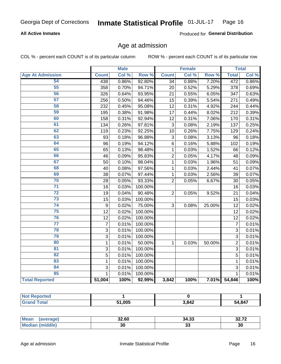#### **All Active Inmates**

Produced for General Distribution

### Age at admission

COL % - percent each COUNT is of its particular column

|                         |                | <b>Male</b> |                  |                 | <b>Female</b> |        |                | <b>Total</b> |
|-------------------------|----------------|-------------|------------------|-----------------|---------------|--------|----------------|--------------|
| <b>Age At Admission</b> | <b>Count</b>   | Col %       | Row <sup>%</sup> | <b>Count</b>    | Col %         | Row %  | <b>Total</b>   | Col %        |
| 54                      | 438            | 0.86%       | 92.80%           | $\overline{34}$ | 0.88%         | 7.20%  | 472            | 0.86%        |
| 55                      | 358            | 0.70%       | 94.71%           | 20              | 0.52%         | 5.29%  | 378            | 0.69%        |
| 56                      | 326            | 0.64%       | 93.95%           | 21              | 0.55%         | 6.05%  | 347            | 0.63%        |
| $\overline{57}$         | 256            | 0.50%       | 94.46%           | 15              | 0.39%         | 5.54%  | 271            | 0.49%        |
| 58                      | 232            | 0.45%       | 95.08%           | $\overline{12}$ | 0.31%         | 4.92%  | 244            | 0.44%        |
| 59                      | 195            | 0.38%       | 91.98%           | 17              | 0.44%         | 8.02%  | 212            | 0.39%        |
| 60                      | 158            | 0.31%       | 92.94%           | 12              | 0.31%         | 7.06%  | 170            | 0.31%        |
| 61                      | 134            | 0.26%       | 97.81%           | $\overline{3}$  | 0.08%         | 2.19%  | 137            | 0.25%        |
| 62                      | 119            | 0.23%       | 92.25%           | 10              | 0.26%         | 7.75%  | 129            | 0.24%        |
| 63                      | 93             | 0.18%       | 96.88%           | 3               | 0.08%         | 3.13%  | 96             | 0.18%        |
| 64                      | 96             | 0.19%       | 94.12%           | 6               | 0.16%         | 5.88%  | 102            | 0.19%        |
| 65                      | 65             | 0.13%       | 98.48%           | 1               | 0.03%         | 1.52%  | 66             | 0.12%        |
| 66                      | 46             | 0.09%       | 95.83%           | $\overline{2}$  | 0.05%         | 4.17%  | 48             | 0.09%        |
| 67                      | 50             | 0.10%       | 98.04%           | 1               | 0.03%         | 1.96%  | 51             | 0.09%        |
| 68                      | 40             | 0.08%       | 97.56%           | 1               | 0.03%         | 2.44%  | 41             | 0.07%        |
| 69                      | 38             | 0.07%       | 97.44%           | 1               | 0.03%         | 2.56%  | 39             | 0.07%        |
| 70                      | 28             | 0.05%       | 93.33%           | $\overline{2}$  | 0.05%         | 6.67%  | 30             | 0.05%        |
| $\overline{71}$         | 16             | 0.03%       | 100.00%          |                 |               |        | 16             | 0.03%        |
| $\overline{72}$         | 19             | 0.04%       | 90.48%           | $\overline{2}$  | 0.05%         | 9.52%  | 21             | 0.04%        |
| $\overline{73}$         | 15             | 0.03%       | 100.00%          |                 |               |        | 15             | 0.03%        |
| 74                      | 9              | 0.02%       | 75.00%           | 3               | 0.08%         | 25.00% | 12             | 0.02%        |
| $\overline{75}$         | 12             | 0.02%       | 100.00%          |                 |               |        | 12             | 0.02%        |
| 76                      | 12             | 0.02%       | 100.00%          |                 |               |        | 12             | 0.02%        |
| $\overline{77}$         | $\overline{7}$ | 0.01%       | 100.00%          |                 |               |        | $\overline{7}$ | 0.01%        |
| 78                      | 3              | 0.01%       | 100.00%          |                 |               |        | 3              | 0.01%        |
| 79                      | $\overline{3}$ | 0.01%       | 100.00%          |                 |               |        | $\overline{3}$ | 0.01%        |
| 80                      | $\mathbf{1}$   | 0.01%       | 50.00%           | 1               | 0.03%         | 50.00% | $\overline{2}$ | 0.01%        |
| 81                      | $\overline{3}$ | 0.01%       | 100.00%          |                 |               |        | $\overline{3}$ | 0.01%        |
| $\overline{82}$         | $\overline{5}$ | 0.01%       | 100.00%          |                 |               |        | $\overline{5}$ | 0.01%        |
| 83                      | $\mathbf{1}$   | 0.01%       | 100.00%          |                 |               |        | $\mathbf{1}$   | 0.01%        |
| 84                      | 3              | 0.01%       | 100.00%          |                 |               |        | 3              | 0.01%        |
| 85                      | 1              | 0.01%       | 100.00%          |                 |               |        | $\mathbf{1}$   | 0.01%        |
| <b>Total Reported</b>   | 51,004         | 100%        | 92.99%           | 3,842           | 100%          | 7.01%  | 54,846         | 100%         |

| <b>Not Reported</b> |       |       |        |
|---------------------|-------|-------|--------|
| $T$ otol $T$        | L UUE | 3,842 | 54,847 |

| <b>Mean</b><br>⊸•⊿uer – | 32.60 | .<br>34.33 | $\mathbf{z}$<br>^^<br>34.IL |
|-------------------------|-------|------------|-----------------------------|
| dle.                    | 30    | . .        | יכ                          |
| `Me.                    |       | JJ         | ას                          |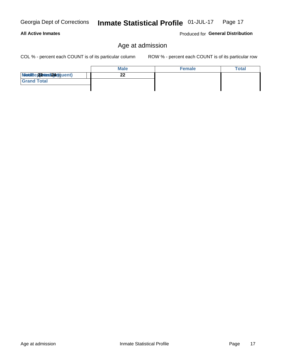Produced for General Distribution

### Age at admission

COL % - percent each COUNT is of its particular column

|                          | <b>Male</b> | <b>Female</b> | <b>Total</b> |
|--------------------------|-------------|---------------|--------------|
| Modiae 22 Mest24e)quent) |             |               |              |
| <b>Grand Total</b>       |             |               |              |
|                          |             |               |              |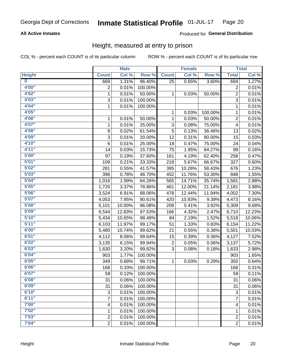#### **All Active Inmates**

#### Produced for General Distribution

### Height, measured at entry to prison

COL % - percent each COUNT is of its particular column

|                         |                | <b>Male</b> |         |                         | <b>Female</b> |         |                | <b>Total</b>        |
|-------------------------|----------------|-------------|---------|-------------------------|---------------|---------|----------------|---------------------|
| <b>Height</b>           | <b>Count</b>   | Col %       | Row %   | <b>Count</b>            | Col %         | Row %   | <b>Total</b>   | Col %               |
| $\overline{\mathbf{0}}$ | 669            | 1.31%       | 96.40%  | 25                      | 0.65%         | 3.60%   | 694            | 1.27%               |
| 4'00"                   | $\overline{2}$ | 0.01%       | 100.00% |                         |               |         | 2              | 0.01%               |
| 4'02"                   | $\mathbf{1}$   | 0.01%       | 50.00%  | 1                       | 0.03%         | 50.00%  | $\overline{c}$ | 0.01%               |
| 4'03''                  | 3              | 0.01%       | 100.00% |                         |               |         | $\overline{3}$ | 0.01%               |
| 4'04"                   | $\mathbf{1}$   | 0.01%       | 100.00% |                         |               |         | $\mathbf{1}$   | 0.01%               |
| 4'05"                   |                |             |         | 1                       | 0.03%         | 100.00% | $\mathbf{1}$   | 0.01%               |
| 4'06"                   | 1              | 0.01%       | 50.00%  | 1                       | 0.03%         | 50.00%  | $\overline{c}$ | 0.01%               |
| 4'07"                   | $\mathbf{1}$   | 0.01%       | 25.00%  | 3                       | 0.08%         | 75.00%  | 4              | 0.01%               |
| 4'08"                   | 8              | 0.02%       | 61.54%  | 5                       | 0.13%         | 38.46%  | 13             | 0.02%               |
| 4'09"                   | 3              | 0.01%       | 20.00%  | 12                      | 0.31%         | 80.00%  | 15             | 0.03%               |
| 4'10"                   | 6              | 0.01%       | 25.00%  | 18                      | 0.47%         | 75.00%  | 24             | 0.04%               |
| 4'11''                  | 14             | 0.03%       | 15.73%  | 75                      | 1.95%         | 84.27%  | 89             | 0.16%               |
| 5'00''                  | 97             | 0.19%       | 37.60%  | 161                     | 4.19%         | 62.40%  | 258            | 0.47%               |
| 5'01"                   | 109            | 0.21%       | 33.33%  | 218                     | 5.67%         | 66.67%  | 327            | 0.60%               |
| 5'02"                   | 281            | 0.55%       | 41.57%  | 395                     | 10.28%        | 58.43%  | 676            | 1.23%               |
| 5'03"                   | 396            | 0.78%       | 46.70%  | 452                     | 11.76%        | 53.30%  | 848            | 1.55%               |
| 5'04"                   | 1,016          | 1.99%       | 64.26%  | 565                     | 14.71%        | 35.74%  | 1,581          | 2.88%               |
| 5'05"                   | 1,720          | 3.37%       | 78.86%  | 461                     | 12.00%        | 21.14%  | 2,181          | 3.98%               |
| 5'06''                  | 3,524          | 6.91%       | 88.06%  | 478                     | 12.44%        | 11.94%  | 4,002          | 7.30%               |
| 5'07"                   | 4,053          | 7.95%       | 90.61%  | 420                     | 10.93%        | 9.39%   | 4,473          | 8.16%               |
| 5'08''                  | 5,101          | 10.00%      | 96.08%  | 208                     | 5.41%         | 3.92%   | 5,309          | 9.68%               |
| 5'09''                  | 6,544          | 12.83%      | 97.53%  | 166                     | 4.32%         | 2.47%   | 6,710          | 12.23%              |
| 5'10''                  | 5,434          | 10.65%      | 98.48%  | 84                      | 2.19%         | 1.52%   | 5,518          | 10.06%              |
| 5'11"                   | 6,103          | 11.97%      | 99.17%  | 51                      | 1.33%         | 0.83%   | 6,154          | 11.22%              |
| 6'00''                  | 5,480          | 10.74%      | 99.62%  | 21                      | 0.55%         | 0.38%   | 5,501          | 10.03%              |
| 6'01''                  | 4,112          | 8.06%       | 99.64%  | 15                      | 0.39%         | 0.36%   | 4,127          | 7.52%               |
| 6'02"                   | 3,135          | 6.15%       | 99.94%  | $\overline{\mathbf{c}}$ | 0.05%         | 0.06%   | 3,137          | 5.72%               |
| 6'03''                  | 1,630          | 3.20%       | 99.82%  | 3                       | 0.08%         | 0.18%   | 1,633          | 2.98%               |
| 6'04"                   | 903            | 1.77%       | 100.00% |                         |               |         | 903            | 1.65%               |
| 6'05"                   | 349            | 0.68%       | 99.71%  | 1                       | 0.03%         | 0.29%   | 350            | 0.64%               |
| 6'06''                  | 168            | 0.33%       | 100.00% |                         |               |         | 168            | 0.31%               |
| 6'07"                   | 59             | 0.12%       | 100.00% |                         |               |         | 59             | 0.11%               |
| 6'08''                  | 31             | 0.06%       | 100.00% |                         |               |         | 31             | 0.06%               |
| 6'09''                  | 31             | 0.06%       | 100.00% |                         |               |         | 31             | 0.06%               |
| 6'10''                  | 3              | 0.01%       | 100.00% |                         |               |         | 3              | 0.01%               |
| 6'11''                  | 7              | 0.01%       | 100.00% |                         |               |         | $\overline{7}$ | 0.01%               |
| 7'00"                   | 4              | 0.01%       | 100.00% |                         |               |         | 4              | 0.01%               |
| 7'02"                   | 1              | 0.01%       | 100.00% |                         |               |         | 1              | 0.01%               |
| 7'03''                  | $\overline{c}$ | 0.01%       | 100.00% |                         |               |         | $\overline{c}$ | 0.01%               |
| 7'04"                   | $\overline{2}$ | 0.01%       | 100.00% |                         |               |         | $\overline{2}$ | $\overline{0.01\%}$ |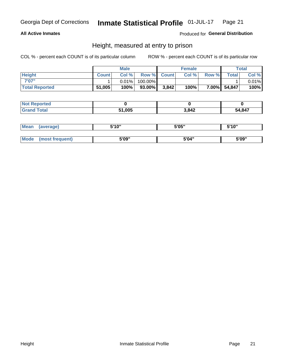#### **All Active Inmates**

#### Produced for General Distribution

### Height, measured at entry to prison

COL % - percent each COUNT is of its particular column

|                       |              | <b>Male</b> |           |             | <b>Female</b> |       |              | Total |
|-----------------------|--------------|-------------|-----------|-------------|---------------|-------|--------------|-------|
| <b>Height</b>         | <b>Count</b> | Col %       |           | Row % Count | Col %         | Row % | <b>Total</b> | Col % |
| 7'07"                 |              | $0.01\%$    | 100.00%   |             |               |       |              | 0.01% |
| <b>Total Reported</b> | 51,005       | 100%        | $93.00\%$ | 3,842       | 100%          |       | 7.00% 54,847 | 100%  |

| <b>Not Reported</b> |        |       |        |
|---------------------|--------|-------|--------|
| <b>Grand Total</b>  | 51,005 | 3,842 | 54,847 |

| <b>Mean</b> | (average)       | 5'10" | 5'05" | 5'10" |
|-------------|-----------------|-------|-------|-------|
|             |                 |       |       |       |
| Mode        | (most frequent) | 5'09" | 5'04" | 5'09" |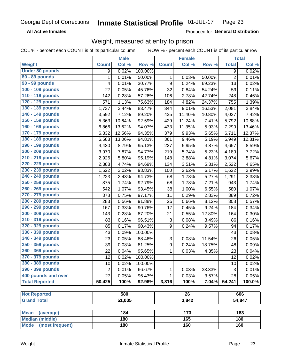**All Active Inmates** 

Produced for General Distribution

## Weight, measured at entry to prison

COL % - percent each COUNT is of its particular column

|                                                |                | <b>Male</b> |         |                           | <b>Female</b>   |        |                | <b>Total</b> |
|------------------------------------------------|----------------|-------------|---------|---------------------------|-----------------|--------|----------------|--------------|
| <b>Weight</b>                                  | <b>Count</b>   | Col %       | Row %   | <b>Count</b>              | Col %           | Row %  | <b>Total</b>   | Col %        |
| <b>Under 80 pounds</b>                         | 9              | 0.02%       | 100.00% |                           |                 |        | $\overline{9}$ | 0.02%        |
| 80 - 89 pounds                                 | 1              | 0.01%       | 50.00%  | 1                         | 0.03%           | 50.00% | $\overline{2}$ | 0.01%        |
| 90 - 99 pounds                                 | 4              | 0.01%       | 30.77%  | 9                         | 0.24%           | 69.23% | 13             | 0.02%        |
| 100 - 109 pounds                               | 27             | 0.05%       | 45.76%  | 32                        | 0.84%           | 54.24% | 59             | 0.11%        |
| 110 - 119 pounds                               | 142            | 0.28%       | 57.26%  | 106                       | 2.78%           | 42.74% | 248            | 0.46%        |
| 120 - 129 pounds                               | 571            | 1.13%       | 75.63%  | 184                       | 4.82%           | 24.37% | 755            | 1.39%        |
| 130 - 139 pounds                               | 1,737          | 3.44%       | 83.47%  | 344                       | 9.01%           | 16.53% | 2,081          | 3.84%        |
| 140 - 149 pounds                               | 3,592          | 7.12%       | 89.20%  | 435                       | 11.40%          | 10.80% | 4,027          | 7.42%        |
| 150 - 159 pounds                               | 5,363          | 10.64%      | 92.59%  | 429                       | 11.24%          | 7.41%  | 5,792          | 10.68%       |
| 160 - 169 pounds                               | 6,866          | 13.62%      | 94.07%  | 433                       | 11.35%          | 5.93%  | 7,299          | 13.46%       |
| 170 - 179 pounds                               | 6,332          | 12.56%      | 94.35%  | 379                       | 9.93%           | 5.65%  | 6,711          | 12.37%       |
| 180 - 189 pounds                               | 6,588          | 13.06%      | 94.81%  | 361                       | 9.46%           | 5.19%  | 6,949          | 12.81%       |
| 190 - 199 pounds                               | 4,430          | 8.79%       | 95.13%  | 227                       | 5.95%           | 4.87%  | 4,657          | 8.59%        |
| 200 - 209 pounds                               | 3,970          | 7.87%       | 94.77%  | 219                       | 5.74%           | 5.23%  | 4,189          | 7.72%        |
| 210 - 219 pounds                               | 2,926          | 5.80%       | 95.19%  | 148                       | 3.88%           | 4.81%  | 3,074          | 5.67%        |
| 220 - 229 pounds                               | 2,388          | 4.74%       | 94.69%  | 134                       | 3.51%           | 5.31%  | 2,522          | 4.65%        |
| 230 - 239 pounds                               | 1,522          | 3.02%       | 93.83%  | 100                       | 2.62%           | 6.17%  | 1,622          | 2.99%        |
| 240 - 249 pounds                               | 1,223          | 2.43%       | 94.73%  | 68                        | 1.78%           | 5.27%  | 1,291          | 2.38%        |
| 250 - 259 pounds                               | 875            | 1.74%       | 92.79%  | 68                        | 1.78%           | 7.21%  | 943            | 1.74%        |
| 260 - 269 pounds                               | 542            | 1.07%       | 93.45%  | 38                        | 1.00%           | 6.55%  | 580            | 1.07%        |
| 270 - 279 pounds                               | 378            | 0.75%       | 97.17%  | 11                        | 0.29%           | 2.83%  | 389            | 0.72%        |
| 280 - 289 pounds                               | 283            | 0.56%       | 91.88%  | 25                        | 0.66%           | 8.12%  | 308            | 0.57%        |
| 290 - 299 pounds                               | 167            | 0.33%       | 90.76%  | 17                        | 0.45%           | 9.24%  | 184            | 0.34%        |
| 300 - 309 pounds                               | 143            | 0.28%       | 87.20%  | 21                        | 0.55%           | 12.80% | 164            | 0.30%        |
| 310 - 319 pounds                               | 83             | 0.16%       | 96.51%  | $\ensuremath{\mathsf{3}}$ | 0.08%           | 3.49%  | 86             | 0.16%        |
| 320 - 329 pounds                               | 85             | 0.17%       | 90.43%  | $\boldsymbol{9}$          | 0.24%           | 9.57%  | 94             | 0.17%        |
| 330 - 339 pounds                               | 43             | 0.09%       | 100.00% |                           |                 |        | 43             | 0.08%        |
| 340 - 349 pounds                               | 23             | 0.05%       | 88.46%  | 3                         | 0.08%           | 11.54% | 26             | 0.05%        |
| 350 - 359 pounds                               | 39             | 0.08%       | 81.25%  | $\boldsymbol{9}$          | 0.24%           | 18.75% | 48             | 0.09%        |
| 360 - 369 pounds                               | 22             | 0.04%       | 95.65%  | 1                         | 0.03%           | 4.35%  | 23             | 0.04%        |
| 370 - 379 pounds                               | 12             | 0.02%       | 100.00% |                           |                 |        | 12             | 0.02%        |
| 380 - 389 pounds                               | 10             | 0.02%       | 100.00% |                           |                 |        | 10             | 0.02%        |
| 390 - 399 pounds                               | $\overline{2}$ | 0.01%       | 66.67%  | 1                         | 0.03%           | 33.33% | 3              | 0.01%        |
| 400 pounds and over                            | 27             | 0.05%       | 96.43%  | 1                         | 0.03%           | 3.57%  | 28             | 0.05%        |
| <b>Total Reported</b>                          | 50,425         | 100%        | 92.96%  | 3,816                     | 100%            | 7.04%  | 54,241         | 100.0%       |
|                                                |                |             |         |                           |                 |        |                |              |
| <b>Not Reported</b>                            |                | 580         |         |                           | $\overline{26}$ |        |                | 606          |
| <b>Grand Total</b>                             |                | 51,005      |         |                           | 3,842           |        |                | 54,847       |
|                                                |                |             |         |                           |                 |        |                |              |
| <b>Mean</b><br>(average)                       |                | 184         |         |                           | 173             |        |                | 183          |
| <b>Median (middle)</b><br>Mode (most frequent) |                | 180<br>180  |         |                           | 165<br>160      |        |                | 180<br>160   |
|                                                |                |             |         |                           |                 |        |                |              |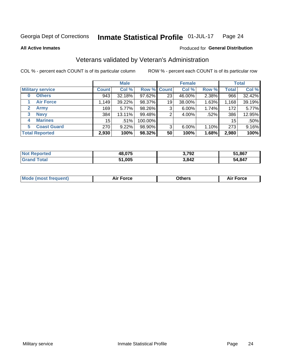#### Inmate Statistical Profile 01-JUL-17 Page 24

**All Active Inmates** 

#### Produced for General Distribution

### Veterans validated by Veteran's Administration

COL % - percent each COUNT is of its particular column

|                             |                 | <b>Male</b> |                    |    | <b>Female</b> |       |              | <b>Total</b> |
|-----------------------------|-----------------|-------------|--------------------|----|---------------|-------|--------------|--------------|
| <b>Military service</b>     | <b>Count</b>    | Col %       | <b>Row % Count</b> |    | Col %         | Row % | <b>Total</b> | Col %        |
| <b>Others</b><br>0          | 943             | 32.18%      | 97.62%             | 23 | 46.00%        | 2.38% | 966          | 32.42%       |
| <b>Air Force</b>            | 1,149           | 39.22%      | 98.37%             | 19 | 38.00%        | 1.63% | 1,168        | 39.19%       |
| <b>Army</b><br>$\mathbf{2}$ | 169             | $5.77\%$    | 98.26%             | 3  | $6.00\%$      | 1.74% | 172          | 5.77%        |
| <b>Navy</b><br>3            | 384             | 13.11%      | 99.48%             | 2  | 4.00%         | .52%  | 386          | 12.95%       |
| <b>Marines</b><br>4         | 15 <sup>1</sup> | .51%        | 100.00%            |    |               |       | 15           | .50%         |
| <b>Coast Guard</b><br>5.    | 270             | 9.22%       | 98.90%             | 3  | 6.00%         | 1.10% | 273          | 9.16%        |
| <b>Total Reported</b>       | 2,930           | 100%        | 98.32%             | 50 | 100%          | 1.68% | 2,980        | 100%         |

| orted<br>NOT | 48,075 | רחד נ<br>J. 1 JZ | 51,867 |
|--------------|--------|------------------|--------|
| $\sim$       | 51,005 | 3,842            | 54,847 |

| Mode (most frequent) | <b>Force</b><br>. | 0thers | orce |
|----------------------|-------------------|--------|------|
|                      |                   |        |      |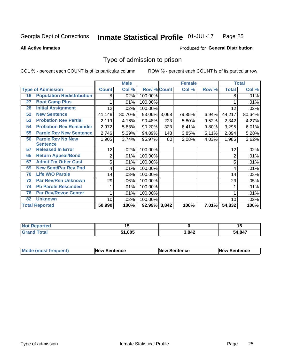#### Inmate Statistical Profile 01-JUL-17 Page 25

**All Active Inmates** 

#### Produced for General Distribution

### Type of admission to prison

COL % - percent each COUNT is of its particular column

|    |                                  |              | <b>Male</b> |                    |     | <b>Female</b> |          |              | <b>Total</b> |
|----|----------------------------------|--------------|-------------|--------------------|-----|---------------|----------|--------------|--------------|
|    | <b>Type of Admission</b>         | <b>Count</b> | Col %       | <b>Row % Count</b> |     | Col %         | Row %    | <b>Total</b> | Col %        |
| 16 | <b>Population Redistribution</b> | 8            | .02%        | 100.00%            |     |               |          | 8            | .01%         |
| 27 | <b>Boot Camp Plus</b>            |              | .01%        | 100.00%            |     |               |          |              | .01%         |
| 28 | <b>Initial Assignment</b>        | 12           | .02%        | 100.00%            |     |               |          | 12           | .02%         |
| 52 | <b>New Sentence</b>              | 41,149       | 80.70%      | 93.06% 3,068       |     | 79.85%        | 6.94%    | 44,217       | 80.64%       |
| 53 | <b>Probation Rev Partial</b>     | 2,119        | 4.16%       | 90.48%             | 223 | 5.80%         | 9.52%    | 2,342        | 4.27%        |
| 54 | <b>Probation Rev Remainder</b>   | 2,972        | 5.83%       | 90.20%             | 323 | 8.41%         | 9.80%    | 3,295        | 6.01%        |
| 55 | <b>Parole Rev New Sentence</b>   | 2,746        | 5.39%       | 94.89%             | 148 | 3.85%         | 5.11%    | 2,894        | 5.28%        |
| 56 | <b>Parole Rev No New</b>         | 1,905        | 3.74%       | 95.97%             | 80  | 2.08%         | 4.03%    | 1,985        | 3.62%        |
|    | <b>Sentence</b>                  |              |             |                    |     |               |          |              |              |
| 57 | <b>Released In Error</b>         | 12           | .02%        | 100.00%            |     |               |          | 12           | .02%         |
| 65 | <b>Return Appeal/Bond</b>        | 2            | .01%        | 100.00%            |     |               |          | 2            | .01%         |
| 67 | <b>Admit Fm Other Cust</b>       | 5            | .01%        | 100.00%            |     |               |          | 5            | .01%         |
| 69 | <b>New Sent/Par Rev Pnd</b>      | 4            | .01%        | 100.00%            |     |               |          | 4            | .01%         |
| 70 | <b>Life W/O Parole</b>           | 14           | .03%        | 100.00%            |     |               |          | 14           | .03%         |
| 72 | <b>Par Rev/Rsn Unknown</b>       | 29           | .06%        | 100.00%            |     |               |          | 29           | .05%         |
| 74 | <b>Pb Parole Rescinded</b>       | 1            | .01%        | 100.00%            |     |               |          |              | .01%         |
| 76 | <b>Par Rev/Revoc Center</b>      |              | .01%        | 100.00%            |     |               |          |              | .01%         |
| 82 | <b>Unknown</b>                   | 10           | .02%        | 100.00%            |     |               |          | 10           | .02%         |
|    | <b>Total Reported</b>            | 50,990       | 100%        | 92.99% 3,842       |     | 100%          | $7.01\%$ | 54,832       | 100%         |

| <b>Not</b><br>Reported |        |       | '    |
|------------------------|--------|-------|------|
| Гоtal                  | 005. ا | 3,842 | ,847 |
| Gran                   | 51     |       | ٠Д   |

| <b>Mode (most frequent)</b> | New Sentence | <b>New Sentence</b> | <b>New Sentence</b> |
|-----------------------------|--------------|---------------------|---------------------|
|                             |              |                     |                     |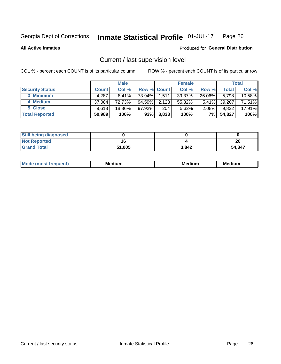#### Inmate Statistical Profile 01-JUL-17 Page 26

**All Active Inmates** 

#### Produced for General Distribution

### Current / last supervision level

COL % - percent each COUNT is of its particular column

|                        |              | <b>Male</b> |           |                    | <b>Female</b> |          |        | <b>Total</b> |
|------------------------|--------------|-------------|-----------|--------------------|---------------|----------|--------|--------------|
| <b>Security Status</b> | <b>Count</b> | Col %       |           | <b>Row % Count</b> | Col %         | Row %    | Total  | Col %        |
| 3 Minimum              | 4,287        | $8.41\%$    | 73.94%    | 1,511              | 39.37%        | 26.06%   | 5,798  | 10.58%       |
| 4 Medium               | 37,084       | 72.73%      | $94.59\%$ | 2,123              | 55.32%        | $5.41\%$ | 39,207 | 71.51%       |
| 5 Close                | 9.618        | 18.86%      | 97.92%    | 204                | 5.32%         | $2.08\%$ | 9,822  | 17.91%       |
| <b>Total Reported</b>  | 50,989       | 100%        | 93%       | 3,838              | 100%          | 7%       | 54,827 | 100%         |

| <b>Still being diagnosed</b> |        |       |           |
|------------------------------|--------|-------|-----------|
| <b>Not Reported</b>          |        |       | ה ה<br>ZL |
| <b>Grand Total</b>           | 51,005 | 3,842 | 54,847    |

| M | M | . . |
|---|---|-----|
|   |   |     |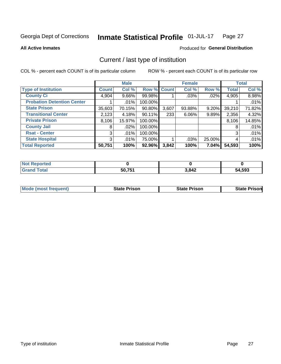#### Inmate Statistical Profile 01-JUL-17 Page 27

**All Active Inmates** 

#### Produced for General Distribution

### Current / last type of institution

COL % - percent each COUNT is of its particular column

|                                   |                | <b>Male</b> |             |       | <b>Female</b> |        |              | <b>Total</b> |
|-----------------------------------|----------------|-------------|-------------|-------|---------------|--------|--------------|--------------|
| <b>Type of Institution</b>        | <b>Count</b>   | Col %       | Row % Count |       | Col %         | Row %  | <b>Total</b> | Col %        |
| <b>County Ci</b>                  | 4,904          | $9.66\%$    | 99.98%      |       | $.03\%$       | .02%   | 4,905        | 8.98%        |
| <b>Probation Detention Center</b> |                | .01%        | 100.00%     |       |               |        |              | .01%         |
| <b>State Prison</b>               | 35,603         | 70.15%      | $90.80\%$   | 3,607 | 93.88%        | 9.20%  | 39,210       | 71.82%       |
| <b>Transitional Center</b>        | 2,123          | 4.18%       | 90.11%      | 233   | $6.06\%$      | 9.89%  | 2,356        | 4.32%        |
| <b>Private Prison</b>             | 8,106          | 15.97%      | 100.00%     |       |               |        | 8,106        | 14.85%       |
| <b>County Jail</b>                | 8              | .02%        | 100.00%     |       |               |        | 8            | .01%         |
| <b>Rsat - Center</b>              | 3 <sup>1</sup> | $.01\%$     | 100.00%     |       |               |        | 3            | .01%         |
| <b>State Hospital</b>             | 3 <sup>1</sup> | $.01\%$     | 75.00%      |       | .03%          | 25.00% | 4            | .01%         |
| <b>Total Reported</b>             | 50,751         | 100%        | 92.96%      | 3,842 | 100%          | 7.04%  | 54,593       | 100%         |

| <b>Not Reported</b> |        |       |        |
|---------------------|--------|-------|--------|
| <b>Grand Total</b>  | 50,751 | 3,842 | 54,593 |

| Mode (most frequent) | <b>State Prison</b> | <b>State Prison</b> | <b>State Prisonl</b> |
|----------------------|---------------------|---------------------|----------------------|
|                      |                     |                     |                      |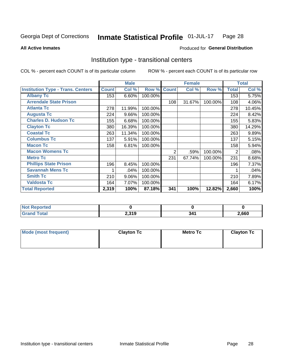#### Inmate Statistical Profile 01-JUL-17 Page 28

**All Active Inmates** 

#### Produced for General Distribution

### Institution type - transitional centers

COL % - percent each COUNT is of its particular column

|                                          |              | <b>Male</b> |         |              | <b>Female</b> |         |              | <b>Total</b> |
|------------------------------------------|--------------|-------------|---------|--------------|---------------|---------|--------------|--------------|
| <b>Institution Type - Trans. Centers</b> | <b>Count</b> | Col %       | Row %   | <b>Count</b> | Col %         | Row %   | <b>Total</b> | Col %        |
| <b>Albany Tc</b>                         | 153          | 6.60%       | 100.00% |              |               |         | 153          | 5.75%        |
| <b>Arrendale State Prison</b>            |              |             |         | 108          | 31.67%        | 100.00% | 108          | 4.06%        |
| <b>Atlanta Tc</b>                        | 278          | 11.99%      | 100.00% |              |               |         | 278          | 10.45%       |
| <b>Augusta Tc</b>                        | 224          | 9.66%       | 100.00% |              |               |         | 224          | 8.42%        |
| <b>Charles D. Hudson Tc</b>              | 155          | 6.68%       | 100.00% |              |               |         | 155          | 5.83%        |
| <b>Clayton Tc</b>                        | 380          | 16.39%      | 100.00% |              |               |         | 380          | 14.29%       |
| <b>Coastal Tc</b>                        | 263          | 11.34%      | 100.00% |              |               |         | 263          | 9.89%        |
| <b>Columbus Tc</b>                       | 137          | 5.91%       | 100.00% |              |               |         | 137          | 5.15%        |
| <b>Macon Tc</b>                          | 158          | 6.81%       | 100.00% |              |               |         | 158          | 5.94%        |
| <b>Macon Womens Tc</b>                   |              |             |         | 2            | .59%          | 100.00% | 2            | .08%         |
| <b>Metro Tc</b>                          |              |             |         | 231          | 67.74%        | 100.00% | 231          | 8.68%        |
| <b>Phillips State Prison</b>             | 196          | 8.45%       | 100.00% |              |               |         | 196          | 7.37%        |
| <b>Savannah Mens Tc</b>                  |              | .04%        | 100.00% |              |               |         |              | .04%         |
| <b>Smith Tc</b>                          | 210          | 9.06%       | 100.00% |              |               |         | 210          | 7.89%        |
| <b>Valdosta Tc</b>                       | 164          | 7.07%       | 100.00% |              |               |         | 164          | 6.17%        |
| <b>Total Reported</b>                    | 2,319        | 100%        | 87.18%  | 341          | 100%          | 12.82%  | 2,660        | 100%         |

| τeα |                       |       |       |
|-----|-----------------------|-------|-------|
| .   | 230<br>- 152<br>2,J I | $  -$ | 2,660 |

| Mode (most frequent) | <b>Clayton Tc</b> | <b>Metro Tc</b> | <b>Clayton Tc</b> |
|----------------------|-------------------|-----------------|-------------------|
|                      |                   |                 |                   |
|                      |                   |                 |                   |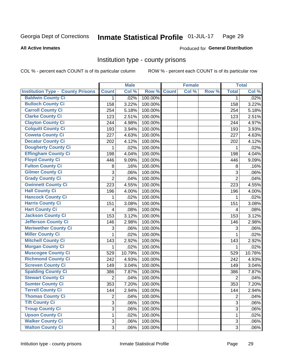#### Inmate Statistical Profile 01-JUL-17 Page 29

#### **All Active Inmates**

#### Produced for General Distribution

#### Institution type - county prisons

COL % - percent each COUNT is of its particular column

|                                          |                | <b>Male</b> |         |              | <b>Female</b> |       |                | <b>Total</b> |
|------------------------------------------|----------------|-------------|---------|--------------|---------------|-------|----------------|--------------|
| <b>Institution Type - County Prisons</b> | <b>Count</b>   | Col %       | Row %   | <b>Count</b> | Col %         | Row % | <b>Total</b>   | Col %        |
| <b>Baldwin County Ci</b>                 | $\mathbf{1}$   | .02%        | 100.00% |              |               |       | $\mathbf{1}$   | .02%         |
| <b>Bulloch County Ci</b>                 | 158            | 3.22%       | 100.00% |              |               |       | 158            | 3.22%        |
| <b>Carroll County Ci</b>                 | 254            | 5.18%       | 100.00% |              |               |       | 254            | 5.18%        |
| <b>Clarke County Ci</b>                  | 123            | 2.51%       | 100.00% |              |               |       | 123            | 2.51%        |
| <b>Clayton County Ci</b>                 | 244            | 4.98%       | 100.00% |              |               |       | 244            | 4.97%        |
| <b>Colquitt County Ci</b>                | 193            | 3.94%       | 100.00% |              |               |       | 193            | 3.93%        |
| <b>Coweta County Ci</b>                  | 227            | 4.63%       | 100.00% |              |               |       | 227            | 4.63%        |
| <b>Decatur County Ci</b>                 | 202            | 4.12%       | 100.00% |              |               |       | 202            | 4.12%        |
| <b>Dougherty County Ci</b>               | 1              | .02%        | 100.00% |              |               |       | 1              | .02%         |
| <b>Effingham County Ci</b>               | 198            | 4.04%       | 100.00% |              |               |       | 198            | 4.04%        |
| <b>Floyd County Ci</b>                   | 446            | 9.09%       | 100.00% |              |               |       | 446            | 9.09%        |
| <b>Fulton County Ci</b>                  | 8              | .16%        | 100.00% |              |               |       | 8              | .16%         |
| <b>Gilmer County Ci</b>                  | 3              | .06%        | 100.00% |              |               |       | 3              | .06%         |
| <b>Grady County Ci</b>                   | $\overline{2}$ | .04%        | 100.00% |              |               |       | $\overline{2}$ | .04%         |
| <b>Gwinnett County Ci</b>                | 223            | 4.55%       | 100.00% |              |               |       | 223            | 4.55%        |
| <b>Hall County Ci</b>                    | 196            | 4.00%       | 100.00% |              |               |       | 196            | 4.00%        |
| <b>Hancock County Ci</b>                 | 1              | .02%        | 100.00% |              |               |       | 1              | .02%         |
| <b>Harris County Ci</b>                  | 151            | 3.08%       | 100.00% |              |               |       | 151            | 3.08%        |
| <b>Hart County Ci</b>                    | 4              | .08%        | 100.00% |              |               |       | 4              | .08%         |
| <b>Jackson County Ci</b>                 | 153            | 3.12%       | 100.00% |              |               |       | 153            | 3.12%        |
| <b>Jefferson County Ci</b>               | 146            | 2.98%       | 100.00% |              |               |       | 146            | 2.98%        |
| <b>Meriwether County Ci</b>              | 3              | .06%        | 100.00% |              |               |       | 3              | .06%         |
| <b>Miller County Ci</b>                  | 1              | .02%        | 100.00% |              |               |       | 1              | .02%         |
| <b>Mitchell County Ci</b>                | 143            | 2.92%       | 100.00% |              |               |       | 143            | 2.92%        |
| <b>Morgan County Ci</b>                  | 1              | .02%        | 100.00% |              |               |       | 1              | .02%         |
| <b>Muscogee County Ci</b>                | 529            | 10.79%      | 100.00% |              |               |       | 529            | 10.78%       |
| <b>Richmond County Ci</b>                | 242            | 4.93%       | 100.00% |              |               |       | 242            | 4.93%        |
| <b>Screven County Ci</b>                 | 149            | 3.04%       | 100.00% |              |               |       | 149            | 3.04%        |
| <b>Spalding County Ci</b>                | 386            | 7.87%       | 100.00% |              |               |       | 386            | 7.87%        |
| <b>Stewart County Ci</b>                 | $\overline{2}$ | .04%        | 100.00% |              |               |       | $\overline{2}$ | .04%         |
| <b>Sumter County Ci</b>                  | 353            | 7.20%       | 100.00% |              |               |       | 353            | 7.20%        |
| <b>Terrell County Ci</b>                 | 144            | 2.94%       | 100.00% |              |               |       | 144            | 2.94%        |
| <b>Thomas County Ci</b>                  | $\overline{2}$ | .04%        | 100.00% |              |               |       | $\overline{2}$ | .04%         |
| <b>Tift County Ci</b>                    | 3              | .06%        | 100.00% |              |               |       | 3              | .06%         |
| <b>Troup County Ci</b>                   | $\overline{3}$ | .06%        | 100.00% |              |               |       | $\overline{3}$ | .06%         |
| <b>Upson County Ci</b>                   | 1              | .02%        | 100.00% |              |               |       | 1              | .02%         |
| <b>Walker County Ci</b>                  | 3              | .06%        | 100.00% |              |               |       | 3              | .06%         |
| <b>Walton County Ci</b>                  | 3              | .06%        | 100.00% |              |               |       | 3 <sup>1</sup> | .06%         |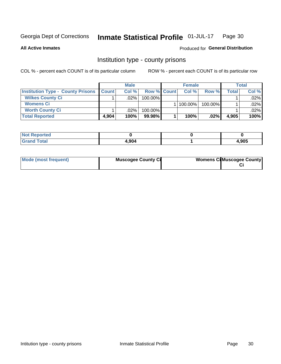#### Inmate Statistical Profile 01-JUL-17 Page 30

**All Active Inmates** 

Produced for General Distribution

### Institution type - county prisons

COL % - percent each COUNT is of its particular column

|                                          |              | <b>Male</b> |                    | <b>Female</b> |         |       | Total   |
|------------------------------------------|--------------|-------------|--------------------|---------------|---------|-------|---------|
| <b>Institution Type - County Prisons</b> | <b>Count</b> | Col%        | <b>Row % Count</b> | Col%          | Row %   | Total | Col %   |
| <b>Wilkes County Ci</b>                  |              | $.02\%$     | 100.00%            |               |         |       | $.02\%$ |
| <b>Womens Ci</b>                         |              |             |                    | $ 100.00\% $  | 100.00% |       | $.02\%$ |
| <b>Worth County Ci</b>                   |              | $.02\%$     | 100.00%            |               |         |       | .02% l  |
| <b>Total Reported</b>                    | 4.904        | 100%        | $99.98\%$          | 100%          | $.02\%$ | 4,905 | 100%    |

| ⊶rcea a<br>$\sim$ |       |       |
|-------------------|-------|-------|
|                   | 4.904 | 1,905 |

| Mode (most frequent) | <b>Muscogee County Ci</b> | <b>Womens CilMuscogee County</b> |
|----------------------|---------------------------|----------------------------------|
|----------------------|---------------------------|----------------------------------|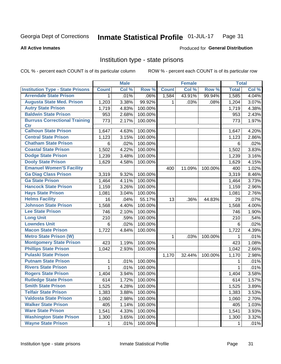#### Inmate Statistical Profile 01-JUL-17 Page 31

#### **All Active Inmates**

#### **Produced for General Distribution**

### Institution type - state prisons

COL % - percent each COUNT is of its particular column

|                                         |              | <b>Male</b> |         |              | <b>Female</b> |         | <b>Total</b> |       |
|-----------------------------------------|--------------|-------------|---------|--------------|---------------|---------|--------------|-------|
| <b>Institution Type - State Prisons</b> | <b>Count</b> | Col %       | Row %   | <b>Count</b> | Col %         | Row %   | <b>Total</b> | Col % |
| <b>Arrendale State Prison</b>           | 1            | .01%        | .06%    | 1,584        | 43.91%        | 99.94%  | 1,585        | 4.04% |
| <b>Augusta State Med. Prison</b>        | 1,203        | 3.38%       | 99.92%  | 1.           | .03%          | .08%    | 1,204        | 3.07% |
| <b>Autry State Prison</b>               | 1,719        | 4.83%       | 100.00% |              |               |         | 1,719        | 4.38% |
| <b>Baldwin State Prison</b>             | 953          | 2.68%       | 100.00% |              |               |         | 953          | 2.43% |
| <b>Burruss Correctional Training</b>    | 773          | 2.17%       | 100.00% |              |               |         | 773          | 1.97% |
| <b>Ctr</b>                              |              |             |         |              |               |         |              |       |
| <b>Calhoun State Prison</b>             | 1,647        | 4.63%       | 100.00% |              |               |         | 1,647        | 4.20% |
| <b>Central State Prison</b>             | 1,123        | 3.15%       | 100.00% |              |               |         | 1,123        | 2.86% |
| <b>Chatham State Prison</b>             | 6            | .02%        | 100.00% |              |               |         | 6            | .02%  |
| <b>Coastal State Prison</b>             | 1,502        | 4.22%       | 100.00% |              |               |         | 1,502        | 3.83% |
| <b>Dodge State Prison</b>               | 1,239        | 3.48%       | 100.00% |              |               |         | 1,239        | 3.16% |
| <b>Dooly State Prison</b>               | 1,629        | 4.58%       | 100.00% |              |               |         | 1,629        | 4.15% |
| <b>Emanuel Women'S Facility</b>         |              |             |         | 400          | 11.09%        | 100.00% | 400          | 1.02% |
| <b>Ga Diag Class Prison</b>             | 3,319        | 9.32%       | 100.00% |              |               |         | 3,319        | 8.46% |
| <b>Ga State Prison</b>                  | 1,464        | 4.11%       | 100.00% |              |               |         | 1,464        | 3.73% |
| <b>Hancock State Prison</b>             | 1,159        | 3.26%       | 100.00% |              |               |         | 1,159        | 2.96% |
| <b>Hays State Prison</b>                | 1,081        | 3.04%       | 100.00% |              |               |         | 1,081        | 2.76% |
| <b>Helms Facility</b>                   | 16           | .04%        | 55.17%  | 13           | .36%          | 44.83%  | 29           | .07%  |
| <b>Johnson State Prison</b>             | 1,568        | 4.40%       | 100.00% |              |               |         | 1,568        | 4.00% |
| <b>Lee State Prison</b>                 | 746          | 2.10%       | 100.00% |              |               |         | 746          | 1.90% |
| <b>Long Unit</b>                        | 210          | .59%        | 100.00% |              |               |         | 210          | .54%  |
| <b>Lowndes Unit</b>                     | 6            | .02%        | 100.00% |              |               |         | 6            | .02%  |
| <b>Macon State Prison</b>               | 1,722        | 4.84%       | 100.00% |              |               |         | 1,722        | 4.39% |
| <b>Metro State Prison (W)</b>           |              |             |         | 1            | .03%          | 100.00% | 1            | .01%  |
| <b>Montgomery State Prison</b>          | 423          | 1.19%       | 100.00% |              |               |         | 423          | 1.08% |
| <b>Phillips State Prison</b>            | 1,042        | 2.93%       | 100.00% |              |               |         | 1,042        | 2.66% |
| <b>Pulaski State Prison</b>             |              |             |         | 1,170        | 32.44%        | 100.00% | 1,170        | 2.98% |
| <b>Putnam State Prison</b>              | 1            | .01%        | 100.00% |              |               |         | 1            | .01%  |
| <b>Rivers State Prison</b>              | $\mathbf{1}$ | .01%        | 100.00% |              |               |         | 1            | .01%  |
| <b>Rogers State Prison</b>              | 1,404        | 3.94%       | 100.00% |              |               |         | 1,404        | 3.58% |
| <b>Rutledge State Prison</b>            | 614          | 1.72%       | 100.00% |              |               |         | 614          | 1.57% |
| <b>Smith State Prison</b>               | 1,525        | 4.28%       | 100.00% |              |               |         | 1,525        | 3.89% |
| <b>Telfair State Prison</b>             | 1,383        | 3.88%       | 100.00% |              |               |         | 1,383        | 3.53% |
| <b>Valdosta State Prison</b>            | 1,060        | 2.98%       | 100.00% |              |               |         | 1,060        | 2.70% |
| <b>Walker State Prison</b>              | 405          | 1.14%       | 100.00% |              |               |         | 405          | 1.03% |
| <b>Ware State Prison</b>                | 1,541        | 4.33%       | 100.00% |              |               |         | 1,541        | 3.93% |
| <b>Washington State Prison</b>          | 1,300        | 3.65%       | 100.00% |              |               |         | 1,300        | 3.32% |
| <b>Wayne State Prison</b>               | 1            | .01%        | 100.00% |              |               |         | 1            | .01%  |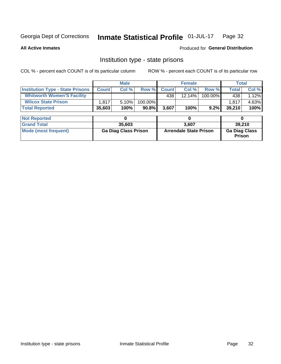#### Inmate Statistical Profile 01-JUL-17 Page 32

**All Active Inmates** 

#### Produced for General Distribution

### Institution type - state prisons

COL % - percent each COUNT is of its particular column

|                                         |              | <b>Male</b>                 |          |              | <b>Female</b>                 |         | <b>Total</b>                   |        |
|-----------------------------------------|--------------|-----------------------------|----------|--------------|-------------------------------|---------|--------------------------------|--------|
| <b>Institution Type - State Prisons</b> | <b>Count</b> | Col %                       | Row %    | <b>Count</b> | Col %                         | Row %   | <b>Total</b>                   | Col %  |
| <b>Whitworth Women'S Facility</b>       |              |                             |          | 438          | 12.14%                        | 100.00% | 438                            | 1.12%  |
| <b>Wilcox State Prison</b>              | 1,817        | 5.10%                       | 100.00%  |              |                               |         | 1,817                          | 4.63%  |
| <b>Total Reported</b>                   | 35,603       | 100%                        | $90.8\%$ | 3,607        | 100%                          | $9.2\%$ | 39,210                         | 100%   |
| <b>Not Reported</b>                     |              | 0                           |          |              | 0                             |         | 0                              |        |
| <b>Grand Total</b>                      |              | 35,603                      |          |              | 3,607                         |         |                                | 39,210 |
| <b>Mode (most frequent)</b>             |              | <b>Ga Diag Class Prison</b> |          |              | <b>Arrendale State Prison</b> |         | <b>Ga Diag Class</b><br>Prison |        |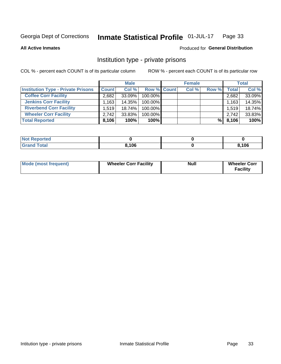#### Inmate Statistical Profile 01-JUL-17 Page 33

#### **All Active Inmates**

### Produced for General Distribution

### Institution type - private prisons

COL % - percent each COUNT is of its particular column

|                                           |              | <b>Male</b> |             | <b>Female</b> |       |                    | <b>Total</b> |
|-------------------------------------------|--------------|-------------|-------------|---------------|-------|--------------------|--------------|
| <b>Institution Type - Private Prisons</b> | <b>Count</b> | Col %       | Row % Count | Col %         | Row % | Total <sub>I</sub> | Col %        |
| <b>Coffee Corr Facility</b>               | 2,682        | $33.09\%$   | 100.00%     |               |       | 2,682              | 33.09%       |
| <b>Jenkins Corr Facility</b>              | 1,163        | 14.35%      | 100.00%     |               |       | 1,163              | 14.35%       |
| <b>Riverbend Corr Facility</b>            | 1.519        | 18.74%      | 100.00%     |               |       | 1,519              | 18.74%       |
| <b>Wheeler Corr Facility</b>              | 2.742        | $33.83\%$   | 100.00%     |               |       | 2,742              | 33.83%       |
| <b>Total Reported</b>                     | 8,106        | 100%        | 100%        |               | %     | 8,106              | 100%         |

| <b>Not</b><br>Reported |       |       |
|------------------------|-------|-------|
| <b>Total</b>           | 8,106 | 3,106 |

| <b>Mode (most frequent)</b> | <b>Wheeler Corr Facility</b> | <b>Null</b> | <b>Wheeler Corr</b><br><b>Facility</b> |
|-----------------------------|------------------------------|-------------|----------------------------------------|
|-----------------------------|------------------------------|-------------|----------------------------------------|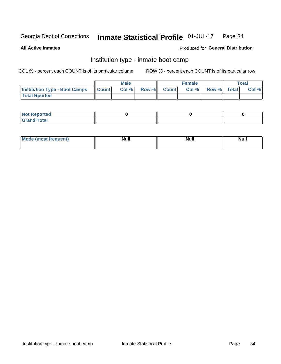#### Inmate Statistical Profile 01-JUL-17 Page 34

**All Active Inmates** 

#### Produced for General Distribution

### Institution type - inmate boot camp

COL % - percent each COUNT is of its particular column

|                                      |                  | <b>Male</b> |              |              | <b>Female</b> |             | <b>Total</b> |
|--------------------------------------|------------------|-------------|--------------|--------------|---------------|-------------|--------------|
| <b>Institution Type - Boot Camps</b> | <b>I</b> Count I | Col %       | <b>Row %</b> | <b>Count</b> | Col %         | Row % Total | Col %        |
| <b>Total Rported</b>                 |                  |             |              |              |               |             |              |

| <b>Not Reported</b>            |  |  |
|--------------------------------|--|--|
| <b>Total</b><br>C <sub>r</sub> |  |  |

| Mod<br>uamo | Nul.<br>$- - - - - -$ | <b>Null</b> | . .<br>uu.<br>------ |
|-------------|-----------------------|-------------|----------------------|
|             |                       |             |                      |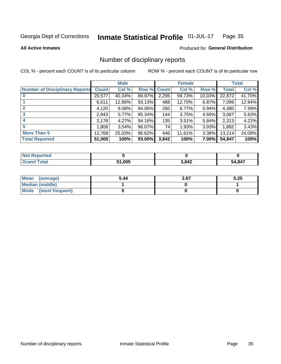#### Inmate Statistical Profile 01-JUL-17 Page 35

**All Active Inmates** 

#### Produced for General Distribution

### Number of disciplinary reports

COL % - percent each COUNT is of its particular column

|                                       |                   | <b>Male</b> |                    |       | <b>Female</b> |        |              | <b>Total</b> |
|---------------------------------------|-------------------|-------------|--------------------|-------|---------------|--------|--------------|--------------|
| <b>Number of Disciplinary Reports</b> | <b>Count</b>      | Col %       | <b>Row % Count</b> |       | Col %         | Row %  | <b>Total</b> | Col %        |
|                                       | 20,577            | 40.34%      | 89.97%             | 2,295 | 59.73%        | 10.03% | 22,872       | 41.70%       |
|                                       | 6,611             | 12.96%      | 93.13%             | 488   | 12.70%        | 6.87%  | 7,099        | 12.94%       |
|                                       | 4,120             | $8.08\%$    | 94.06%             | 260   | 6.77%         | 5.94%  | 4,380        | 7.99%        |
| 3                                     | 2,943             | 5.77%       | 95.34%             | 144   | 3.75%         | 4.66%  | 3,087        | 5.63%        |
|                                       | 2,178             | 4.27%       | 94.16%             | 135   | 3.51%         | 5.84%  | 2,313        | 4.22%        |
| 5                                     | .808 <sup>1</sup> | 3.54%       | 96.07%             | 74    | 1.93%         | 3.93%  | 1,882        | 3.43%        |
| <b>More Than 5</b>                    | 12,768            | 25.03%      | 96.62%             | 446   | 11.61%        | 3.38%  | 13,214       | 24.09%       |
| <b>Total Reported</b>                 | 51,005            | 100%        | 93.00%             | 3,842 | 100%          | 7.00%  | 54,847       | 100%         |

| Reported<br>Not <b>F</b> |        |       |        |
|--------------------------|--------|-------|--------|
| Total                    | 51,005 | 3,842 | 54,847 |

| Mean (average)       | 5.44 | 2.67 | 5.25 |
|----------------------|------|------|------|
| Median (middle)      |      |      |      |
| Mode (most frequent) |      |      |      |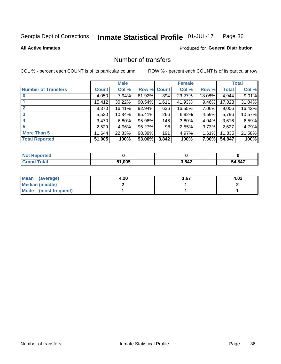#### Inmate Statistical Profile 01-JUL-17 Page 36

**All Active Inmates** 

#### **Produced for General Distribution**

### Number of transfers

COL % - percent each COUNT is of its particular column

|                            |              | <b>Male</b> |             |       | <b>Female</b> |        |        | <b>Total</b> |
|----------------------------|--------------|-------------|-------------|-------|---------------|--------|--------|--------------|
| <b>Number of Transfers</b> | <b>Count</b> | Col %       | Row % Count |       | Col %         | Row %  | Total  | Col %        |
|                            | 4,050        | 7.94%       | 81.92%      | 894   | 23.27%        | 18.08% | 4,944  | 9.01%        |
|                            | 15,412       | 30.22%      | 90.54%      | 1,611 | 41.93%        | 9.46%  | 17,023 | 31.04%       |
|                            | 8,370        | 16.41%      | 92.94%      | 636   | 16.55%        | 7.06%  | 9,006  | 16.42%       |
| 3                          | 5,530        | 10.84%      | 95.41%      | 266   | 6.92%         | 4.59%  | 5,796  | 10.57%       |
|                            | 3,470        | 6.80%       | 95.96%      | 146   | 3.80%         | 4.04%  | 3,616  | 6.59%        |
| 5                          | 2,529        | 4.96%       | 96.27%      | 98    | 2.55%         | 3.73%  | 2,627  | 4.79%        |
| <b>More Than 5</b>         | 11,644       | 22.83%      | 98.39%      | 191   | 4.97%         | 1.61%  | 11,835 | 21.58%       |
| <b>Total Reported</b>      | 51,005       | 100%        | 93.00%      | 3,842 | 100%          | 7.00%  | 54,847 | 100%         |

| Reported<br>Not <b>F</b> |        |       |        |
|--------------------------|--------|-------|--------|
| Total                    | 51,005 | 3,842 | 54,847 |

| Mean (average)       | 4.20 | 1.67 | 4.02 |
|----------------------|------|------|------|
| Median (middle)      |      |      |      |
| Mode (most frequent) |      |      |      |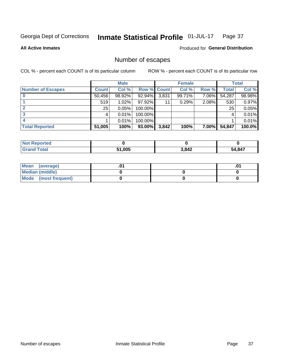#### Inmate Statistical Profile 01-JUL-17 Page 37

**All Active Inmates** 

**Produced for General Distribution** 

### Number of escapes

COL % - percent each COUNT is of its particular column

|                          |              | <b>Male</b> |                    |       | <b>Female</b> |          |        | <b>Total</b> |
|--------------------------|--------------|-------------|--------------------|-------|---------------|----------|--------|--------------|
| <b>Number of Escapes</b> | <b>Count</b> | Col %       | <b>Row % Count</b> |       | Col %         | Row %    | Total  | Col %        |
|                          | 50,456       | 98.92%      | 92.94%             | 3,831 | 99.71%        | 7.06%    | 54,287 | 98.98%       |
|                          | 519          | 1.02%       | 97.92%             | 11    | 0.29%         | 2.08%    | 530    | 0.97%        |
|                          | 25           | 0.05%       | 100.00%            |       |               |          | 25     | 0.05%        |
|                          |              | 0.01%       | $100.00\%$         |       |               |          |        | 0.01%        |
|                          |              | 0.01%       | 100.00%            |       |               |          |        | 0.01%        |
| <b>Total Reported</b>    | 51,005       | 100%        | $93.00\%$          | 3,842 | 100%          | $7.00\%$ | 54,847 | 100.0%       |

| <b>Not Reported</b> |        |       |        |
|---------------------|--------|-------|--------|
| Total               | 51,005 | 3,842 | 54,847 |

| Mean (average)       |  | .0 <sup>1</sup> |
|----------------------|--|-----------------|
| Median (middle)      |  |                 |
| Mode (most frequent) |  |                 |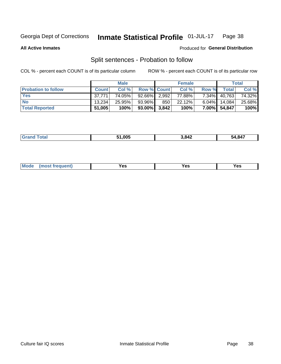#### Inmate Statistical Profile 01-JUL-17 Page 38

**All Active Inmates** 

#### Produced for General Distribution

### Split sentences - Probation to follow

COL % - percent each COUNT is of its particular column

|                            |              | <b>Male</b> |                    |     | <b>Female</b> |          |        | <b>Total</b> |
|----------------------------|--------------|-------------|--------------------|-----|---------------|----------|--------|--------------|
| <b>Probation to follow</b> | <b>Count</b> | Col%        | <b>Row % Count</b> |     | Col %         | Row %    | Total  | Col %        |
| <b>Yes</b>                 | 37.771       | 74.05%      | 92.66% 2.992       |     | 77.88%        | $7.34\%$ | 40,763 | 74.32%       |
| <b>No</b>                  | 13.234       | 25.95%      | 93.96%             | 850 | 22.12%        | $6.04\%$ | 14.084 | 25.68%       |
| <b>Total Reported</b>      | 51,005       | 100%        | $93.00\%$ 3,842    |     | 100%          | $7.00\%$ | 54,847 | 100%         |

| ______ | 1.005 | .842<br>-- | .847<br>54 |
|--------|-------|------------|------------|
|        |       |            |            |

| $Moo$<br>requent<br>′es<br>Yes<br><b>YAC</b><br>. |
|---------------------------------------------------|
|---------------------------------------------------|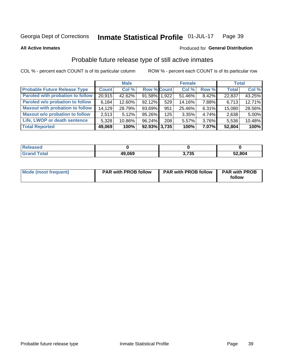#### Inmate Statistical Profile 01-JUL-17 Page 39

**All Active Inmates** 

#### Produced for General Distribution

### Probable future release type of still active inmates

COL % - percent each COUNT is of its particular column

|                                         |              | <b>Male</b> |                    |     | <b>Female</b> |          | <b>Total</b> |        |
|-----------------------------------------|--------------|-------------|--------------------|-----|---------------|----------|--------------|--------|
| <b>Probable Future Release Type</b>     | <b>Count</b> | Col %       | <b>Row % Count</b> |     | Col %         | Row %    | <b>Total</b> | Col %  |
| <b>Paroled with probation to follow</b> | 20,915       | 42.62%      | 91.58% 1,922       |     | 51.46%        | 8.42%    | 22,837       | 43.25% |
| Paroled w/o probation to follow         | 6,184        | 12.60%      | $92.12\%$          | 529 | 14.16%        | 7.88%    | 6,713        | 12.71% |
| <b>Maxout with probation to follow</b>  | 14.129       | 28.79%      | 93.69%             | 951 | 25.46%        | 6.31%    | 15,080       | 28.56% |
| <b>Maxout w/o probation to follow</b>   | 2,513        | 5.12%       | 95.26%             | 125 | 3.35%         | 4.74%    | 2,638        | 5.00%  |
| Life, LWOP or death sentence            | 5,328        | 10.86%      | 96.24%             | 208 | 5.57%         | 3.76%    | 5,536        | 10.48% |
| <b>Total Reported</b>                   | 49,069       | 100%        | $92.93\%$ 3,735    |     | 100%          | $7.07\%$ | 52,804       | 100%   |

| eleased      |        |            |        |
|--------------|--------|------------|--------|
| <b>cotal</b> | 49,069 | 70E<br>ں ر | 52,804 |

| Mode (most frequent) | <b>PAR with PROB follow</b> | <b>PAR with PROB follow</b> | <b>PAR with PROB</b> |
|----------------------|-----------------------------|-----------------------------|----------------------|
|                      |                             |                             | follow               |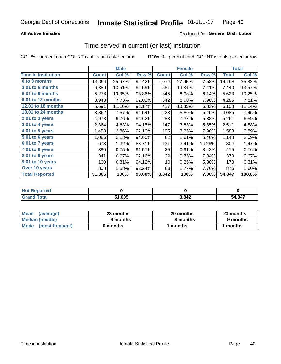## **All Active Inmates**

## Produced for General Distribution

# Time served in current (or last) institution

COL % - percent each COUNT is of its particular column

|                            | <b>Male</b>  |        |        | <b>Female</b> |        |        | <b>Total</b> |         |
|----------------------------|--------------|--------|--------|---------------|--------|--------|--------------|---------|
| <b>Time In Institution</b> | <b>Count</b> | Col %  | Row %  | <b>Count</b>  | Col %  | Row %  | <b>Total</b> | Col $%$ |
| 0 to 3 months              | 13,094       | 25.67% | 92.42% | 1,074         | 27.95% | 7.58%  | 14,168       | 25.83%  |
| <b>3.01 to 6 months</b>    | 6,889        | 13.51% | 92.59% | 551           | 14.34% | 7.41%  | 7,440        | 13.57%  |
| 6.01 to 9 months           | 5,278        | 10.35% | 93.86% | 345           | 8.98%  | 6.14%  | 5,623        | 10.25%  |
| 9.01 to 12 months          | 3,943        | 7.73%  | 92.02% | 342           | 8.90%  | 7.98%  | 4,285        | 7.81%   |
| <b>12.01 to 18 months</b>  | 5,691        | 11.16% | 93.17% | 417           | 10.85% | 6.83%  | 6,108        | 11.14%  |
| <b>18.01 to 24 months</b>  | 3,862        | 7.57%  | 94.54% | 223           | 5.80%  | 5.46%  | 4,085        | 7.45%   |
| 2.01 to 3 years            | 4,978        | 9.76%  | 94.62% | 283           | 7.37%  | 5.38%  | 5,261        | 9.59%   |
| $3.01$ to 4 years          | 2,364        | 4.63%  | 94.15% | 147           | 3.83%  | 5.85%  | 2,511        | 4.58%   |
| 4.01 to 5 years            | 1,458        | 2.86%  | 92.10% | 125           | 3.25%  | 7.90%  | 1,583        | 2.89%   |
| 5.01 to 6 years            | 1,086        | 2.13%  | 94.60% | 62            | 1.61%  | 5.40%  | 1,148        | 2.09%   |
| $6.01$ to 7 years          | 673          | 1.32%  | 83.71% | 131           | 3.41%  | 16.29% | 804          | 1.47%   |
| $7.01$ to 8 years          | 380          | 0.75%  | 91.57% | 35            | 0.91%  | 8.43%  | 415          | 0.76%   |
| $8.01$ to 9 years          | 341          | 0.67%  | 92.16% | 29            | 0.75%  | 7.84%  | 370          | 0.67%   |
| 9.01 to 10 years           | 160          | 0.31%  | 94.12% | 10            | 0.26%  | 5.88%  | 170          | 0.31%   |
| Over 10 years              | 808          | 1.58%  | 92.24% | 68            | 1.77%  | 7.76%  | 876          | 1.60%   |
| <b>Total Reported</b>      | 51,005       | 100%   | 93.00% | 3,842         | 100%   | 7.00%  | 54,847       | 100.0%  |

| INOT I<br>rreo |        |      |        |
|----------------|--------|------|--------|
|                | 51.005 | .842 | 54.847 |

| <b>Mean</b><br>(average) | 23 months | 20 months | 23 months |
|--------------------------|-----------|-----------|-----------|
| Median (middle)          | 9 months  | 8 months  | 9 months  |
| Mode<br>(most frequent)  | 0 months  | months    | ∖ months  |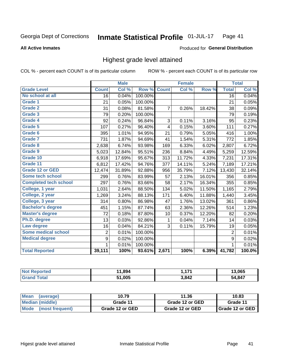**All Active Inmates** 

### Produced for General Distribution

## Highest grade level attained

COL % - percent each COUNT is of its particular column

|                              |                 | <b>Male</b> |         |              | <b>Female</b> |        |                 | <b>Total</b> |
|------------------------------|-----------------|-------------|---------|--------------|---------------|--------|-----------------|--------------|
| <b>Grade Level</b>           | <b>Count</b>    | Col %       | Row %   | <b>Count</b> | Col %         | Row %  | <b>Total</b>    | Col %        |
| No school at all             | $\overline{16}$ | 0.04%       | 100.00% |              |               |        | $\overline{16}$ | 0.04%        |
| <b>Grade 1</b>               | 21              | 0.05%       | 100.00% |              |               |        | 21              | 0.05%        |
| Grade 2                      | 31              | 0.08%       | 81.58%  | 7            | 0.26%         | 18.42% | 38              | 0.09%        |
| <b>Grade 3</b>               | 79              | 0.20%       | 100.00% |              |               |        | 79              | 0.19%        |
| <b>Grade 4</b>               | 92              | 0.24%       | 96.84%  | 3            | 0.11%         | 3.16%  | 95              | 0.23%        |
| Grade 5                      | 107             | 0.27%       | 96.40%  | 4            | 0.15%         | 3.60%  | 111             | 0.27%        |
| Grade 6                      | 395             | 1.01%       | 94.95%  | 21           | 0.79%         | 5.05%  | 416             | 1.00%        |
| <b>Grade 7</b>               | 731             | 1.87%       | 94.69%  | 41           | 1.54%         | 5.31%  | 772             | 1.85%        |
| Grade 8                      | 2,638           | 6.74%       | 93.98%  | 169          | 6.33%         | 6.02%  | 2,807           | 6.72%        |
| Grade 9                      | 5,023           | 12.84%      | 95.51%  | 236          | 8.84%         | 4.49%  | 5,259           | 12.59%       |
| Grade 10                     | 6,918           | 17.69%      | 95.67%  | 313          | 11.72%        | 4.33%  | 7,231           | 17.31%       |
| Grade 11                     | 6,812           | 17.42%      | 94.76%  | 377          | 14.11%        | 5.24%  | 7,189           | 17.21%       |
| <b>Grade 12 or GED</b>       | 12,474          | 31.89%      | 92.88%  | 956          | 35.79%        | 7.12%  | 13,430          | 32.14%       |
| <b>Some tech school</b>      | 299             | 0.76%       | 83.99%  | 57           | 2.13%         | 16.01% | 356             | 0.85%        |
| <b>Completed tech school</b> | 297             | 0.76%       | 83.66%  | 58           | 2.17%         | 16.34% | 355             | 0.85%        |
| College, 1 year              | 1,031           | 2.64%       | 88.50%  | 134          | 5.02%         | 11.50% | 1,165           | 2.79%        |
| College, 2 year              | 1,269           | 3.24%       | 88.13%  | 171          | 6.40%         | 11.88% | 1,440           | 3.45%        |
| College, 3 year              | 314             | 0.80%       | 86.98%  | 47           | 1.76%         | 13.02% | 361             | 0.86%        |
| <b>Bachelor's degree</b>     | 451             | 1.15%       | 87.74%  | 63           | 2.36%         | 12.26% | 514             | 1.23%        |
| <b>Master's degree</b>       | 72              | 0.18%       | 87.80%  | 10           | 0.37%         | 12.20% | 82              | 0.20%        |
| Ph.D. degree                 | 13              | 0.03%       | 92.86%  | 1            | 0.04%         | 7.14%  | 14              | 0.03%        |
| Law degree                   | 16              | 0.04%       | 84.21%  | 3            | 0.11%         | 15.79% | 19              | 0.05%        |
| <b>Some medical school</b>   | $\overline{2}$  | 0.01%       | 100.00% |              |               |        | $\overline{2}$  | 0.01%        |
| <b>Medical degree</b>        | 9               | 0.02%       | 100.00% |              |               |        | 9               | 0.02%        |
|                              | 1               | $0.01\%$    | 100.00% |              |               |        | $\mathbf{1}$    | 0.01%        |
| <b>Total Reported</b>        | 39,111          | 100%        | 93.61%  | 2,671        | 100%          | 6.39%  | 41,782          | 100.0%       |

| .894   | 171         | .065            |
|--------|-------------|-----------------|
| 51,005 | 3842<br>- - | <b>R47</b><br>״ |

| Mean<br>(average)    | 10.79           | 11.36           | 10.83           |
|----------------------|-----------------|-----------------|-----------------|
| Median (middle)      | Grade 11        | Grade 12 or GED | Grade 11        |
| Mode (most frequent) | Grade 12 or GED | Grade 12 or GED | Grade 12 or GED |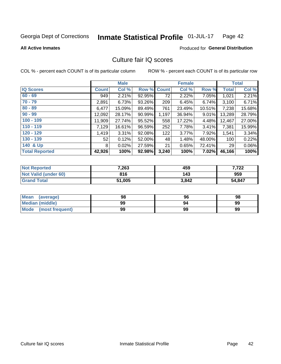#### Inmate Statistical Profile 01-JUL-17 Page 42

**All Active Inmates** 

### **Produced for General Distribution**

## Culture fair IQ scores

COL % - percent each COUNT is of its particular column

|                       |              | <b>Male</b> |                    |       | <b>Female</b> |          |                 | <b>Total</b> |
|-----------------------|--------------|-------------|--------------------|-------|---------------|----------|-----------------|--------------|
| <b>IQ Scores</b>      | <b>Count</b> | Col %       | <b>Row % Count</b> |       | Col %         | Row %    | <b>Total</b>    | Col %        |
| $60 - 69$             | 949          | 2.21%       | 92.95%             | 72    | 2.22%         | 7.05%    | 1,021           | 2.21%        |
| $70 - 79$             | 2,891        | 6.73%       | 93.26%             | 209   | 6.45%         | 6.74%    | 3,100           | 6.71%        |
| $80 - 89$             | 6,477        | 15.09%      | 89.49%             | 761   | 23.49%        | 10.51%   | 7,238           | 15.68%       |
| $90 - 99$             | 12,092       | 28.17%      | 90.99%             | 1,197 | 36.94%        | $9.01\%$ | 13,289          | 28.79%       |
| $100 - 109$           | 11,909       | 27.74%      | 95.52%             | 558   | 17.22%        | 4.48%    | 12,467          | 27.00%       |
| $110 - 119$           | 7,129        | 16.61%      | 96.59%             | 252   | 7.78%         | 3.41%    | 7,381           | 15.99%       |
| $120 - 129$           | 1,419        | 3.31%       | 92.08%             | 122   | 3.77%         | 7.92%    | 1,541           | 3.34%        |
| $130 - 139$           | 52           | 0.12%       | 52.00%             | 48    | 1.48%         | 48.00%   | 100             | 0.22%        |
| 140 & Up              | 8            | 0.02%       | 27.59%             | 21    | 0.65%         | 72.41%   | 29 <sup>1</sup> | 0.06%        |
| <b>Total Reported</b> | 42,926       | 100%        | 92.98%             | 3,240 | 100%          | 7.02%    | 46,166          | 100%         |

| <b>Not Reported</b>         | 7,263  | 459   | 7,722  |
|-----------------------------|--------|-------|--------|
| <b>Not Valid (under 60)</b> | 816    | 143   | 959    |
| <b>Grand Total</b>          | 51,005 | 3,842 | 54,847 |

| <b>Mean</b><br>(average) | 98 | 96 | 98 |
|--------------------------|----|----|----|
| <b>Median (middle)</b>   | 99 | 94 | 99 |
| Mode<br>(most frequent)  | 99 | 99 | 99 |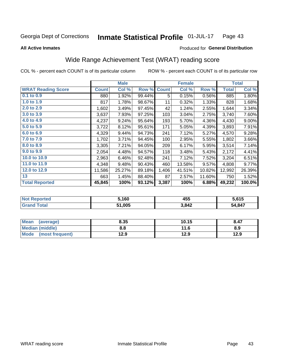#### Inmate Statistical Profile 01-JUL-17 Page 43

**All Active Inmates** 

### Produced for General Distribution

# Wide Range Achievement Test (WRAT) reading score

COL % - percent each COUNT is of its particular column

|                           |              | <b>Male</b> |        |              | <b>Female</b> |        |              | <b>Total</b> |
|---------------------------|--------------|-------------|--------|--------------|---------------|--------|--------------|--------------|
| <b>WRAT Reading Score</b> | <b>Count</b> | Col %       | Row %  | <b>Count</b> | Col %         | Row %  | <b>Total</b> | Col %        |
| $0.1$ to $0.9$            | 880          | 1.92%       | 99.44% | 5            | 0.15%         | 0.56%  | 885          | 1.80%        |
| 1.0 to 1.9                | 817          | 1.78%       | 98.67% | 11           | 0.32%         | 1.33%  | 828          | 1.68%        |
| 2.0 to 2.9                | 1,602        | 3.49%       | 97.45% | 42           | 1.24%         | 2.55%  | 1,644        | 3.34%        |
| 3.0 to 3.9                | 3,637        | 7.93%       | 97.25% | 103          | 3.04%         | 2.75%  | 3,740        | 7.60%        |
| 4.0 to 4.9                | 4,237        | 9.24%       | 95.64% | 193          | 5.70%         | 4.36%  | 4,430        | $9.00\%$     |
| 5.0 to 5.9                | 3,722        | 8.12%       | 95.61% | 171          | 5.05%         | 4.39%  | 3,893        | 7.91%        |
| 6.0 to 6.9                | 4,329        | 9.44%       | 94.73% | 241          | 7.12%         | 5.27%  | 4,570        | 9.28%        |
| 7.0 to 7.9                | 1,702        | 3.71%       | 94.45% | 100          | 2.95%         | 5.55%  | 1,802        | 3.66%        |
| 8.0 to 8.9                | 3,305        | 7.21%       | 94.05% | 209          | 6.17%         | 5.95%  | 3,514        | 7.14%        |
| 9.0 to 9.9                | 2,054        | 4.48%       | 94.57% | 118          | 3.48%         | 5.43%  | 2,172        | 4.41%        |
| 10.0 to 10.9              | 2,963        | 6.46%       | 92.48% | 241          | 7.12%         | 7.52%  | 3,204        | 6.51%        |
| 11.0 to 11.9              | 4,348        | 9.48%       | 90.43% | 460          | 13.58%        | 9.57%  | 4,808        | 9.77%        |
| 12.0 to 12.9              | 11,586       | 25.27%      | 89.18% | 1,406        | 41.51%        | 10.82% | 12,992       | 26.39%       |
| 13                        | 663          | 1.45%       | 88.40% | 87           | 2.57%         | 11.60% | 750          | 1.52%        |
| <b>Total Reported</b>     | 45,845       | 100%        | 93.12% | 3,387        | 100%          | 6.88%  | 49,232       | 100.0%       |

| Reported<br><b>NOT</b>       | ,160   | .<br>455 | 5.615  |
|------------------------------|--------|----------|--------|
| <b>Total</b><br><b>Grand</b> | 51,005 | 3,842    | 54,847 |

| <b>Mean</b><br>(average) | 8.35 | 10.15 | 8.47 |
|--------------------------|------|-------|------|
| Median (middle)          | 8.8  | 11.6  | 8.9  |
| Mode<br>(most frequent)  | 12.9 | 12.9  | 12.9 |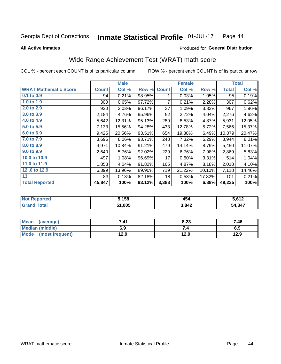#### Inmate Statistical Profile 01-JUL-17 Page 44

### **All Active Inmates**

## Produced for General Distribution

# Wide Range Achievement Test (WRAT) math score

COL % - percent each COUNT is of its particular column

|                              |              | <b>Male</b> |        |                | <b>Female</b> |        |              | <b>Total</b> |
|------------------------------|--------------|-------------|--------|----------------|---------------|--------|--------------|--------------|
| <b>WRAT Mathematic Score</b> | <b>Count</b> | Col %       | Row %  | <b>Count</b>   | Col %         | Row %  | <b>Total</b> | Col %        |
| $0.1$ to $0.9$               | 94           | 0.21%       | 98.95% | 1              | 0.03%         | 1.05%  | 95           | 0.19%        |
| 1.0 to 1.9                   | 300          | 0.65%       | 97.72% | $\overline{7}$ | 0.21%         | 2.28%  | 307          | 0.62%        |
| 2.0 to 2.9                   | 930          | 2.03%       | 96.17% | 37             | 1.09%         | 3.83%  | 967          | 1.96%        |
| 3.0 to 3.9                   | 2,184        | 4.76%       | 95.96% | 92             | 2.72%         | 4.04%  | 2,276        | 4.62%        |
| 4.0 to 4.9                   | 5,642        | 12.31%      | 95.13% | 289            | 8.53%         | 4.87%  | 5,931        | 12.05%       |
| 5.0 to 5.9                   | 7,133        | 15.56%      | 94.28% | 433            | 12.78%        | 5.72%  | 7,566        | 15.37%       |
| 6.0 to 6.9                   | 9,425        | 20.56%      | 93.51% | 654            | 19.30%        | 6.49%  | 10,079       | 20.47%       |
| 7.0 to 7.9                   | 3,696        | 8.06%       | 93.71% | 248            | 7.32%         | 6.29%  | 3,944        | 8.01%        |
| 8.0 to 8.9                   | 4,971        | 10.84%      | 91.21% | 479            | 14.14%        | 8.79%  | 5,450        | 11.07%       |
| 9.0 to 9.9                   | 2,640        | 5.76%       | 92.02% | 229            | 6.76%         | 7.98%  | 2,869        | 5.83%        |
| 10.0 to 10.9                 | 497          | 1.08%       | 96.69% | 17             | 0.50%         | 3.31%  | 514          | 1.04%        |
| 11.0 to 11.9                 | 1,853        | 4.04%       | 91.82% | 165            | 4.87%         | 8.18%  | 2,018        | 4.10%        |
| 12.0 to 12.9                 | 6,399        | 13.96%      | 89.90% | 719            | 21.22%        | 10.10% | 7,118        | 14.46%       |
| 13                           | 83           | 0.18%       | 82.18% | 18             | 0.53%         | 17.82% | 101          | 0.21%        |
| <b>Total Reported</b>        | 45,847       | 100%        | 93.12% | 3,388          | 100%          | 6.88%  | 49,235       | 100%         |

| <b>Not Reported</b>          | 5,158  | 454   | 5,612  |
|------------------------------|--------|-------|--------|
| <b>Total</b><br><b>Grand</b> | 51,005 | 3,842 | 54,847 |

| Mean (average)       | 7.41 | 8.23 | 7.46 |
|----------------------|------|------|------|
| Median (middle)      | 6.9  |      | 6.9  |
| Mode (most frequent) | 12.9 | 12.9 | 12.9 |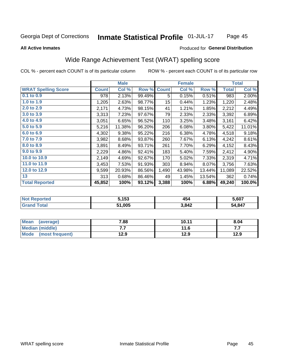#### Inmate Statistical Profile 01-JUL-17 Page 45

### **All Active Inmates**

### Produced for General Distribution

## Wide Range Achievement Test (WRAT) spelling score

COL % - percent each COUNT is of its particular column

|                            |              | <b>Male</b> |        |                  | <b>Female</b> |         |              | <b>Total</b> |
|----------------------------|--------------|-------------|--------|------------------|---------------|---------|--------------|--------------|
| <b>WRAT Spelling Score</b> | <b>Count</b> | Col %       | Row %  | <b>Count</b>     | Col %         | Row %   | <b>Total</b> | Col %        |
| 0.1 to 0.9                 | 978          | 2.13%       | 99.49% | 5                | 0.15%         | 0.51%   | 983          | 2.00%        |
| 1.0 to 1.9                 | 1,205        | 2.63%       | 98.77% | 15 <sub>15</sub> | 0.44%         | 1.23%   | 1,220        | 2.48%        |
| 2.0 to 2.9                 | 2,171        | 4.73%       | 98.15% | 41               | 1.21%         | 1.85%   | 2,212        | 4.49%        |
| 3.0 to 3.9                 | 3,313        | 7.23%       | 97.67% | 79               | 2.33%         | 2.33%   | 3,392        | 6.89%        |
| 4.0 to 4.9                 | 3,051        | 6.65%       | 96.52% | 110              | 3.25%         | 3.48%   | 3,161        | 6.42%        |
| 5.0 to 5.9                 | 5,216        | 11.38%      | 96.20% | 206              | 6.08%         | 3.80%   | 5,422        | 11.01%       |
| 6.0 to 6.9                 | 4,302        | 9.38%       | 95.22% | 216              | 6.38%         | 4.78%   | 4,518        | 9.18%        |
| 7.0 to 7.9                 | 3,982        | 8.68%       | 93.87% | 260              | 7.67%         | 6.13%   | 4,242        | 8.61%        |
| 8.0 to 8.9                 | 3,891        | 8.49%       | 93.71% | 261              | 7.70%         | 6.29%   | 4,152        | 8.43%        |
| 9.0 to 9.9                 | 2,229        | 4.86%       | 92.41% | 183              | 5.40%         | 7.59%   | 2,412        | 4.90%        |
| 10.0 to 10.9               | 2,149        | 4.69%       | 92.67% | 170              | 5.02%         | 7.33%   | 2,319        | 4.71%        |
| 11.0 to 11.9               | 3,453        | 7.53%       | 91.93% | 303              | 8.94%         | 8.07%   | 3,756        | 7.63%        |
| 12.0 to 12.9               | 9,599        | 20.93%      | 86.56% | 1,490            | 43.98%        | 13.44%  | 11,089       | 22.52%       |
| 13                         | 313          | 0.68%       | 86.46% | 49               | 1.45%         | 13.54%l | 362          | 0.74%        |
| <b>Total Reported</b>      | 45,852       | 100%        | 93.12% | 3,388            | 100%          | 6.88%   | 49,240       | 100.0%       |

| Teu | . <i>45</i> 0 | $\overline{\phantom{a}}$ | 5.607  |
|-----|---------------|--------------------------|--------|
| NO  | 153           | +ാ″                      |        |
|     | 51.005        | 3,842                    | 54.847 |

| <b>Mean</b><br>(average) | 7.88 | 10.11 | 8.04 |
|--------------------------|------|-------|------|
| Median (middle)          | .    | 11.6  | .    |
| Mode<br>(most frequent)  | 12.9 | 12.9  | 12.9 |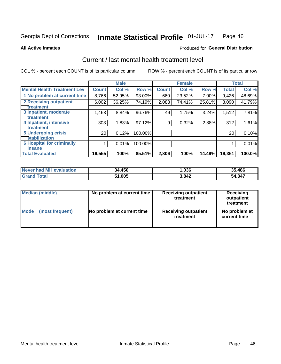#### Inmate Statistical Profile 01-JUL-17 Page 46

**All Active Inmates** 

### **Produced for General Distribution**

# Current / last mental health treatment level

COL % - percent each COUNT is of its particular column

|                                    |                 | <b>Male</b> |           |              | <b>Female</b> |        |              | <b>Total</b> |
|------------------------------------|-----------------|-------------|-----------|--------------|---------------|--------|--------------|--------------|
| <b>Mental Health Treatment Lev</b> | <b>Count</b>    | Col %       | Row %     | <b>Count</b> | Col %         | Row %  | <b>Total</b> | Col %        |
| 1 No problem at current time       | 8,766           | 52.95%      | $93.00\%$ | 660          | 23.52%        | 7.00%  | 9,426        | 48.69%       |
| 2 Receiving outpatient             | 6,002           | 36.25%      | 74.19%    | 2,088        | 74.41%        | 25.81% | 8,090        | 41.79%       |
| <b>Treatment</b>                   |                 |             |           |              |               |        |              |              |
| 3 Inpatient, moderate              | 1,463           | 8.84%       | 96.76%    | 49           | 1.75%         | 3.24%  | 1,512        | 7.81%        |
| <b>Treatment</b>                   |                 |             |           |              |               |        |              |              |
| 4 Inpatient, intensive             | 303             | 1.83%       | 97.12%    | 9            | 0.32%         | 2.88%  | 312          | 1.61%        |
| <b>Treatment</b>                   |                 |             |           |              |               |        |              |              |
| <b>5 Undergoing crisis</b>         | 20 <sub>1</sub> | 0.12%       | 100.00%   |              |               |        | 20           | 0.10%        |
| <b>stabilization</b>               |                 |             |           |              |               |        |              |              |
| <b>6 Hospital for criminally</b>   |                 | 0.01%       | 100.00%   |              |               |        |              | 0.01%        |
| <b>Tinsane</b>                     |                 |             |           |              |               |        |              |              |
| <b>Total Evaluated</b>             | 16,555          | 100%        | 85.51%    | 2,806        | 100%          | 14.49% | 19,361       | 100.0%       |

| Never had MH evaluation          | 34,450 | ,036  | 35.486 |
|----------------------------------|--------|-------|--------|
| <sup>-</sup> otal<br><b>Grar</b> | 51,005 | 3,842 | 54,847 |

| Median (middle) | No problem at current time | <b>Receiving outpatient</b><br>treatment | <b>Receiving</b><br>outpatient<br>treatment |
|-----------------|----------------------------|------------------------------------------|---------------------------------------------|
| <b>Mode</b>     | No problem at current time | <b>Receiving outpatient</b>              | No problem at                               |
| (most frequent) |                            | treatment                                | current time                                |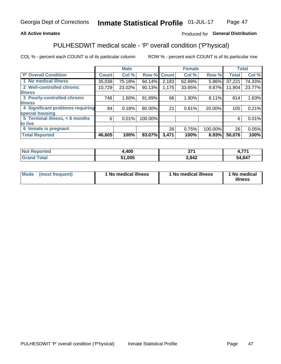## **All Active Inmates**

## Produced for General Distribution

# PULHESDWIT medical scale - 'P' overall condition ('P'hysical)

COL % - percent each COUNT is of its particular column

|                                  |              | <b>Male</b> |         |              | <b>Female</b> |         |              | <b>Total</b> |
|----------------------------------|--------------|-------------|---------|--------------|---------------|---------|--------------|--------------|
| 'P' Overall Condition            | <b>Count</b> | Col %       | Row %   | <b>Count</b> | Col %         | Row %   | <b>Total</b> | Col %        |
| 1 No medical illness             | 35,038       | 75.18%      | 94.14%  | 2,183        | 62.89%        | 5.86%   | 37,221       | 74.33%       |
| 2 Well-controlled chronic        | 10,729       | 23.02%      | 90.13%  | 1,175        | 33.85%        | 9.87%   | 11,904       | 23.77%       |
| <b>illness</b>                   |              |             |         |              |               |         |              |              |
| 3 Poorly-controlled chronic      | 748          | $1.60\%$    | 91.89%  | 66           | 1.90%         | 8.11%   | 814          | 1.63%        |
| <b>illness</b>                   |              |             |         |              |               |         |              |              |
| 4 Significant problems requiring | 84           | 0.18%       | 80.00%  | 21           | 0.61%         | 20.00%  | 105          | 0.21%        |
| special housing                  |              |             |         |              |               |         |              |              |
| 5 Terminal illness, < 6 months   | 6            | 0.01%       | 100.00% |              |               |         | 6            | 0.01%        |
| to live                          |              |             |         |              |               |         |              |              |
| 6 Inmate is pregnant             |              |             |         | 26           | 0.75%         | 100.00% | 26           | 0.05%        |
| <b>Total Reported</b>            | 46,605       | 100%        | 93.07%  | 3,471        | 100%          | 6.93%   | 50,076       | 100%         |

| тео | .400       | 57,<br><u>JI</u> | $\rightarrow$ |
|-----|------------|------------------|---------------|
|     | <b>OOE</b> | 3842             | 54,847        |

| Mode | (most frequent) | 1 No medical illness | 1 No medical illness | 1 No medical<br>illness |
|------|-----------------|----------------------|----------------------|-------------------------|
|------|-----------------|----------------------|----------------------|-------------------------|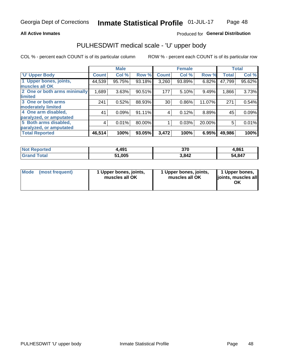### **All Active Inmates**

## Produced for General Distribution

# PULHESDWIT medical scale - 'U' upper body

COL % - percent each COUNT is of its particular column

|                              |              | <b>Male</b> |        |              | <b>Female</b> |        |              | <b>Total</b> |
|------------------------------|--------------|-------------|--------|--------------|---------------|--------|--------------|--------------|
| <b>U' Upper Body</b>         | <b>Count</b> | Col %       | Row %  | <b>Count</b> | Col %         | Row %  | <b>Total</b> | Col %        |
| 1 Upper bones, joints,       | 44,539       | 95.75%      | 93.18% | 3,260        | 93.89%        | 6.82%  | 47,799       | $95.62\%$    |
| muscles all OK               |              |             |        |              |               |        |              |              |
| 2 One or both arms minimally | 1,689        | 3.63%       | 90.51% | 177          | 5.10%         | 9.49%  | 1,866        | 3.73%        |
| limited                      |              |             |        |              |               |        |              |              |
| 3 One or both arms           | 241          | 0.52%       | 88.93% | 30           | 0.86%         | 11.07% | 271          | 0.54%        |
| <b>moderately limited</b>    |              |             |        |              |               |        |              |              |
| 4 One arm disabled,          | 41           | 0.09%       | 91.11% | 4            | 0.12%         | 8.89%  | 45           | 0.09%        |
| paralyzed, or amputated      |              |             |        |              |               |        |              |              |
| 5 Both arms disabled,        | 4            | 0.01%       | 80.00% |              | 0.03%         | 20.00% | 5            | 0.01%        |
| paralyzed, or amputated      |              |             |        |              |               |        |              |              |
| <b>Total Reported</b>        | 46,514       | 100%        | 93.05% | 3,472        | 100%          | 6.95%  | 49,986       | 100%         |

| <b>Not Reported</b>          | 4,491  | 370   | 4,861  |
|------------------------------|--------|-------|--------|
| <b>Total</b><br><b>Grand</b> | 51,005 | 3,842 | 54,847 |

| Mode<br>(most frequent) | 1 Upper bones, joints,<br>muscles all OK | 1 Upper bones, joints,<br>muscles all OK | 1 Upper bones,<br>joints, muscles all<br>ΟK |
|-------------------------|------------------------------------------|------------------------------------------|---------------------------------------------|
|-------------------------|------------------------------------------|------------------------------------------|---------------------------------------------|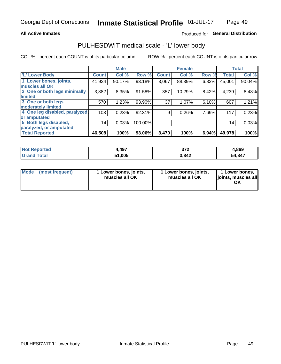### **All Active Inmates**

## Produced for General Distribution

## PULHESDWIT medical scale - 'L' lower body

COL % - percent each COUNT is of its particular column

|                                |              | <b>Male</b> |         |              | <b>Female</b> |       |                 | <b>Total</b> |
|--------------------------------|--------------|-------------|---------|--------------|---------------|-------|-----------------|--------------|
| 'L' Lower Body                 | <b>Count</b> | Col %       | Row %   | <b>Count</b> | Col %         | Row % | <b>Total</b>    | Col %        |
| 1 Lower bones, joints,         | 41,934       | 90.17%      | 93.18%  | 3,067        | 88.39%        | 6.82% | 45,001          | 90.04%       |
| muscles all OK                 |              |             |         |              |               |       |                 |              |
| 2 One or both legs minimally   | 3,882        | 8.35%       | 91.58%  | 357          | 10.29%        | 8.42% | 4,239           | 8.48%        |
| limited                        |              |             |         |              |               |       |                 |              |
| 3 One or both legs             | 570          | 1.23%       | 93.90%  | 37           | 1.07%         | 6.10% | 607             | 1.21%        |
| moderately limited             |              |             |         |              |               |       |                 |              |
| 4 One leg disabled, paralyzed, | 108          | 0.23%       | 92.31%  | 9            | 0.26%         | 7.69% | 117             | 0.23%        |
| or amputated                   |              |             |         |              |               |       |                 |              |
| 5 Both legs disabled,          | 14           | 0.03%       | 100.00% |              |               |       | 14 <sub>1</sub> | 0.03%        |
| paralyzed, or amputated        |              |             |         |              |               |       |                 |              |
| <b>Total Reported</b>          | 46,508       | 100%        | 93.06%  | 3,470        | 100%          | 6.94% | 49,978          | 100%         |

| <b>Not Reported</b>   | 4,497  | ヘフヘ<br>- 21 – | 4,869  |
|-----------------------|--------|---------------|--------|
| <b>Total</b><br>Grand | 51,005 | 3,842         | 54,847 |

| Mode (most frequent) | I Lower bones, joints,<br>muscles all OK | 1 Lower bones, joints,<br>muscles all OK | 1 Lower bones,<br>joints, muscles all<br>ΟK |
|----------------------|------------------------------------------|------------------------------------------|---------------------------------------------|
|----------------------|------------------------------------------|------------------------------------------|---------------------------------------------|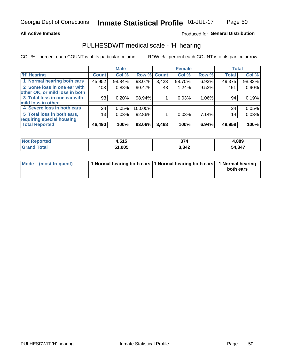### **All Active Inmates**

## Produced for General Distribution

## PULHESDWIT medical scale - 'H' hearing

COL % - percent each COUNT is of its particular column

|                                |                 | <b>Male</b> |             |       | <b>Female</b> |       | <b>Total</b> |        |
|--------------------------------|-----------------|-------------|-------------|-------|---------------|-------|--------------|--------|
| <b>'H' Hearing</b>             | <b>Count</b>    | Col %       | Row % Count |       | Col %         | Row % | <b>Total</b> | Col %  |
| 1 Normal hearing both ears     | 45,952          | 98.84%      | 93.07%      | 3,423 | 98.70%        | 6.93% | 49,375       | 98.83% |
| 2 Some loss in one ear with    | 408             | 0.88%       | 90.47%      | 43    | 1.24%         | 9.53% | 451          | 0.90%  |
| other OK, or mild loss in both |                 |             |             |       |               |       |              |        |
| 3 Total loss in one ear with   | 93              | 0.20%       | 98.94%      |       | 0.03%         | 1.06% | 94           | 0.19%  |
| mild loss in other             |                 |             |             |       |               |       |              |        |
| 4 Severe loss in both ears     | 24              | 0.05%       | 100.00%     |       |               |       | 24           | 0.05%  |
| 5 Total loss in both ears,     | 13 <sub>1</sub> | 0.03%       | 92.86%      |       | 0.03%         | 7.14% | 14           | 0.03%  |
| requiring special housing      |                 |             |             |       |               |       |              |        |
| <b>Total Reported</b>          | 46,490          | 100%        | 93.06%      | 3,468 | 100%          | 6.94% | 49,958       | 100%   |

| orted<br><b>NOT</b> | <b>CAC</b><br>4.J I J | 274   | 4,889  |
|---------------------|-----------------------|-------|--------|
| $T$ atal $T$        | 51.005                | 3,842 | 54,847 |

| Mode (most frequent) | 1 Normal hearing both ears 11 Normal hearing both ears 1 Normal hearing | both ears |
|----------------------|-------------------------------------------------------------------------|-----------|
|                      |                                                                         |           |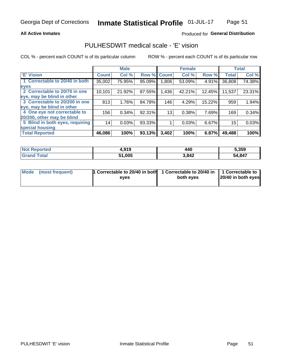### **All Active Inmates**

### Produced for General Distribution

## PULHESDWIT medical scale - 'E' vision

COL % - percent each COUNT is of its particular column

|                                 |              | <b>Male</b> |        |                 | <b>Female</b> |        |              | <b>Total</b> |
|---------------------------------|--------------|-------------|--------|-----------------|---------------|--------|--------------|--------------|
| 'E' Vision                      | <b>Count</b> | Col %       | Row %  | <b>Count</b>    | Col %         | Row %  | <b>Total</b> | Col %        |
| 1 Correctable to 20/40 in both  | 35,002       | 75.95%      | 95.09% | ا 806.          | 53.09%        | 4.91%  | 36,808       | 74.38%       |
| eyes                            |              |             |        |                 |               |        |              |              |
| 2 Correctable to 20/70 in one   | 10,101       | 21.92%      | 87.55% | 1,436           | 42.21%        | 12.45% | 11,537       | 23.31%       |
| eye, may be blind in other      |              |             |        |                 |               |        |              |              |
| 3 Correctable to 20/200 in one  | 813          | 1.76%       | 84.78% | 146             | 4.29%         | 15.22% | 959          | 1.94%        |
| eye, may be blind in other      |              |             |        |                 |               |        |              |              |
| 4 One eye not correctable to    | 156          | 0.34%       | 92.31% | 13 <sub>1</sub> | 0.38%         | 7.69%  | 169          | 0.34%        |
| 20/200, other may be blind      |              |             |        |                 |               |        |              |              |
| 5 Blind in both eyes, requiring | 14           | 0.03%       | 93.33% |                 | 0.03%         | 6.67%  | 15           | 0.03%        |
| special housing                 |              |             |        |                 |               |        |              |              |
| <b>Total Reported</b>           | 46,086       | 100%        | 93.13% | 3,402           | 100%          | 6.87%  | 49,488       | 100%         |

| <b>Not Reported</b> | 4,919  | 440   | 5,359      |
|---------------------|--------|-------|------------|
| <b>Total</b>        | 51,005 | 3,842 | ,847<br>54 |

| Mode (most frequent) | 1 Correctable to 20/40 in both<br>eves | 1 Correctable to 20/40 in   1 Correctable to  <br>both eves | 20/40 in both eyes |
|----------------------|----------------------------------------|-------------------------------------------------------------|--------------------|
|                      |                                        |                                                             |                    |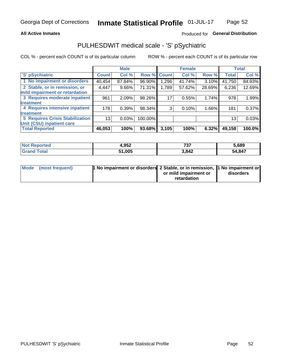### **All Active Inmates**

## Produced for General Distribution

# PULHESDWIT medical scale - 'S' pSychiatric

COL % - percent each COUNT is of its particular column

|                                        |              | <b>Male</b> |           |             | <b>Female</b> |        |              | <b>Total</b> |
|----------------------------------------|--------------|-------------|-----------|-------------|---------------|--------|--------------|--------------|
| 'S' pSychiatric                        | <b>Count</b> | Col %       |           | Row % Count | Col %         | Row %  | <b>Total</b> | Col %        |
| 1 No impairment or disorders           | 40,454       | 87.84%      | 96.90%    | 1,296       | 41.74%        | 3.10%  | 41,750       | 84.93%       |
| 2 Stable, or in remission, or          | 4,447        | $9.66\%$    | 71.31%    | 1,789       | 57.62%        | 28.69% | 6,236        | 12.69%       |
| mild impairment or retardation         |              |             |           |             |               |        |              |              |
| 3 Requires moderate inpatient          | 961          | 2.09%       | 98.26%    | 17          | 0.55%         | 1.74%  | 978          | 1.99%        |
| treatment                              |              |             |           |             |               |        |              |              |
| 4 Requires intensive inpatient         | 178          | 0.39%       | 98.34%    | 3           | 0.10%         | 1.66%  | 181          | 0.37%        |
| treatment                              |              |             |           |             |               |        |              |              |
| <b>5 Requires Crisis Stabilization</b> | 13           | 0.03%       | 100.00%   |             |               |        | 13           | 0.03%        |
| Unit (CSU) inpatient care              |              |             |           |             |               |        |              |              |
| <b>Total Reported</b>                  | 46,053       | 100%        | $93.68\%$ | 3,105       | 100%          | 6.32%  | 49,158       | 100.0%       |

| <b>Not Reported</b>      | <b>QR2</b><br>4.JJZ | 707<br>ו טו | 5,689  |
|--------------------------|---------------------|-------------|--------|
| $\mathsf{Total}$<br>Gran | 51,005              | 3,842       | 54,847 |

| Mode (most frequent) | <b>1 No impairment or disorders 2 Stable, or in remission, 1 No impairment or</b> |                       |           |
|----------------------|-----------------------------------------------------------------------------------|-----------------------|-----------|
|                      |                                                                                   | or mild impairment or | disorders |
|                      |                                                                                   | retardation           |           |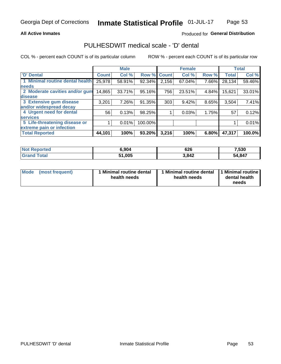### **All Active Inmates**

## Produced for General Distribution

# PULHESDWIT medical scale - 'D' dental

COL % - percent each COUNT is of its particular column

|                                 |              | <b>Male</b> |         |              | <b>Female</b> |       |              | <b>Total</b> |
|---------------------------------|--------------|-------------|---------|--------------|---------------|-------|--------------|--------------|
| <b>D'</b> Dental                | <b>Count</b> | Col %       | Row %   | <b>Count</b> | Col %         | Row % | <b>Total</b> | Col %        |
| 1 Minimal routine dental health | 25,978       | 58.91%      | 92.34%  | 2,156        | 67.04%        | 7.66% | 28,134       | 59.46%       |
| <b>needs</b>                    |              |             |         |              |               |       |              |              |
| 2 Moderate cavities and/or gum  | 14,865       | 33.71%      | 95.16%  | 756          | 23.51%        | 4.84% | 15,621       | 33.01%       |
| disease                         |              |             |         |              |               |       |              |              |
| 3 Extensive gum disease         | 3,201        | 7.26%       | 91.35%  | 303          | 9.42%         | 8.65% | 3,504        | 7.41%        |
| and/or widespread decay         |              |             |         |              |               |       |              |              |
| 4 Urgent need for dental        | 56           | 0.13%       | 98.25%  |              | 0.03%         | 1.75% | 57           | 0.12%        |
| <b>services</b>                 |              |             |         |              |               |       |              |              |
| 5 Life-threatening disease or   |              | 0.01%       | 100.00% |              |               |       |              | 0.01%        |
| extreme pain or infection       |              |             |         |              |               |       |              |              |
| <b>Total Reported</b>           | 44,101       | 100%        | 93.20%  | 3,216        | 100%          | 6.80% | 47,317       | 100.0%       |

| <b>Not Reported</b> | <b>5.904</b> | 626   | 7,530      |
|---------------------|--------------|-------|------------|
| Гоtal               | 51,005       | 3,842 | ,847<br>54 |

| 1 Minimal routine dental<br>Mode<br>(most frequent)<br>health needs | 1 Minimal routine dental 1 Minimal routine<br>health needs | dental health<br>needs |
|---------------------------------------------------------------------|------------------------------------------------------------|------------------------|
|---------------------------------------------------------------------|------------------------------------------------------------|------------------------|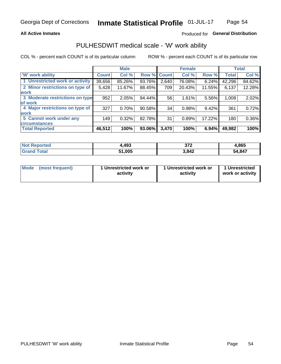### **All Active Inmates**

## Produced for General Distribution

## PULHESDWIT medical scale - 'W' work ability

COL % - percent each COUNT is of its particular column

|                                 |              | <b>Male</b> |        |             | <b>Female</b> |        |              | <b>Total</b> |
|---------------------------------|--------------|-------------|--------|-------------|---------------|--------|--------------|--------------|
| <b>W' work ability</b>          | <b>Count</b> | Col %       |        | Row % Count | Col %         | Row %  | <b>Total</b> | Col %        |
| 1 Unrestricted work or activity | 39,656       | 85.26%      | 93.76% | 2,640       | 76.08%        | 6.24%  | 42,296       | 84.62%       |
| 2 Minor restrictions on type of | 5,428        | 11.67%      | 88.45% | 709         | 20.43%        | 11.55% | 6,137        | 12.28%       |
| <b>work</b>                     |              |             |        |             |               |        |              |              |
| 3 Moderate restrictions on type | 952          | 2.05%       | 94.44% | 56          | 1.61%         | 5.56%  | 1,008        | 2.02%        |
| lof work                        |              |             |        |             |               |        |              |              |
| 4 Major restrictions on type of | 327          | 0.70%       | 90.58% | 34          | 0.98%         | 9.42%  | 361          | 0.72%        |
| <b>work</b>                     |              |             |        |             |               |        |              |              |
| 5 Cannot work under any         | 149          | 0.32%       | 82.78% | 31          | 0.89%         | 17.22% | 180          | 0.36%        |
| <b>circumstances</b>            |              |             |        |             |               |        |              |              |
| <b>Total Reported</b>           | 46,512       | 100%        | 93.06% | 3,470       | 100%          | 6.94%  | 49,982       | 100%         |

| <b>Not Reported</b>   | ,493   | ヘフヘ<br>91 Z | 4,865  |
|-----------------------|--------|-------------|--------|
| Total<br><b>Grand</b> | 51,005 | 3,842       | 54,847 |

| Mode            | 1 Unrestricted work or | 1 Unrestricted work or | 1 Unrestricted   |
|-----------------|------------------------|------------------------|------------------|
| (most frequent) | activity               | activity               | work or activity |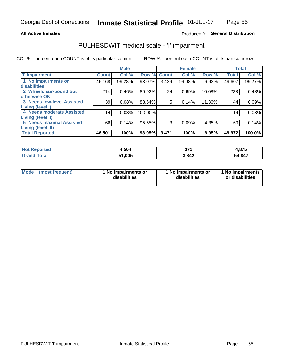### **All Active Inmates**

### Produced for General Distribution

# PULHESDWIT medical scale - 'I' impairment

COL % - percent each COUNT is of its particular column

|                                   |              | <b>Male</b> |         |             | <b>Female</b> |        |              | <b>Total</b> |
|-----------------------------------|--------------|-------------|---------|-------------|---------------|--------|--------------|--------------|
| <b>T' Impairment</b>              | <b>Count</b> | Col %       |         | Row % Count | Col %         | Row %  | <b>Total</b> | Col %        |
| 1 No impairments or               | 46,168       | 99.28%      | 93.07%  | 3,439       | 99.08%        | 6.93%  | 49,607       | 99.27%       |
| <b>disabilities</b>               |              |             |         |             |               |        |              |              |
| 2 Wheelchair-bound but            | 214          | 0.46%       | 89.92%  | 24          | 0.69%         | 10.08% | 238          | 0.48%        |
| otherwise OK                      |              |             |         |             |               |        |              |              |
| <b>3 Needs low-level Assisted</b> | 39           | 0.08%       | 88.64%  | 5           | 0.14%         | 11.36% | 44           | 0.09%        |
| Living (level I)                  |              |             |         |             |               |        |              |              |
| 4 Needs moderate Assisted         | 14           | 0.03%       | 100.00% |             |               |        | 14           | 0.03%        |
| <b>Living (level II)</b>          |              |             |         |             |               |        |              |              |
| <b>5 Needs maximal Assisted</b>   | 66           | 0.14%       | 95.65%  | 3           | 0.09%         | 4.35%  | 69           | 0.14%        |
| Living (level III)                |              |             |         |             |               |        |              |              |
| <b>Total Reported</b>             | 46,501       | 100%        | 93.05%  | 3,471       | 100%          | 6.95%  | 49,972       | 100.0%       |

| <b>Not</b><br>Reported | 4,504  | っつく   | 4,875  |
|------------------------|--------|-------|--------|
| <b>otal</b>            | 51,005 | 3,842 | 54,847 |

| Mode | (most frequent) | 1 No impairments or<br>disabilities | 1 No impairments or<br>disabilities | 1 No impairments<br>or disabilities |
|------|-----------------|-------------------------------------|-------------------------------------|-------------------------------------|
|------|-----------------|-------------------------------------|-------------------------------------|-------------------------------------|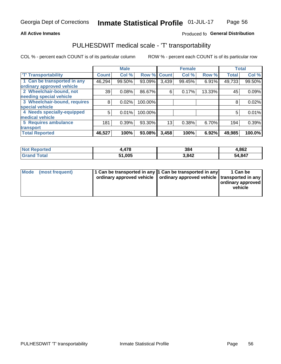### **All Active Inmates**

## Produced fo General Distribution

# PULHESDWIT medical scale - 'T' transportability

COL % - percent each COUNT is of its particular column

|                              |                    | <b>Male</b> |         |              | <b>Female</b> |        |              | <b>Total</b> |
|------------------------------|--------------------|-------------|---------|--------------|---------------|--------|--------------|--------------|
| <b>T' Transportability</b>   | Count <sup>!</sup> | Col %       | Row %   | <b>Count</b> | Col %         | Row %  | <b>Total</b> | Col %        |
| 1 Can be transported in any  | 46,294             | 99.50%      | 93.09%  | 3,439        | 99.45%        | 6.91%  | 49,733       | 99.50%       |
| ordinary approved vehicle    |                    |             |         |              |               |        |              |              |
| 2 Wheelchair-bound, not      | 39                 | 0.08%       | 86.67%  | 6            | 0.17%         | 13.33% | 45           | 0.09%        |
| needing special vehicle      |                    |             |         |              |               |        |              |              |
| 3 Wheelchair-bound, requires | 8                  | 0.02%       | 100.00% |              |               |        | 8            | 0.02%        |
| special vehicle              |                    |             |         |              |               |        |              |              |
| 4 Needs specially-equipped   | 5                  | 0.01%       | 100.00% |              |               |        | 5            | 0.01%        |
| medical vehicle              |                    |             |         |              |               |        |              |              |
| <b>5 Requires ambulance</b>  | 181                | 0.39%       | 93.30%  | 13           | 0.38%         | 6.70%  | 194          | 0.39%        |
| transport                    |                    |             |         |              |               |        |              |              |
| <b>Total Reported</b>        | 46,527             | 100%        | 93.08%  | 3,458        | 100%          | 6.92%  | 49,985       | 100.0%       |

| orted       | ,478   | 384   | 4,862  |
|-------------|--------|-------|--------|
| <b>otal</b> | 51,005 | 3,842 | 54,847 |

|  | Mode (most frequent) | 1 Can be transported in any 1 Can be transported in any<br>ordinary approved vehicle   ordinary approved vehicle   transported in any |  | 1 Can be<br>  ordinary approved  <br>vehicle |
|--|----------------------|---------------------------------------------------------------------------------------------------------------------------------------|--|----------------------------------------------|
|--|----------------------|---------------------------------------------------------------------------------------------------------------------------------------|--|----------------------------------------------|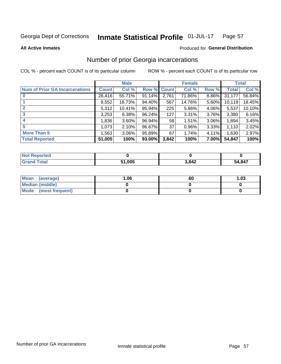#### Inmate Statistical Profile 01-JUL-17 Page 57

**All Active Inmates** 

### Produced for General Distribution

## Number of prior Georgia incarcerations

COL % - percent each COUNT is of its particular column

|                                       |              | <b>Male</b> |                    |       | <b>Female</b> |       |        | <b>Total</b> |
|---------------------------------------|--------------|-------------|--------------------|-------|---------------|-------|--------|--------------|
| <b>Num of Prior GA Incarcerations</b> | <b>Count</b> | Col %       | <b>Row % Count</b> |       | Col %         | Row % | Total  | Col %        |
|                                       | 28,416       | 55.71%      | 91.14%             | 2,761 | 71.86%        | 8.86% | 31,177 | 56.84%       |
|                                       | 9,552        | 18.73%      | 94.40%             | 567   | 14.76%        | 5.60% | 10,119 | 18.45%       |
| $\overline{2}$                        | 5,312        | 10.41%      | 95.94%             | 225   | 5.86%         | 4.06% | 5,537  | 10.10%       |
| 3                                     | 3,253        | 6.38%       | 96.24%             | 127   | 3.31%         | 3.76% | 3,380  | 6.16%        |
| $\boldsymbol{4}$                      | 1,836        | $3.60\%$    | 96.94%             | 58    | 1.51%         | 3.06% | 1,894  | 3.45%        |
| 5                                     | 1,073        | 2.10%       | 96.67%             | 37    | 0.96%         | 3.33% | 1,110  | 2.02%        |
| <b>More Than 5</b>                    | 1.5631       | $3.06\%$    | 95.89%             | 67    | 1.74%         | 4.11% | 1,630  | 2.97%        |
| <b>Total Reported</b>                 | 51,005       | 100%        | 93.00%             | 3,842 | 100%          | 7.00% | 54,847 | 100%         |

| <b>Not</b><br>Reported  |        |       |        |
|-------------------------|--------|-------|--------|
| Total<br><b>'</b> Gran∟ | 51,005 | 3,842 | 54,847 |

| Mean (average)       | 06.، | .60 | 1.03 |
|----------------------|------|-----|------|
| Median (middle)      |      |     |      |
| Mode (most frequent) |      |     |      |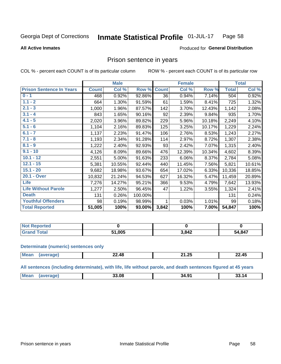#### Inmate Statistical Profile 01-JUL-17 Page 58

**All Active Inmates** 

### Produced for General Distribution

## Prison sentence in years

COL % - percent each COUNT is of its particular column

ROW % - percent each COUNT is of its particular row

|                                 |              | <b>Male</b> |         |              | <b>Female</b> |        |              | <b>Total</b> |
|---------------------------------|--------------|-------------|---------|--------------|---------------|--------|--------------|--------------|
| <b>Prison Sentence In Years</b> | <b>Count</b> | Col %       | Row %   | <b>Count</b> | Col %         | Row %  | <b>Total</b> | Col %        |
| $0 - 1$                         | 468          | 0.92%       | 92.86%  | 36           | 0.94%         | 7.14%  | 504          | 0.92%        |
| $1.1 - 2$                       | 664          | 1.30%       | 91.59%  | 61           | 1.59%         | 8.41%  | 725          | 1.32%        |
| $2.1 - 3$                       | 1,000        | 1.96%       | 87.57%  | 142          | 3.70%         | 12.43% | 1,142        | 2.08%        |
| $3.1 - 4$                       | 843          | 1.65%       | 90.16%  | 92           | 2.39%         | 9.84%  | 935          | 1.70%        |
| $4.1 - 5$                       | 2,020        | 3.96%       | 89.82%  | 229          | 5.96%         | 10.18% | 2,249        | 4.10%        |
| $5.1 - 6$                       | 1,104        | 2.16%       | 89.83%  | 125          | 3.25%         | 10.17% | 1,229        | 2.24%        |
| $6.1 - 7$                       | 1,137        | 2.23%       | 91.47%  | 106          | 2.76%         | 8.53%  | 1,243        | 2.27%        |
| $7.1 - 8$                       | 1,193        | 2.34%       | 91.28%  | 114          | 2.97%         | 8.72%  | 1,307        | 2.38%        |
| $8.1 - 9$                       | 1,222        | 2.40%       | 92.93%  | 93           | 2.42%         | 7.07%  | 1,315        | 2.40%        |
| $9.1 - 10$                      | 4,126        | 8.09%       | 89.66%  | 476          | 12.39%        | 10.34% | 4,602        | 8.39%        |
| $10.1 - 12$                     | 2,551        | 5.00%       | 91.63%  | 233          | 6.06%         | 8.37%  | 2,784        | 5.08%        |
| $12.1 - 15$                     | 5,381        | 10.55%      | 92.44%  | 440          | 11.45%        | 7.56%  | 5,821        | 10.61%       |
| $15.1 - 20$                     | 9,682        | 18.98%      | 93.67%  | 654          | 17.02%        | 6.33%  | 10,336       | 18.85%       |
| 20.1 - Over                     | 10,832       | 21.24%      | 94.53%  | 627          | 16.32%        | 5.47%  | 11,459       | 20.89%       |
| <b>Life</b>                     | 7,276        | 14.27%      | 95.21%  | 366          | 9.53%         | 4.79%  | 7,642        | 13.93%       |
| <b>Life Without Parole</b>      | 1,277        | 2.50%       | 96.45%  | 47           | 1.22%         | 3.55%  | 1,324        | 2.41%        |
| <b>Death</b>                    | 131          | 0.26%       | 100.00% |              |               |        | 131          | 0.24%        |
| <b>Youthful Offenders</b>       | 98           | 0.19%       | 98.99%  |              | 0.03%         | 1.01%  | 99           | 0.18%        |
| <b>Total Reported</b>           | 51,005       | 100%        | 93.00%  | 3,842        | 100%          | 7.00%  | 54,847       | 100%         |

| <b>Not Reported</b> |        |       |        |
|---------------------|--------|-------|--------|
|                     | 51,005 | 3,842 | 54,847 |

### **Determinate (numeric) sentences only**

| <b>Mear</b> | 22.48 | $\sim$<br>п. | .<br>–2.45 |
|-------------|-------|--------------|------------|
|             |       |              |            |

All sentences (including determinate), with life, life without parole, and death sentences figured at 45 years

| <b>Me</b><br>33.08<br>О.<br>34.<br>10<br>-<br>. .<br>. |  |  |  |
|--------------------------------------------------------|--|--|--|
|                                                        |  |  |  |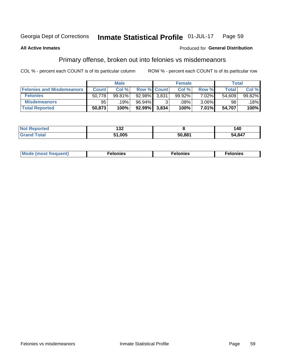#### Inmate Statistical Profile 01-JUL-17 Page 59

### **All Active Inmates**

### **Produced for General Distribution**

## Primary offense, broken out into felonies vs misdemeanors

COL % - percent each COUNT is of its particular column

|                                  |              | <b>Male</b> |           |                    | <b>Female</b> |          | Total  |        |
|----------------------------------|--------------|-------------|-----------|--------------------|---------------|----------|--------|--------|
| <b>Felonies and Misdemeanors</b> | <b>Count</b> | Col%        |           | <b>Row % Count</b> | Col%          | Row %    | Total  | Col %  |
| <b>Felonies</b>                  | 50,778       | 99.81%      | $92.98\%$ | 3,831              | 99.92%        | 7.02%    | 54,609 | 99.82% |
| <b>Misdemeanors</b>              | 95           | 19%         | 96.94%    |                    | .08%          | $3.06\%$ | 98     | 18%    |
| <b>Total Reported</b>            | 50,873       | 100%        | $92.99\%$ | 3,834              | 100%          | 7.01%    | 54,707 | 100%   |

| <b>Not</b><br>"ted | ,<br>∣JŁ |        | 40     |
|--------------------|----------|--------|--------|
| ⊺otai<br>Grand     | 51.005   | 50,881 | 54,847 |

| Mo | ____ | 11 C.S<br>. | onies<br>. |
|----|------|-------------|------------|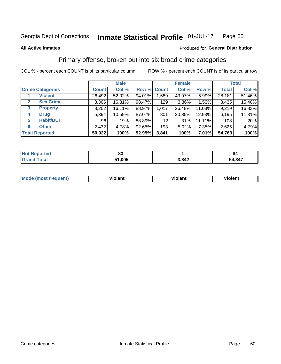#### Inmate Statistical Profile 01-JUL-17 Page 60

### **All Active Inmates**

### Produced for General Distribution

## Primary offense, broken out into six broad crime categories

COL % - percent each COUNT is of its particular column

|                         |              | <b>Male</b> |           |             | <b>Female</b> |        |              | <b>Total</b> |
|-------------------------|--------------|-------------|-----------|-------------|---------------|--------|--------------|--------------|
| <b>Crime Categories</b> | <b>Count</b> | Col %       |           | Row % Count | Col %         | Row %  | <b>Total</b> | Col %        |
| <b>Violent</b>          | 26,492       | 52.02%      | 94.01%    | 1,689       | 43.97%        | 5.99%  | 28,181       | 51.46%       |
| <b>Sex Crime</b><br>2   | 8,306        | 16.31%      | 98.47%    | 129         | $3.36\%$      | 1.53%  | 8,435        | 15.40%       |
| 3<br><b>Property</b>    | 8,202        | 16.11%      | 88.97%    | 1,017       | 26.48%        | 11.03% | 9,219        | 16.83%       |
| <b>Drug</b><br>4        | 5,394        | 10.59%      | 87.07%    | 801         | 20.85%        | 12.93% | 6,195        | 11.31%       |
| <b>Habit/DUI</b><br>5   | 96           | .19%        | 88.89%    | 12          | $.31\%$       | 11.11% | 108          | .20%         |
| <b>Other</b><br>6       | 2,432        | 4.78%       | 92.65%    | 193         | 5.02%         | 7.35%  | 2,625        | 4.79%        |
| <b>Total Reported</b>   | 50,922       | 100%        | $92.99\%$ | 3,841       | 100%          | 7.01%  | 54,763       | 100%         |

| rted<br>NO | ~~<br>υJ |       | 84     |
|------------|----------|-------|--------|
|            | 51,005   | 3,842 | 54,847 |

| M | - --<br>100011 | .<br><b>VIOIGIIL</b> | 1.91311 |
|---|----------------|----------------------|---------|
|   |                |                      |         |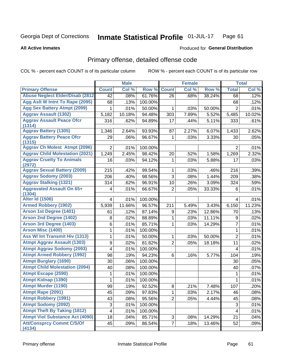#### Inmate Statistical Profile 01-JUL-17 Page 61

**All Active Inmates** 

### **Produced for General Distribution**

# Primary offense, detailed offense code

COL % - percent each COUNT is of its particular column

|                                                                  |                         | <b>Male</b> |         |                | <b>Female</b> |        |                | <b>Total</b> |
|------------------------------------------------------------------|-------------------------|-------------|---------|----------------|---------------|--------|----------------|--------------|
| <b>Primary Offense</b>                                           | <b>Count</b>            | Col %       | Row %   | <b>Count</b>   | Col %         | Row %  | <b>Total</b>   | Col %        |
| <b>Abuse Neglect Elder/Disab (2812)</b>                          | 42                      | .08%        | 61.76%  | 26             | .68%          | 38.24% | 68             | .12%         |
| Agg Aslt W Intnt To Rape (2095)                                  | 68                      | .13%        | 100.00% |                |               |        | 68             | .12%         |
| <b>Agg Sex Battery Atmpt (2099)</b>                              | 1                       | .01%        | 50.00%  | 1              | .03%          | 50.00% | $\overline{2}$ | .01%         |
| <b>Aggrav Assault (1302)</b>                                     | 5,182                   | 10.18%      | 94.48%  | 303            | 7.89%         | 5.52%  | 5,485          | 10.02%       |
| <b>Aggrav Assault Peace Ofcr</b>                                 | 316                     | .62%        | 94.89%  | 17             | .44%          | 5.11%  | 333            | .61%         |
| (1314)                                                           |                         |             |         |                |               |        |                |              |
| <b>Aggrav Battery (1305)</b><br><b>Aggrav Battery Peace Ofcr</b> | 1,346                   | 2.64%       | 93.93%  | 87             | 2.27%         | 6.07%  | 1,433          | 2.62%        |
| (1315)                                                           | 29                      | .06%        | 96.67%  | 1              | .03%          | 3.33%  | 30             | .05%         |
| <b>Aggrav Ch Molest Atmpt (2096)</b>                             | $\overline{2}$          | .01%        | 100.00% |                |               |        | $\overline{2}$ | .01%         |
| <b>Aggrav Child Molestation (2021)</b>                           | 1,249                   | 2.45%       | 98.42%  | 20             | .52%          | 1.58%  | 1,269          | 2.32%        |
| <b>Aggrav Cruelty To Animals</b>                                 | 16                      | .03%        | 94.12%  | 1              | .03%          | 5.88%  | 17             | .03%         |
| (2972)                                                           |                         |             |         |                |               |        |                |              |
| <b>Aggrav Sexual Battery (2009)</b>                              | 215                     | .42%        | 99.54%  | 1              | .03%          | .46%   | 216            | .39%         |
| <b>Aggrav Sodomy (2003)</b>                                      | 206                     | .40%        | 98.56%  | 3              | .08%          | 1.44%  | 209            | .38%         |
| <b>Aggrav Stalking (1321)</b>                                    | 314                     | .62%        | 96.91%  | 10             | .26%          | 3.09%  | 324            | .59%         |
| <b>Aggravated Assault On 65+</b><br>(1304)                       | 4                       | .01%        | 66.67%  | $\overline{2}$ | .05%          | 33.33% | 6              | .01%         |
| <b>Alter Id (1506)</b>                                           | 4                       | .01%        | 100.00% |                |               |        | 4              | .01%         |
| <b>Armed Robbery (1902)</b>                                      | 5,939                   | 11.66%      | 96.57%  | 211            | 5.49%         | 3.43%  | 6,150          | 11.23%       |
| Arson 1st Degree (1401)                                          | 61                      | .12%        | 87.14%  | 9              | .23%          | 12.86% | 70             | .13%         |
| <b>Arson 2nd Degree (1402)</b>                                   | 8                       | .02%        | 88.89%  | 1              | .03%          | 11.11% | 9              | .02%         |
| <b>Arson 3rd Degree (1403)</b>                                   | 6                       | .01%        | 85.71%  | 1              | .03%          | 14.29% | 7              | .01%         |
| <b>Arson Misc (1400)</b>                                         | 1                       | .01%        | 100.00% |                |               |        | 1              | .01%         |
| Ass W/ Int Transmit Hiv (1313)                                   | 1                       | .01%        | 50.00%  | 1              | .03%          | 50.00% | $\overline{2}$ | .01%         |
| <b>Atmpt Aggrav Assault (1303)</b>                               | 9                       | .02%        | 81.82%  | $\overline{2}$ | .05%          | 18.18% | 11             | .02%         |
| <b>Atmpt Aggrav Sodomy (2093)</b>                                | 4                       | .01%        | 100.00% |                |               |        | 4              | .01%         |
| <b>Atmpt Armed Robbery (1992)</b>                                | 98                      | .19%        | 94.23%  | 6              | .16%          | 5.77%  | 104            | .19%         |
| <b>Atmpt Burglary (1690)</b>                                     | 30                      | .06%        | 100.00% |                |               |        | 30             | .05%         |
| <b>Atmpt Child Molestation (2094)</b>                            | 40                      | .08%        | 100.00% |                |               |        | 40             | .07%         |
| <b>Atmpt Escape (2590)</b>                                       | 1                       | .01%        | 100.00% |                |               |        | 1              | .01%         |
| <b>Atmpt Kidnap (1390)</b>                                       | 1                       | .01%        | 100.00% |                |               |        | 1              | .01%         |
| <b>Atmpt Murder (1190)</b>                                       | 99                      | .19%        | 92.52%  | $\overline{8}$ | .21%          | 7.48%  | 107            | .20%         |
| Atmpt Rape (2091)                                                | 45                      | .09%        | 97.83%  | 1              | .03%          | 2.17%  | 46             | .08%         |
| <b>Atmpt Robbery (1991)</b>                                      | 43                      | .08%        | 95.56%  | $\overline{2}$ | .05%          | 4.44%  | 45             | .08%         |
| <b>Atmpt Sodomy (2092)</b>                                       | 3                       | .01%        | 100.00% |                |               |        | $\mathfrak{S}$ | .01%         |
| <b>Atmpt Theft By Taking (1812)</b>                              | $\overline{\mathbf{4}}$ | .01%        | 100.00% |                |               |        | 4              | .01%         |
| <b>Atmpt Viol Substance Act (4090)</b>                           | 18                      | .04%        | 85.71%  | 3              | .08%          | 14.29% | 21             | .04%         |
| <b>Att/Consprcy Commt C/S/Of</b>                                 | 45                      | .09%        | 86.54%  | $\overline{7}$ | .18%          | 13.46% | 52             | .09%         |
| (4134)                                                           |                         |             |         |                |               |        |                |              |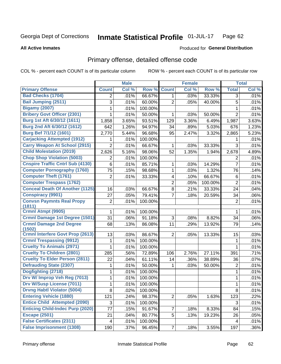#### Inmate Statistical Profile 01-JUL-17 Page 62

### **All Active Inmates**

## **Produced for General Distribution**

# Primary offense, detailed offense code

COL % - percent each COUNT is of its particular column

|                                            |                         | <b>Male</b> |         |                | <b>Female</b> |         |                | <b>Total</b> |
|--------------------------------------------|-------------------------|-------------|---------|----------------|---------------|---------|----------------|--------------|
| <b>Primary Offense</b>                     | <b>Count</b>            | Col %       | Row %   | <b>Count</b>   | Col %         | Row %   | <b>Total</b>   | Col %        |
| <b>Bad Checks (1704)</b>                   | 2                       | .01%        | 66.67%  | 1.             | .03%          | 33.33%  | $\overline{3}$ | .01%         |
| Bail Jumping (2511)                        | 3                       | .01%        | 60.00%  | $\overline{2}$ | .05%          | 40.00%  | 5              | .01%         |
| <b>Bigamy (2007)</b>                       | 1                       | .01%        | 100.00% |                |               |         | 1              | .01%         |
| <b>Bribery Govt Officer (2301)</b>         | 1                       | .01%        | 50.00%  | 1              | .03%          | 50.00%  | $\overline{2}$ | .01%         |
| Burg 1st Aft 6/30/12 (1611)                | 1,858                   | 3.65%       | 93.51%  | 129            | 3.36%         | 6.49%   | 1,987          | 3.63%        |
| Burg 2nd Aft 6/30/12 (1612)                | 642                     | 1.26%       | 94.97%  | 34             | .89%          | 5.03%   | 676            | 1.23%        |
| Burg Bef 7/1/12 (1601)                     | 2,770                   | 5.44%       | 96.68%  | 95             | 2.47%         | 3.32%   | 2,865          | 5.23%        |
| <b>Carjacking Attempted (1912)</b>         | 1                       | .01%        | 100.00% |                |               |         | 1              | .01%         |
| <b>Carry Weapon At School (2915)</b>       | $\overline{2}$          | .01%        | 66.67%  | 1              | .03%          | 33.33%  | 3              | .01%         |
| <b>Child Molestation (2019)</b>            | 2,626                   | 5.16%       | 98.06%  | 52             | 1.35%         | 1.94%   | 2,678          | 4.89%        |
| <b>Chop Shop Violation (5003)</b>          | $\overline{2}$          | .01%        | 100.00% |                |               |         | $\overline{2}$ | .01%         |
| <b>Cnspire Traffic Cntrl Sub (4130)</b>    | 6                       | .01%        | 85.71%  | 1              | .03%          | 14.29%  | 7              | .01%         |
| <b>Computer Pornography (1760)</b>         | 75                      | .15%        | 98.68%  | 1              | .03%          | 1.32%   | 76             | .14%         |
| <b>Computer Theft (1761)</b>               | $\overline{2}$          | .01%        | 33.33%  | 4              | .10%          | 66.67%  | 6              | .01%         |
| <b>Computer Trespass (1762)</b>            |                         |             |         | $\overline{2}$ | .05%          | 100.00% | $\overline{2}$ | .01%         |
| <b>Conceal Death Of Another (1125)</b>     | 16                      | .03%        | 66.67%  | 8              | .21%          | 33.33%  | 24             | .04%         |
| <b>Conspiracy (9901)</b>                   | 27                      | .05%        | 79.41%  | 7              | .18%          | 20.59%  | 34             | .06%         |
| <b>Convsn Paymnts Real Propy</b><br>(1811) | $\overline{\mathbf{c}}$ | .01%        | 100.00% |                |               |         | $\overline{c}$ | .01%         |
| Crmnl Atmpt (9905)                         | 1                       | .01%        | 100.00% |                |               |         | 1              | .01%         |
| <b>Crmnl Damage 1st Degree (1501)</b>      | 31                      | .06%        | 91.18%  | 3              | .08%          | 8.82%   | 34             | .06%         |
| <b>Crmnl Damage 2nd Degree</b><br>(1502)   | 68                      | .13%        | 86.08%  | 11             | .29%          | 13.92%  | 79             | .14%         |
| <b>Crmnl Interfere Govt Prop (2613)</b>    | 13                      | .03%        | 86.67%  | $\overline{2}$ | .05%          | 13.33%  | 15             | .03%         |
| <b>Crmnl Trespassing (9912)</b>            | 1                       | .01%        | 100.00% |                |               |         | 1              | .01%         |
| <b>Cruelty To Animals (2971)</b>           | 1                       | .01%        | 100.00% |                |               |         | 1              | .01%         |
| <b>Cruelty To Children (2801)</b>          | 285                     | .56%        | 72.89%  | 106            | 2.76%         | 27.11%  | 391            | .71%         |
| <b>Cruelty To Elder Person (2811)</b>      | 22                      | .04%        | 61.11%  | 14             | .36%          | 38.89%  | 36             | .07%         |
| <b>Defrauding State (2307)</b>             | 1                       | .01%        | 50.00%  | 1              | .03%          | 50.00%  | $\overline{2}$ | .01%         |
| Dogfighting (2718)                         | 1                       | .01%        | 100.00% |                |               |         | 1              | .01%         |
| Drv W/ Improp Veh Reg (7013)               | 1                       | .01%        | 100.00% |                |               |         | 1              | .01%         |
| <b>Drv W/Susp License (7011)</b>           | 1                       | .01%        | 100.00% |                |               |         | 1              | .01%         |
| <b>Drvng Habtl Violator (5004)</b>         | 8                       | .02%        | 100.00% |                |               |         | 8              | .01%         |
| <b>Entering Vehicle (1880)</b>             | 121                     | .24%        | 98.37%  | $\overline{2}$ | .05%          | 1.63%   | 123            | .22%         |
| <b>Entice Child Attempted (2090)</b>       | 3                       | .01%        | 100.00% |                |               |         | 3              | .01%         |
| <b>Enticing Child-Indec Purp (2020)</b>    | 77                      | .15%        | 91.67%  | $\overline{7}$ | .18%          | 8.33%   | 84             | .15%         |
| <b>Escape (2501)</b>                       | 21                      | .04%        | 80.77%  | 5              | .13%          | 19.23%  | 26             | .05%         |
| <b>False Certificates (2311)</b>           | $\overline{\mathbf{4}}$ | .01%        | 100.00% |                |               |         | 4              | .01%         |
| <b>False Imprisonment (1308)</b>           | 190                     | .37%        | 96.45%  | $\overline{7}$ | .18%          | 3.55%   | 197            | .36%         |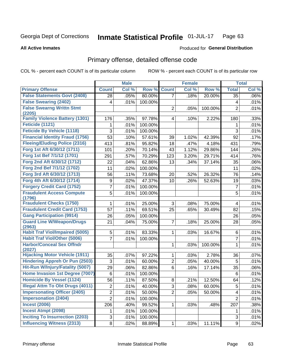#### Inmate Statistical Profile 01-JUL-17 Page 63

**All Active Inmates** 

### **Produced for General Distribution**

## Primary offense, detailed offense code

COL % - percent each COUNT is of its particular column

|                                                  |                         | <b>Male</b> |         |                | <b>Female</b> |         |                | <b>Total</b> |
|--------------------------------------------------|-------------------------|-------------|---------|----------------|---------------|---------|----------------|--------------|
| <b>Primary Offense</b>                           | <b>Count</b>            | Col %       | Row %   | <b>Count</b>   | Col %         | Row %   | <b>Total</b>   | Col %        |
| <b>False Statements Govt (2408)</b>              | 28                      | .05%        | 80.00%  | $\overline{7}$ | .18%          | 20.00%  | 35             | $.06\%$      |
| <b>False Swearing (2402)</b>                     | 4                       | .01%        | 100.00% |                |               |         | 4              | .01%         |
| <b>False Swearng Writtn Stmt</b>                 |                         |             |         | $\overline{2}$ | .05%          | 100.00% | $\overline{2}$ | .01%         |
| (2205)                                           |                         |             |         |                |               |         |                |              |
| <b>Family Violence Battery (1301)</b>            | 176                     | .35%        | 97.78%  | $\overline{4}$ | .10%          | 2.22%   | 180            | .33%         |
| Feticide (1121)                                  | 1                       | .01%        | 100.00% |                |               |         | 1              | .01%         |
| <b>Feticide By Vehicle (1118)</b>                | 3                       | .01%        | 100.00% |                |               |         | $\mathfrak{S}$ | .01%         |
| <b>Financial Identity Fraud (1756)</b>           | 53                      | .10%        | 57.61%  | 39             | 1.02%         | 42.39%  | 92             | .17%         |
| <b>Fleeing/Eluding Police (2316)</b>             | 413                     | .81%        | 95.82%  | 18             | .47%          | 4.18%   | 431            | .79%         |
| Forg 1st Aft 6/30/12 (1711)                      | 101                     | .20%        | 70.14%  | 43             | 1.12%         | 29.86%  | 144            | .26%         |
| Forg 1st Bef 7/1/12 (1701)                       | 291                     | .57%        | 70.29%  | 123            | 3.20%         | 29.71%  | 414            | .76%         |
| Forg 2nd Aft 6/30/12 (1712)                      | 22                      | .04%        | 62.86%  | 13             | .34%          | 37.14%  | 35             | .06%         |
| Forg 2nd Bef 7/1/12 (1702)                       | 11                      | .02%        | 100.00% |                |               |         | 11             | .02%         |
| Forg 3rd Aft 6/30/12 (1713)                      | 56                      | .11%        | 73.68%  | 20             | .52%          | 26.32%  | 76             | .14%         |
| Forg 4th Aft 6/30/12 (1714)                      | 9                       | .02%        | 47.37%  | 10             | .26%          | 52.63%  | 19             | .03%         |
| <b>Forgery Credit Card (1752)</b>                | 7                       | .01%        | 100.00% |                |               |         | $\overline{7}$ | .01%         |
| <b>Fraudulent Access Compute</b>                 | 5                       | .01%        | 100.00% |                |               |         | 5              | .01%         |
| (1796)                                           |                         |             |         |                |               |         |                |              |
| <b>Fraudulent Checks (1750)</b>                  | 1                       | .01%        | 25.00%  | 3              | .08%          | 75.00%  | 4              | .01%         |
| <b>Fraudulent Credit Card (1753)</b>             | 57                      | .11%        | 69.51%  | 25             | .65%          | 30.49%  | 82             | .15%         |
| <b>Gang Participation (9914)</b>                 | 26                      | .05%        | 100.00% |                |               |         | 26             | .05%         |
| <b>Guard Line W/Weapon/Drugs</b>                 | 21                      | .04%        | 75.00%  | $\overline{7}$ | .18%          | 25.00%  | 28             | .05%         |
| (2963)<br><b>Habit Traf Viol/Impaired (5005)</b> |                         |             |         |                |               |         |                |              |
| <b>Habit Traf Viol/Other (5006)</b>              | 5                       | .01%        | 83.33%  | 1              | .03%          | 16.67%  | 6              | .01%         |
| <b>Harbor/Conceal Sex Offndr</b>                 | 7                       | .01%        | 100.00% |                |               |         | 7              | .01%         |
| (2027)                                           |                         |             |         | 1              | .03%          | 100.00% | $\mathbf{1}$   | .01%         |
| <b>Hijacking Motor Vehicle (1911)</b>            | 35                      | .07%        | 97.22%  | 1              | .03%          | 2.78%   | 36             | .07%         |
| <b>Hindering Appreh Or Pun (2503)</b>            | 3                       | .01%        | 60.00%  | $\overline{2}$ | .05%          | 40.00%  | 5              | .01%         |
| Hit-Run W/Injury/Fatality (5007)                 | 29                      | .06%        | 82.86%  | 6              | .16%          | 17.14%  | 35             | .06%         |
| Home Invasion 1st Degree (7007)                  | $\,6$                   | .01%        | 100.00% |                |               |         | 6              | .01%         |
| <b>Homicide By Vessel (1124)</b>                 | 56                      | .11%        | 87.50%  | 8              | .21%          | 12.50%  | 64             | .12%         |
| <b>Illegal Attm To Obt Drugs (4011)</b>          | $\overline{\mathbf{c}}$ | .01%        | 40.00%  | $\overline{3}$ | .08%          | 60.00%  | 5              | .01%         |
| <b>Impersonating Officer (2405)</b>              | $\overline{2}$          | .01%        | 50.00%  | $\overline{2}$ | .05%          | 50.00%  | 4              | .01%         |
| <b>Impersonation (2404)</b>                      | $\overline{2}$          | .01%        | 100.00% |                |               |         | $\overline{2}$ | .01%         |
| <b>Incest (2006)</b>                             | 206                     | .40%        | 99.52%  | $\mathbf{1}$   | .03%          | .48%    | 207            | .38%         |
| <b>Incest Atmpt (2098)</b>                       | 1                       | .01%        | 100.00% |                |               |         | 1              | .01%         |
| <b>Inciting To Insurrection (2203)</b>           |                         |             |         |                |               |         |                |              |
|                                                  | 3                       | .01%        | 100.00% |                |               |         | $\mathfrak{S}$ | .01%         |
| <b>Influencing Witness (2313)</b>                | $\bf 8$                 | .02%        | 88.89%  | $\mathbf{1}$   | .03%          | 11.11%  | 9              | .02%         |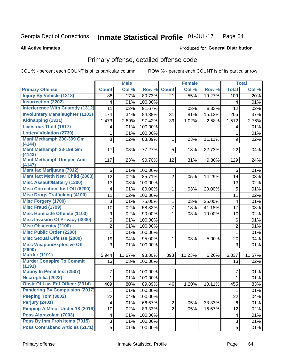#### Inmate Statistical Profile 01-JUL-17 Page 64

**All Active Inmates** 

### **Produced for General Distribution**

# Primary offense, detailed offense code

COL % - percent each COUNT is of its particular column

|                                            |                         | <b>Male</b> |         |                | <b>Female</b> |        |                         | <b>Total</b> |
|--------------------------------------------|-------------------------|-------------|---------|----------------|---------------|--------|-------------------------|--------------|
| <b>Primary Offense</b>                     | <b>Count</b>            | Col %       | Row %   | <b>Count</b>   | Col %         | Row %  | <b>Total</b>            | Col %        |
| <b>Injury By Vehicle (1318)</b>            | 88                      | .17%        | 80.73%  | 21             | .55%          | 19.27% | 109                     | .20%         |
| <b>Insurrection (2202)</b>                 | 4                       | .01%        | 100.00% |                |               |        | 4                       | .01%         |
| <b>Interference With Custody (1312)</b>    | 11                      | .02%        | 91.67%  | 1              | .03%          | 8.33%  | 12                      | .02%         |
| <b>Involuntary Manslaughter (1103)</b>     | 174                     | .34%        | 84.88%  | 31             | .81%          | 15.12% | 205                     | .37%         |
| Kidnapping (1311)                          | 1,473                   | 2.89%       | 97.42%  | 39             | 1.02%         | 2.58%  | 1,512                   | 2.76%        |
| <b>Livestock Theft (1817)</b>              | 4                       | .01%        | 100.00% |                |               |        | 4                       | .01%         |
| <b>Lottery Violation (2730)</b>            | 1                       | .01%        | 100.00% |                |               |        | 1                       | .01%         |
| Manf Methamph 200-399 Gm<br>(4144)         | 8                       | .02%        | 88.89%  | $\mathbf 1$    | .03%          | 11.11% | 9                       | .02%         |
| Manf Methamph 28-199 Gm<br>(4143)          | 17                      | .03%        | 77.27%  | 5              | .13%          | 22.73% | 22                      | .04%         |
| <b>Manf Methamph Unspec Amt</b><br>(4147)  | 117                     | .23%        | 90.70%  | 12             | .31%          | 9.30%  | 129                     | .24%         |
| <b>Manufac Marijuana (7012)</b>            | 6                       | .01%        | 100.00% |                |               |        | 6                       | .01%         |
| <b>Manufact Meth Near Child (2803)</b>     | 12                      | .02%        | 85.71%  | 2              | .05%          | 14.29% | 14                      | .03%         |
| <b>Misc Assault/Battery (1300)</b>         | 13                      | .03%        | 100.00% |                |               |        | 13                      | .02%         |
| <b>Misc Correctionl Inst Off (6200)</b>    | 4                       | .01%        | 80.00%  | 1              | .03%          | 20.00% | 5                       | .01%         |
| <b>Misc Drugs Trafficking (4100)</b>       | 11                      | .02%        | 100.00% |                |               |        | 11                      | .02%         |
| <b>Misc Forgery (1700)</b>                 | 3                       | .01%        | 75.00%  | 1              | .03%          | 25.00% | 4                       | .01%         |
| <b>Misc Fraud (1799)</b>                   | 10                      | .02%        | 58.82%  | 7              | .18%          | 41.18% | 17                      | .03%         |
| <b>Misc Homicide Offense (1100)</b>        | 9                       | .02%        | 90.00%  | 1              | .03%          | 10.00% | 10                      | .02%         |
| <b>Misc Invasion Of Privacy (3000)</b>     | 6                       | .01%        | 100.00% |                |               |        | 6                       | .01%         |
| <b>Misc Obscenity (2100)</b>               | $\overline{2}$          | .01%        | 100.00% |                |               |        | $\overline{2}$          | .01%         |
| <b>Misc Public Order (2200)</b>            | 1                       | .01%        | 100.00% |                |               |        | 1                       | .01%         |
| <b>Misc Sexual Offense (2000)</b>          | 19                      | .04%        | 95.00%  | 1              | .03%          | 5.00%  | 20                      | .04%         |
| <b>Misc Weapon/Explosive Off</b><br>(2900) | 3                       | .01%        | 100.00% |                |               |        | 3                       | .01%         |
| <b>Murder (1101)</b>                       | 5,944                   | 11.67%      | 93.80%  | 393            | 10.23%        | 6.20%  | 6,337                   | 11.57%       |
| <b>Murder Conspire To Commit</b><br>(1191) | 13                      | .03%        | 100.00% |                |               |        | 13                      | .02%         |
| <b>Mutiny In Penal Inst (2507)</b>         | 7                       | .01%        | 100.00% |                |               |        | 7                       | .01%         |
| Necrophilia (2022)                         | 1                       | .01%        | 100.00% |                |               |        | 1                       | .01%         |
| <b>Obstr Of Law Enf Officer (2314)</b>     | 409                     | .80%        | 89.89%  | 46             | 1.20%         | 10.11% | 455                     | .83%         |
| <b>Pandering By Compulsion (2017)</b>      | 1                       | .01%        | 100.00% |                |               |        | $\mathbf 1$             | .01%         |
| Peeping Tom (3002)                         | 22                      | .04%        | 100.00% |                |               |        | 22                      | .04%         |
| <b>Perjury (2401)</b>                      | $\overline{\mathbf{4}}$ | .01%        | 66.67%  | $\overline{2}$ | .05%          | 33.33% | 6                       | .01%         |
| Pimping A Minor Under 18 (2016)            | 10                      | .02%        | 83.33%  | $\overline{2}$ | .05%          | 16.67% | 12                      | .02%         |
| Poss Alprazolam (7003)                     | 4                       | .01%        | 100.00% |                |               |        | $\overline{\mathbf{4}}$ | .01%         |
| Poss By Inm Proh Items (7015)              | 3                       | .01%        | 100.00% |                |               |        | 3                       | .01%         |
| <b>Poss Contraband Articles (5171)</b>     | $\overline{5}$          | .01%        | 100.00% |                |               |        | 5                       | .01%         |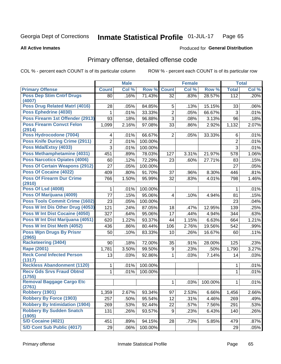#### Inmate Statistical Profile 01-JUL-17 Page 65

### **All Active Inmates**

## **Produced for General Distribution**

# Primary offense, detailed offense code

COL % - percent each COUNT is of its particular column

|                                            |                | <b>Male</b> |                  |                | <b>Female</b> |         |                | <b>Total</b> |
|--------------------------------------------|----------------|-------------|------------------|----------------|---------------|---------|----------------|--------------|
| <b>Primary Offense</b>                     | <b>Count</b>   | Col %       | Row %            | <b>Count</b>   | Col %         | Row %   | <b>Total</b>   | Col %        |
| <b>Poss Dep Stim Cntrf Drugs</b>           | 80             | .16%        | 71.43%           | 32             | .83%          | 28.57%  | 112            | .20%         |
| (4007)<br>Poss Drug Related Matrl (4016)   | 28             | .05%        |                  | 5              |               | 15.15%  | 33             | .06%         |
| Poss Ephedrine (4030)                      |                |             | 84.85%<br>33.33% | $\overline{2}$ | .13%          |         | 3              |              |
| Poss Firearm 1st Offender (2913)           | 1              | .01%        |                  | 3              | .05%          | 66.67%  |                | .01%         |
| <b>Poss Firearm Convct Felon</b>           | 93             | .18%        | 96.88%           |                | .08%          | 3.13%   | 96             | .18%         |
| (2914)                                     | 1,099          | 2.16%       | 97.08%           | 33             | .86%          | 2.92%   | 1,132          | 2.07%        |
| Poss Hydrocodone (7004)                    | 4              | .01%        | 66.67%           | $\overline{2}$ | .05%          | 33.33%  | 6              | .01%         |
| <b>Poss Knife During Crime (2911)</b>      | $\overline{c}$ | .01%        | 100.00%          |                |               |         | $\overline{c}$ | .01%         |
| Poss Mda/Extsy (4033)                      | 3              | .01%        | 100.00%          |                |               |         | $\overline{3}$ | .01%         |
| Poss Methamphetamine (4031)                | 451            | .89%        | 78.03%           | 127            | 3.31%         | 21.97%  | 578            | 1.06%        |
| <b>Poss Narcotics Opiates (4006)</b>       | 60             | .12%        | 72.29%           | 23             | .60%          | 27.71%  | 83             | .15%         |
| <b>Poss Of Certain Weapons (2912)</b>      | 27             | .05%        | 100.00%          |                |               |         | 27             | .05%         |
| Poss Of Cocaine (4022)                     | 409            | .80%        | 91.70%           | 37             | .96%          | 8.30%   | 446            | .81%         |
| <b>Poss Of Firearm Dur Crime</b><br>(2910) | 766            | 1.50%       | 95.99%           | 32             | .83%          | 4.01%   | 798            | 1.46%        |
| <b>Poss Of Lsd (4008)</b>                  | 1              | .01%        | 100.00%          |                |               |         | 1              | .01%         |
| Poss Of Marijuana (4009)                   | 77             | .15%        | 95.06%           | 4              | .10%          | 4.94%   | 81             | .15%         |
| <b>Poss Tools Commit Crime (1602)</b>      | 23             | .05%        | 100.00%          |                |               |         | 23             | .04%         |
| Poss W Int Dis Other Drug (4053)           | 121            | .24%        | 87.05%           | 18             | .47%          | 12.95%  | 139            | .25%         |
| <b>Poss W Int Dist Cocaine (4050)</b>      | 327            | .64%        | 95.06%           | 17             | .44%          | 4.94%   | 344            | .63%         |
| Poss W Int Dist Marijuana (4051)           | 620            | 1.22%       | 93.37%           | 44             | 1.15%         | 6.63%   | 664            | 1.21%        |
| Poss W Int Dist Meth (4052)                | 436            | .86%        | 80.44%           | 106            | 2.76%         | 19.56%  | 542            | .99%         |
| <b>Poss Wpn Drugs By Prisnr</b>            | 50             | .10%        | 83.33%           | 10             | .26%          | 16.67%  | 60             | .11%         |
| (2965)                                     |                |             |                  |                |               |         |                |              |
| <b>Racketeering (3404)</b>                 | 90             | .18%        | 72.00%           | 35             | .91%          | 28.00%  | 125            | .23%         |
| <b>Rape (2001)</b>                         | 1,781          | 3.50%       | 99.50%           | 9              | .23%          | .50%    | 1,790          | 3.27%        |
| <b>Reck Cond Infected Person</b><br>(1317) | 13             | .03%        | 92.86%           | 1              | .03%          | 7.14%   | 14             | .03%         |
| <b>Reckless Abandonment (1120)</b>         | 1              | .01%        | 100.00%          |                |               |         | 1              | .01%         |
| <b>Recv Gds Srvs Fraud Obtnd</b><br>(1755) | 1              | .01%        | 100.00%          |                |               |         | 1              | .01%         |
| <b>Removal Baggage Cargo Etc</b><br>(2761) |                |             |                  | 1              | .03%          | 100.00% | 1              | .01%         |
| <b>Robbery (1901)</b>                      | 1,359          | 2.67%       | 93.34%           | 97             | 2.53%         | 6.66%   | 1,456          | 2.66%        |
| <b>Robbery By Force (1903)</b>             | 257            | .50%        | 95.54%           | 12             | .31%          | 4.46%   | 269            | .49%         |
| <b>Robbery By Intimidation (1904)</b>      | 269            | .53%        | 92.44%           | 22             | .57%          | 7.56%   | 291            | .53%         |
| <b>Robbery By Sudden Snatch</b>            | 131            | .26%        | 93.57%           | 9              | .23%          | 6.43%   | 140            | .26%         |
| (1905)                                     |                |             |                  |                |               |         |                |              |
| S/D Cocaine (4021)                         | 451            | .89%        | 94.15%           | 28             | .73%          | 5.85%   | 479            | .87%         |
| S/D Cont Sub Public (4017)                 | 29             | .06%        | 100.00%          |                |               |         | 29             | .05%         |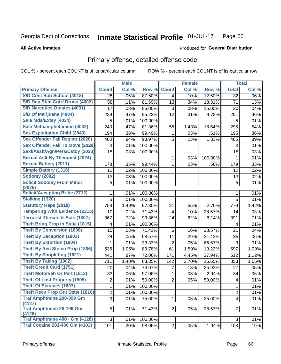#### Inmate Statistical Profile 01-JUL-17 Page 66

### **All Active Inmates**

## **Produced for General Distribution**

# Primary offense, detailed offense code

COL % - percent each COUNT is of its particular column

|                                            |                | <b>Male</b> |         |                | <b>Female</b> |         |                | <b>Total</b> |
|--------------------------------------------|----------------|-------------|---------|----------------|---------------|---------|----------------|--------------|
| <b>Primary Offense</b>                     | <b>Count</b>   | Col %       | Row %   | <b>Count</b>   | Col %         | Row %   | <b>Total</b>   | Col %        |
| S/D Cont Sub School (4018)                 | 28             | .05%        | 87.50%  | 4              | .10%          | 12.50%  | 32             | .06%         |
| S/D Dep Stim Cntrf Drugs (4002)            | 58             | .11%        | 81.69%  | 13             | .34%          | 18.31%  | 71             | .13%         |
| <b>S/D Narcotics Opiates (4001)</b>        | 17             | .03%        | 85.00%  | 3              | .08%          | 15.00%  | 20             | .04%         |
| S/D Of Marijuana (4004)                    | 239            | .47%        | 95.22%  | 12             | .31%          | 4.78%   | 251            | .46%         |
| Sale Mda/Extsy (4034)                      | 5              | .01%        | 100.00% |                |               |         | 5              | .01%         |
| Sale Methamphetamine (4032)                | 240            | .47%        | 81.36%  | 55             | 1.43%         | 18.64%  | 295            | .54%         |
| <b>Sex Exploitation Child (2843)</b>       | 194            | .38%        | 99.49%  | 1              | .03%          | .51%    | 195            | .36%         |
| <b>Sex Offender Fail Registr (2026)</b>    | 480            | .94%        | 98.97%  | 5              | .13%          | 1.03%   | 485            | .89%         |
| <b>Sex Offender Fail To Move (2028)</b>    | 3              | .01%        | 100.00% |                |               |         | 3              | .01%         |
| Sexl/Asslt/Agn/Pers/Cstdy (2023)           | 15             | .03%        | 100.00% |                |               |         | 15             | .03%         |
| <b>Sexual Aslt By Therapist (2024)</b>     |                |             |         | 1              | .03%          | 100.00% | 1              | .01%         |
| <b>Sexual Battery (2011)</b>               | 178            | .35%        | 99.44%  | 1              | .03%          | .56%    | 179            | .33%         |
| <b>Simple Battery (1316)</b>               | 12             | .02%        | 100.00% |                |               |         | 12             | .02%         |
| <b>Sodomy (2002)</b>                       | 13             | .03%        | 100.00% |                |               |         | 13             | .02%         |
| <b>Solicit Sodomy From Minor</b><br>(2025) | 5              | .01%        | 100.00% |                |               |         | 5              | .01%         |
| <b>Solicit/Accepting Bribe (2712)</b>      | 1              | .01%        | 100.00% |                |               |         | 1              | .01%         |
| <b>Stalking (1320)</b>                     | 5              | .01%        | 100.00% |                |               |         | 5              | .01%         |
| <b>Statutory Rape (2018)</b>               | 758            | 1.49%       | 97.30%  | 21             | .55%          | 2.70%   | 779            | 1.42%        |
| <b>Tampering With Evidence (2315)</b>      | 10             | .02%        | 71.43%  | 4              | .10%          | 28.57%  | 14             | .03%         |
| <b>Terrorist Threats &amp; Acts (1307)</b> | 367            | .72%        | 93.86%  | 24             | .62%          | 6.14%   | 391            | .71%         |
| <b>Theft Bring Prop In State (1815)</b>    | 4              | .01%        | 100.00% |                |               |         | 4              | .01%         |
| <b>Theft By Conversion (1808)</b>          | 15             | .03%        | 71.43%  | 6              | .16%          | 28.57%  | 21             | .04%         |
| <b>Theft By Deception (1803)</b>           | 24             | .05%        | 68.57%  | 11             | .29%          | 31.43%  | 35             | .06%         |
| <b>Theft By Extortion (1804)</b>           | 1              | .01%        | 33.33%  | $\overline{2}$ | .05%          | 66.67%  | 3              | .01%         |
| <b>Theft By Rec Stolen Prop (1806)</b>     | 536            | 1.05%       | 89.78%  | 61             | 1.59%         | 10.22%  | 597            | 1.09%        |
| <b>Theft By Shoplifting (1821)</b>         | 441            | .87%        | 72.06%  | 171            | 4.45%         | 27.94%  | 612            | 1.12%        |
| <b>Theft By Taking (1802)</b>              | 711            | 1.40%       | 83.35%  | 142            | 3.70%         | 16.65%  | 853            | 1.56%        |
| <b>Theft Credit Card (1751)</b>            | 20             | .04%        | 74.07%  | 7              | .18%          | 25.93%  | 27             | .05%         |
| <b>Theft Motorveh Or Part (1813)</b>       | 33             | .06%        | 97.06%  | 1              | .03%          | 2.94%   | 34             | .06%         |
| <b>Theft Of Lost Property (1805)</b>       | $\overline{c}$ | .01%        | 50.00%  | $\overline{2}$ | .05%          | 50.00%  | 4              | .01%         |
| <b>Theft Of Services (1807)</b>            | $\mathbf{1}$   | .01%        | 100.00% |                |               |         | $\mathbf{1}$   | .01%         |
| <b>Theft Recv Prop Out State (1816)</b>    | $\overline{2}$ | .01%        | 100.00% |                |               |         | $\overline{2}$ | .01%         |
| <b>Traf Amphtmine 200-399 Gm</b>           | $\overline{3}$ | .01%        | 75.00%  | $\mathbf 1$    | .03%          | 25.00%  | $\overline{4}$ | .01%         |
| (4127)                                     |                |             |         |                |               |         |                |              |
| <b>Traf Amphtmine 28-199 Gm</b><br>(4126)  | 5              | .01%        | 71.43%  | 2 <sup>1</sup> | .05%          | 28.57%  | $\overline{7}$ | .01%         |
| Traf Amphtmine 400+ Gm (4128)              | 3              | .01%        | 100.00% |                |               |         | 3              | .01%         |
| <b>Traf Cocaine 201-400 Gm (4102)</b>      | 101            | .20%        | 98.06%  | 2              | .05%          | 1.94%   | 103            | .19%         |
|                                            |                |             |         |                |               |         |                |              |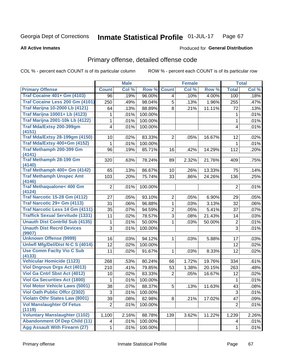#### Inmate Statistical Profile 01-JUL-17 Page 67

### **All Active Inmates**

## **Produced for General Distribution**

# Primary offense, detailed offense code

COL % - percent each COUNT is of its particular column

|                                                |                 | <b>Male</b> |         |                 | <b>Female</b> |        |                | <b>Total</b> |
|------------------------------------------------|-----------------|-------------|---------|-----------------|---------------|--------|----------------|--------------|
| <b>Primary Offense</b>                         | <b>Count</b>    | Col %       | Row %   | <b>Count</b>    | Col %         | Row %  | <b>Total</b>   | Col %        |
| <b>Traf Cocaine 401+ Gm (4103)</b>             | 96              | .19%        | 96.00%  | 4               | .10%          | 4.00%  | 100            | .18%         |
| Traf Cocaine Less 200 Gm (4101)                | 250             | .49%        | 98.04%  | 5               | .13%          | 1.96%  | 255            | .47%         |
| <b>Traf Marijna 10-2000 Lb (4121)</b>          | 64              | .13%        | 88.89%  | 8               | .21%          | 11.11% | 72             | .13%         |
| <b>Traf Marijna 10001+ Lb (4123)</b>           | 1               | .01%        | 100.00% |                 |               |        | 1              | .01%         |
| <b>Traf Marijna 2001-10k Lb (4122)</b>         | 1               | .01%        | 100.00% |                 |               |        | 1              | .01%         |
| Traf Mda/Extsy 200-399gm                       | 4               | .01%        | 100.00% |                 |               |        | 4              | .01%         |
| (4151)                                         |                 |             |         |                 |               |        |                |              |
| <b>Traf Mda/Extsy 28-199gm (4150)</b>          | 10              | .02%        | 83.33%  | $\overline{2}$  | .05%          | 16.67% | 12             | .02%         |
| Traf Mda/Extsy 400+Gm (4152)                   | 1               | .01%        | 100.00% |                 |               |        | 1              | .01%         |
| Traf Methamph 200-399 Gm<br>(4141)             | 96              | .19%        | 85.71%  | 16              | .42%          | 14.29% | 112            | .20%         |
| <b>Traf Methamph 28-199 Gm</b><br>(4140)       | 320             | .63%        | 78.24%  | 89              | 2.32%         | 21.76% | 409            | .75%         |
| Traf Methamph 400+ Gm (4142)                   | 65              | .13%        | 86.67%  | 10 <sup>1</sup> | .26%          | 13.33% | 75             | .14%         |
| <b>Traf Methamph Unspec Amt</b><br>(4146)      | 103             | .20%        | 75.74%  | 33              | .86%          | 24.26% | 136            | .25%         |
| <b>Traf Methaqualone&lt; 400 Gm</b><br>(4124)  | $\overline{2}$  | .01%        | 100.00% |                 |               |        | $\overline{2}$ | .01%         |
| <b>Traf Narcotic 15-28 Gm (4112)</b>           | 27              | .05%        | 93.10%  | $\overline{2}$  | .05%          | 6.90%  | 29             | .05%         |
| Traf Narcotic 29+ Gm (4113)                    | 31              | .06%        | 96.88%  | 1               | .03%          | 3.13%  | 32             | .06%         |
| Traf Narcotic Less 14 Gm (4111)                | 35              | .07%        | 94.59%  | $\overline{2}$  | .05%          | 5.41%  | 37             | .07%         |
| <b>Traffick Sexual Servitude (1331)</b>        | 11              | .02%        | 78.57%  | 3               | .08%          | 21.43% | 14             | .03%         |
| <b>Unauth Dist Contrild Sub (4135)</b>         | 1               | .01%        | 50.00%  | 1.              | .03%          | 50.00% | $\mathbf 2$    | .01%         |
| <b>Unauth Dist Recrd Devices</b><br>(9907)     | 3               | .01%        | 100.00% |                 |               |        | 3              | .01%         |
| <b>Unknown Offense (9999)</b>                  | 16              | .03%        | 94.12%  | 1               | .03%          | 5.88%  | 17             | .03%         |
| Uniwfl Mfg/Del/Dist N-C S (4014)               | 12              | .02%        | 100.00% |                 |               |        | 12             | .02%         |
| <b>Use Comm Facity Vio C Sub</b><br>(4133)     | 11              | .02%        | 91.67%  | 1               | .03%          | 8.33%  | 12             | .02%         |
| <b>Vehicular Homicide (1123)</b>               | 268             | .53%        | 80.24%  | 66              | 1.72%         | 19.76% | 334            | .61%         |
| <b>Viol Dngrous Drgs Act (4013)</b>            | 210             | .41%        | 79.85%  | 53              | 1.38%         | 20.15% | 263            | .48%         |
| Viol Ga Cntrl Sbst Act (4012)                  | 10              | .02%        | 83.33%  | 2               | .05%          | 16.67% | 12             | .02%         |
| <b>Viol Ga Securities Act (1800)</b>           | 1               | .01%        | 100.00% |                 |               |        | 1              | .01%         |
| <b>Viol Motor Vehicle Laws (5001)</b>          | $\overline{38}$ | .07%        | 88.37%  | 5               | .13%          | 11.63% | 43             | .08%         |
| <b>Viol Oath Public Offer (2302)</b>           | 3               | .01%        | 100.00% |                 |               |        | 3              | .01%         |
| <b>Violatn Othr States Law (8001)</b>          | 39              | .08%        | 82.98%  | 8               | .21%          | 17.02% | 47             | .09%         |
| <b>Vol Manslaughter Of Fetus</b>               | $\overline{2}$  | .01%        | 100.00% |                 |               |        | $\overline{2}$ | .01%         |
| (1119)<br><b>Voluntary Manslaughter (1102)</b> |                 |             |         |                 |               |        |                |              |
| <b>Abandonment Of Dep Child (11)</b>           | 1,100           | 2.16%       | 88.78%  | 139             | 3.62%         | 11.22% | 1,239          | 2.26%        |
|                                                | 4               | .01%        | 100.00% |                 |               |        | 4              | .01%         |
| <b>Agg Assault With Firearm (27)</b>           | 1               | .01%        | 100.00% |                 |               |        | $\mathbf{1}$   | .01%         |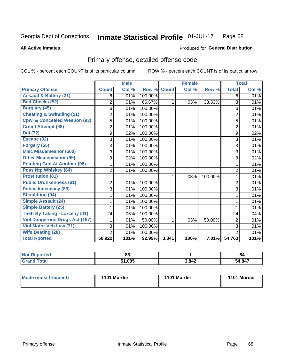#### Inmate Statistical Profile 01-JUL-17 Page 68

**All Active Inmates** 

## **Produced for General Distribution**

# Primary offense, detailed offense code

COL % - percent each COUNT is of its particular column

|                                         |                | <b>Male</b>                |         |              | <b>Female</b> |         |                | <b>Total</b> |
|-----------------------------------------|----------------|----------------------------|---------|--------------|---------------|---------|----------------|--------------|
| <b>Primary Offense</b>                  | <b>Count</b>   | $\overline{\text{Col }^9}$ | Row %   | <b>Count</b> | Col %         | Row %   | <b>Total</b>   | Col %        |
| <b>Assault &amp; Battery (21)</b>       | 6              | .01%                       | 100.00% |              |               |         | 6              | .01%         |
| <b>Bad Checks (52)</b>                  | $\overline{2}$ | .01%                       | 66.67%  | 1            | .03%          | 33.33%  | 3              | .01%         |
| <b>Burglary (45)</b>                    | 6              | .01%                       | 100.00% |              |               |         | 6              | .01%         |
| <b>Cheating &amp; Swindling (51)</b>    | $\overline{2}$ | .01%                       | 100.00% |              |               |         | $\overline{2}$ | .01%         |
| <b>Cpwl &amp; Concealed Weapon (93)</b> | 5              | .01%                       | 100.00% |              |               |         | 5              | .01%         |
| <b>Crmnl Attempt (98)</b>               | $\overline{2}$ | .01%                       | 100.00% |              |               |         | $\overline{2}$ | .01%         |
| <b>Dui</b> (72)                         | 9              | .02%                       | 100.00% |              |               |         | 9              | .02%         |
| Escape (92)                             | 3              | .01%                       | 100.00% |              |               |         | 3              | .01%         |
| Forgery (55)                            | 3              | .01%                       | 100.00% |              |               |         | 3              | .01%         |
| <b>Misc Misdemeanor (500)</b>           | 3              | .01%                       | 100.00% |              |               |         | 3              | .01%         |
| <b>Other Misdemeanor (99)</b>           | 9              | .02%                       | 100.00% |              |               |         | 9              | .02%         |
| <b>Pointing Gun At Another (96)</b>     |                | .01%                       | 100.00% |              |               |         | 1              | .01%         |
| <b>Poss Ntp Whiskey (64)</b>            | $\overline{2}$ | .01%                       | 100.00% |              |               |         | 2              | .01%         |
| <b>Prostitution (81)</b>                |                |                            |         | $\mathbf 1$  | .03%          | 100.00% | 1              | .01%         |
| <b>Public Drunkenness (61)</b>          | 2              | .01%                       | 100.00% |              |               |         | $\overline{2}$ | .01%         |
| <b>Public Indecency (83)</b>            | 3              | .01%                       | 100.00% |              |               |         | 3              | .01%         |
| <b>Shoplifting (94)</b>                 |                | .01%                       | 100.00% |              |               |         | 1              | .01%         |
| Simple Assault (24)                     |                | .01%                       | 100.00% |              |               |         | 1              | .01%         |
| <b>Simple Battery (25)</b>              |                | .01%                       | 100.00% |              |               |         | 1              | .01%         |
| <b>Theft By Taking - Larceny (41)</b>   | 24             | .05%                       | 100.00% |              |               |         | 24             | .04%         |
| <b>Viol Dangerous Drugs Act (167)</b>   |                | .01%                       | 50.00%  | 1            | .03%          | 50.00%  | $\overline{2}$ | .01%         |
| Viol Motor Veh Law (71)                 | 3              | .01%                       | 100.00% |              |               |         | 3              | .01%         |
| <b>Wife Beating (28)</b>                | $\overline{2}$ | .01%                       | 100.00% |              |               |         | $\overline{2}$ | .01%         |
| <b>Total Rported</b>                    | 50,922         | 101%                       | 92.99%  | 3,841        | 100%          | 7.01%   | 54,763         | 101%         |

| <b>Not</b><br>Reported | e e<br>o. |       | O4     |
|------------------------|-----------|-------|--------|
| <b>Tota</b>            | 51,005    | 3,842 | 54,847 |

| Mode (most frequent) | 1101 Murder | 1101 Murder | 1101 Murder |
|----------------------|-------------|-------------|-------------|
|                      |             |             |             |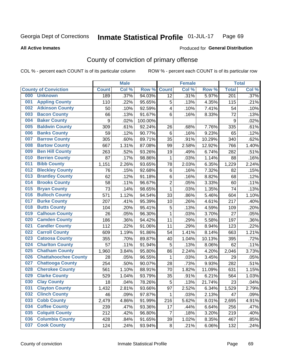#### Inmate Statistical Profile 01-JUL-17 Page 69

### **All Active Inmates**

## Produced for General Distribution

# County of conviction of primary offense

COL % - percent each COUNT is of its particular column

|     |                             |              | <b>Male</b> |         |                | <b>Female</b> |        |                  | <b>Total</b> |
|-----|-----------------------------|--------------|-------------|---------|----------------|---------------|--------|------------------|--------------|
|     | <b>County of Conviction</b> | <b>Count</b> | Col %       | Row %   | <b>Count</b>   | Col %         | Row %  | <b>Total</b>     | Col %        |
| 000 | <b>Unknown</b>              | 189          | .37%        | 94.03%  | 12             | .31%          | 5.97%  | $\overline{201}$ | .37%         |
| 001 | <b>Appling County</b>       | 110          | .22%        | 95.65%  | 5              | .13%          | 4.35%  | 115              | .21%         |
| 002 | <b>Atkinson County</b>      | 50           | .10%        | 92.59%  | 4              | .10%          | 7.41%  | 54               | .10%         |
| 003 | <b>Bacon County</b>         | 66           | .13%        | 91.67%  | 6              | .16%          | 8.33%  | 72               | .13%         |
| 004 | <b>Baker County</b>         | 9            | .02%        | 100.00% |                |               |        | $\boldsymbol{9}$ | .02%         |
| 005 | <b>Baldwin County</b>       | 309          | .61%        | 92.24%  | 26             | .68%          | 7.76%  | 335              | .61%         |
| 006 | <b>Banks County</b>         | 59           | .12%        | 90.77%  | 6              | .16%          | 9.23%  | 65               | .12%         |
| 007 | <b>Barrow County</b>        | 305          | .60%        | 89.71%  | 35             | .91%          | 10.29% | 340              | .62%         |
| 008 | <b>Bartow County</b>        | 667          | 1.31%       | 87.08%  | 99             | 2.58%         | 12.92% | 766              | 1.40%        |
| 009 | <b>Ben Hill County</b>      | 263          | .52%        | 93.26%  | 19             | .49%          | 6.74%  | 282              | .51%         |
| 010 | <b>Berrien County</b>       | 87           | .17%        | 98.86%  | 1              | .03%          | 1.14%  | 88               | .16%         |
| 011 | <b>Bibb County</b>          | 1,151        | 2.26%       | 93.65%  | 78             | 2.03%         | 6.35%  | 1,229            | 2.24%        |
| 012 | <b>Bleckley County</b>      | 76           | .15%        | 92.68%  | 6              | .16%          | 7.32%  | 82               | .15%         |
| 013 | <b>Brantley County</b>      | 62           | .12%        | 91.18%  | 6              | .16%          | 8.82%  | 68               | .12%         |
| 014 | <b>Brooks County</b>        | 58           | .11%        | 96.67%  | $\overline{c}$ | .05%          | 3.33%  | 60               | .11%         |
| 015 | <b>Bryan County</b>         | 73           | .14%        | 98.65%  | 1              | .03%          | 1.35%  | 74               | .13%         |
| 016 | <b>Bulloch County</b>       | 571          | 1.12%       | 94.54%  | 33             | .86%          | 5.46%  | 604              | 1.10%        |
| 017 | <b>Burke County</b>         | 207          | .41%        | 95.39%  | 10             | .26%          | 4.61%  | 217              | .40%         |
| 018 | <b>Butts County</b>         | 104          | .20%        | 95.41%  | 5              | .13%          | 4.59%  | 109              | .20%         |
| 019 | <b>Calhoun County</b>       | 26           | .05%        | 96.30%  | $\mathbf{1}$   | .03%          | 3.70%  | 27               | .05%         |
| 020 | <b>Camden County</b>        | 186          | .36%        | 94.42%  | 11             | .29%          | 5.58%  | 197              | .36%         |
| 021 | <b>Candler County</b>       | 112          | .22%        | 91.06%  | 11             | .29%          | 8.94%  | 123              | .22%         |
| 022 | <b>Carroll County</b>       | 609          | 1.19%       | 91.86%  | 54             | 1.41%         | 8.14%  | 663              | 1.21%        |
| 023 | <b>Catoosa County</b>       | 355          | .70%        | 89.87%  | 40             | 1.04%         | 10.13% | 395              | .72%         |
| 024 | <b>Charlton County</b>      | 57           | .11%        | 91.94%  | 5              | .13%          | 8.06%  | 62               | .11%         |
| 025 | <b>Chatham County</b>       | 1,960        | 3.84%       | 95.80%  | 86             | 2.24%         | 4.20%  | 2,046            | 3.73%        |
| 026 | <b>Chattahoochee County</b> | 28           | .05%        | 96.55%  | 1              | .03%          | 3.45%  | 29               | .05%         |
| 027 | <b>Chattooga County</b>     | 254          | .50%        | 90.07%  | 28             | .73%          | 9.93%  | 282              | .51%         |
| 028 | <b>Cherokee County</b>      | 561          | 1.10%       | 88.91%  | 70             | 1.82%         | 11.09% | 631              | 1.15%        |
| 029 | <b>Clarke County</b>        | 529          | 1.04%       | 93.79%  | 35             | .91%          | 6.21%  | 564              | 1.03%        |
| 030 | <b>Clay County</b>          | 18           | .04%        | 78.26%  | 5              | .13%          | 21.74% | 23               | .04%         |
| 031 | <b>Clayton County</b>       | 1,432        | 2.81%       | 93.66%  | 97             | 2.52%         | 6.34%  | 1,529            | 2.79%        |
| 032 | <b>Clinch County</b>        | 46           | .09%        | 97.87%  | $\mathbf{1}$   | .03%          | 2.13%  | 47               | .09%         |
| 033 | <b>Cobb County</b>          | 2,479        | 4.86%       | 91.99%  | 216            | 5.62%         | 8.01%  | 2,695            | 4.91%        |
| 034 | <b>Coffee County</b>        | 239          | .47%        | 93.36%  | 17             | .44%          | 6.64%  | 256              | .47%         |
| 035 | <b>Colquitt County</b>      | 212          | .42%        | 96.80%  | 7              | .18%          | 3.20%  | 219              | .40%         |
| 036 | <b>Columbia County</b>      | 428          | .84%        | 91.65%  | 39             | 1.02%         | 8.35%  | 467              | .85%         |
| 037 | <b>Cook County</b>          | 124          | .24%        | 93.94%  | 8              | .21%          | 6.06%  | 132              | .24%         |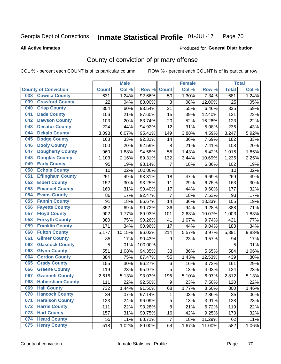#### Inmate Statistical Profile 01-JUL-17 Page 70

**All Active Inmates** 

### Produced for General Distribution

# County of conviction of primary offense

COL % - percent each COUNT is of its particular column

|                                |              | <b>Male</b> |         |                | <b>Female</b> |        |              | <b>Total</b> |
|--------------------------------|--------------|-------------|---------|----------------|---------------|--------|--------------|--------------|
| <b>County of Conviction</b>    | <b>Count</b> | Col %       | Row %   | <b>Count</b>   | Col %         | Row %  | <b>Total</b> | Col %        |
| <b>Coweta County</b><br>038    | 631          | 1.24%       | 92.66%  | 50             | 1.30%         | 7.34%  | 681          | 1.24%        |
| <b>Crawford County</b><br>039  | 22           | .04%        | 88.00%  | 3              | .08%          | 12.00% | 25           | .05%         |
| <b>Crisp County</b><br>040     | 304          | .60%        | 93.54%  | 21             | .55%          | 6.46%  | 325          | .59%         |
| <b>Dade County</b><br>041      | 106          | .21%        | 87.60%  | 15             | .39%          | 12.40% | 121          | .22%         |
| 042<br><b>Dawson County</b>    | 103          | .20%        | 83.74%  | 20             | .52%          | 16.26% | 123          | .22%         |
| <b>Decatur County</b><br>043   | 224          | .44%        | 94.92%  | 12             | .31%          | 5.08%  | 236          | .43%         |
| <b>Dekalb County</b><br>044    | 3,098        | 6.07%       | 95.41%  | 149            | 3.88%         | 4.59%  | 3,247        | 5.92%        |
| <b>Dodge County</b><br>045     | 168          | .33%        | 92.31%  | 14             | .36%          | 7.69%  | 182          | .33%         |
| <b>Dooly County</b><br>046     | 100          | .20%        | 92.59%  | 8              | .21%          | 7.41%  | 108          | .20%         |
| 047<br><b>Dougherty County</b> | 960          | 1.88%       | 94.58%  | 55             | 1.43%         | 5.42%  | 1,015        | 1.85%        |
| <b>Douglas County</b><br>048   | 1,103        | 2.16%       | 89.31%  | 132            | 3.44%         | 10.69% | 1,235        | 2.25%        |
| <b>Early County</b><br>049     | 95           | .19%        | 93.14%  | $\overline{7}$ | .18%          | 6.86%  | 102          | .19%         |
| <b>Echols County</b><br>050    | 10           | .02%        | 100.00% |                |               |        | 10           | .02%         |
| 051<br><b>Effingham County</b> | 251          | .49%        | 93.31%  | 18             | .47%          | 6.69%  | 269          | .49%         |
| 052<br><b>Elbert County</b>    | 152          | .30%        | 93.25%  | 11             | .29%          | 6.75%  | 163          | .30%         |
| <b>Emanuel County</b><br>053   | 160          | .31%        | 90.40%  | 17             | .44%          | 9.60%  | 177          | .32%         |
| 054<br><b>Evans County</b>     | 86           | .17%        | 92.47%  | $\overline{7}$ | .18%          | 7.53%  | 93           | .17%         |
| <b>Fannin County</b><br>055    | 91           | .18%        | 86.67%  | 14             | .36%          | 13.33% | 105          | .19%         |
| <b>Fayette County</b><br>056   | 352          | .69%        | 90.72%  | 36             | .94%          | 9.28%  | 388          | .71%         |
| <b>Floyd County</b><br>057     | 902          | 1.77%       | 89.93%  | 101            | 2.63%         | 10.07% | 1,003        | 1.83%        |
| <b>Forsyth County</b><br>058   | 380          | .75%        | 90.26%  | 41             | 1.07%         | 9.74%  | 421          | .77%         |
| <b>Franklin County</b><br>059  | 171          | .34%        | 90.96%  | 17             | .44%          | 9.04%  | 188          | .34%         |
| <b>Fulton County</b><br>060    | 5,177        | 10.15%      | 96.03%  | 214            | 5.57%         | 3.97%  | 5,391        | 9.83%        |
| <b>Gilmer County</b><br>061    | 85           | .17%        | 90.43%  | 9              | .23%          | 9.57%  | 94           | .17%         |
| 062<br><b>Glascock County</b>  | 5            | .01%        | 100.00% |                |               |        | 5            | .01%         |
| <b>Glynn County</b><br>063     | 551          | 1.08%       | 94.35%  | 33             | .86%          | 5.65%  | 584          | 1.06%        |
| <b>Gordon County</b><br>064    | 384          | .75%        | 87.47%  | 55             | 1.43%         | 12.53% | 439          | .80%         |
| <b>Grady County</b><br>065     | 155          | .30%        | 96.27%  | 6              | .16%          | 3.73%  | 161          | .29%         |
| <b>Greene County</b><br>066    | 119          | .23%        | 95.97%  | 5              | .13%          | 4.03%  | 124          | .23%         |
| <b>Gwinnett County</b><br>067  | 2,616        | 5.13%       | 93.03%  | 196            | 5.10%         | 6.97%  | 2,812        | 5.13%        |
| <b>Habersham County</b><br>068 | 111          | .22%        | 92.50%  | 9              | .23%          | 7.50%  | 120          | .22%         |
| 069<br><b>Hall County</b>      | 732          | 1.44%       | 91.50%  | 68             | 1.77%         | 8.50%  | 800          | 1.46%        |
| <b>Hancock County</b><br>070   | 34           | .07%        | 97.14%  | 1              | .03%          | 2.86%  | 35           | .06%         |
| <b>Haralson County</b><br>071  | 123          | .24%        | 96.09%  | 5              | .13%          | 3.91%  | 128          | .23%         |
| 072<br><b>Harris County</b>    | 111          | .22%        | 93.28%  | 8              | .21%          | 6.72%  | 119          | .22%         |
| <b>Hart County</b><br>073      | 157          | .31%        | 90.75%  | 16             | .42%          | 9.25%  | 173          | .32%         |
| <b>Heard County</b><br>074     | 55           | .11%        | 88.71%  | $\overline{7}$ | .18%          | 11.29% | 62           | .11%         |
| <b>Henry County</b><br>075     | 518          | 1.02%       | 89.00%  | 64             | 1.67%         | 11.00% | 582          | 1.06%        |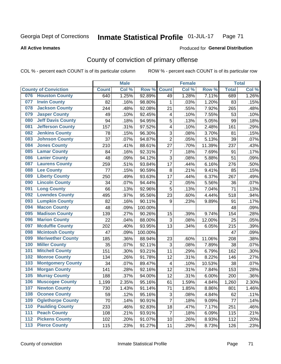#### Inmate Statistical Profile 01-JUL-17 Page 71

### **All Active Inmates**

# Produced for General Distribution

# County of conviction of primary offense

COL % - percent each COUNT is of its particular column

|                                 |              | <b>Male</b> |         |                         | <b>Female</b> |        |              | <b>Total</b> |
|---------------------------------|--------------|-------------|---------|-------------------------|---------------|--------|--------------|--------------|
| <b>County of Conviction</b>     | <b>Count</b> | Col %       | Row %   | <b>Count</b>            | Col %         | Row %  | <b>Total</b> | Col %        |
| <b>Houston County</b><br>076    | 640          | 1.25%       | 92.89%  | 49                      | 1.28%         | 7.11%  | 689          | 1.26%        |
| <b>Irwin County</b><br>077      | 82           | .16%        | 98.80%  | 1                       | .03%          | 1.20%  | 83           | .15%         |
| <b>Jackson County</b><br>078    | 244          | .48%        | 92.08%  | 21                      | .55%          | 7.92%  | 265          | .48%         |
| <b>Jasper County</b><br>079     | 49           | .10%        | 92.45%  | $\overline{\mathbf{4}}$ | .10%          | 7.55%  | 53           | .10%         |
| <b>Jeff Davis County</b><br>080 | 94           | .18%        | 94.95%  | 5                       | .13%          | 5.05%  | 99           | .18%         |
| 081<br><b>Jefferson County</b>  | 157          | .31%        | 97.52%  | 4                       | .10%          | 2.48%  | 161          | .29%         |
| <b>Jenkins County</b><br>082    | 78           | .15%        | 96.30%  | 3                       | .08%          | 3.70%  | 81           | .15%         |
| <b>Johnson County</b><br>083    | 37           | .07%        | 94.87%  | $\overline{2}$          | .05%          | 5.13%  | 39           | .07%         |
| <b>Jones County</b><br>084      | 210          | .41%        | 88.61%  | 27                      | .70%          | 11.39% | 237          | .43%         |
| <b>Lamar County</b><br>085      | 84           | .16%        | 92.31%  | $\overline{7}$          | .18%          | 7.69%  | 91           | .17%         |
| <b>Lanier County</b><br>086     | 48           | .09%        | 94.12%  | 3                       | .08%          | 5.88%  | 51           | .09%         |
| <b>Laurens County</b><br>087    | 259          | .51%        | 93.84%  | 17                      | .44%          | 6.16%  | 276          | .50%         |
| <b>Lee County</b><br>088        | 77           | .15%        | 90.59%  | 8                       | .21%          | 9.41%  | 85           | .15%         |
| <b>Liberty County</b><br>089    | 250          | .49%        | 93.63%  | 17                      | .44%          | 6.37%  | 267          | .49%         |
| <b>Lincoln County</b><br>090    | 34           | .07%        | 94.44%  | $\mathbf 2$             | .05%          | 5.56%  | 36           | .07%         |
| <b>Long County</b><br>091       | 66           | .13%        | 92.96%  | 5                       | .13%          | 7.04%  | 71           | .13%         |
| <b>Lowndes County</b><br>092    | 495          | .97%        | 95.56%  | 23                      | .60%          | 4.44%  | 518          | .94%         |
| <b>Lumpkin County</b><br>093    | 82           | .16%        | 90.11%  | 9                       | .23%          | 9.89%  | 91           | .17%         |
| <b>Macon County</b><br>094      | 48           | .09%        | 100.00% |                         |               |        | 48           | .09%         |
| <b>Madison County</b><br>095    | 139          | .27%        | 90.26%  | 15                      | .39%          | 9.74%  | 154          | .28%         |
| <b>Marion County</b><br>096     | 22           | .04%        | 88.00%  | 3                       | .08%          | 12.00% | 25           | .05%         |
| <b>Mcduffie County</b><br>097   | 202          | .40%        | 93.95%  | 13                      | .34%          | 6.05%  | 215          | .39%         |
| <b>Mcintosh County</b><br>098   | 47           | .09%        | 100.00% |                         |               |        | 47           | .09%         |
| <b>Meriwether County</b><br>099 | 185          | .36%        | 88.94%  | 23                      | .60%          | 11.06% | 208          | .38%         |
| <b>Miller County</b><br>100     | 35           | .07%        | 92.11%  | 3                       | .08%          | 7.89%  | 38           | .07%         |
| <b>Mitchell County</b><br>101   | 151          | .30%        | 93.21%  | 11                      | .29%          | 6.79%  | 162          | .30%         |
| <b>Monroe County</b><br>102     | 134          | .26%        | 91.78%  | 12                      | .31%          | 8.22%  | 146          | .27%         |
| <b>Montgomery County</b><br>103 | 34           | .07%        | 89.47%  | $\overline{\mathbf{4}}$ | .10%          | 10.53% | 38           | .07%         |
| <b>Morgan County</b><br>104     | 141          | .28%        | 92.16%  | 12                      | .31%          | 7.84%  | 153          | .28%         |
| <b>Murray County</b><br>105     | 188          | .37%        | 94.00%  | 12                      | .31%          | 6.00%  | 200          | .36%         |
| <b>Muscogee County</b><br>106   | 1,199        | 2.35%       | 95.16%  | 61                      | 1.59%         | 4.84%  | 1,260        | 2.30%        |
| 107<br><b>Newton County</b>     | 730          | 1.43%       | 91.14%  | 71                      | 1.85%         | 8.86%  | 801          | 1.46%        |
| <b>Oconee County</b><br>108     | 59           | .12%        | 95.16%  | 3                       | .08%          | 4.84%  | 62           | .11%         |
| <b>Oglethorpe County</b><br>109 | 70           | .14%        | 90.91%  | $\overline{7}$          | .18%          | 9.09%  | 77           | .14%         |
| <b>Paulding County</b><br>110   | 233          | .46%        | 92.83%  | 18                      | .47%          | 7.17%  | 251          | .46%         |
| <b>Peach County</b><br>111      | 108          | .21%        | 93.91%  | $\overline{7}$          | .18%          | 6.09%  | 115          | .21%         |
| <b>Pickens County</b><br>112    | 102          | .20%        | 91.07%  | 10                      | .26%          | 8.93%  | 112          | .20%         |
| <b>Pierce County</b><br>113     | 115          | .23%        | 91.27%  | 11                      | .29%          | 8.73%  | 126          | .23%         |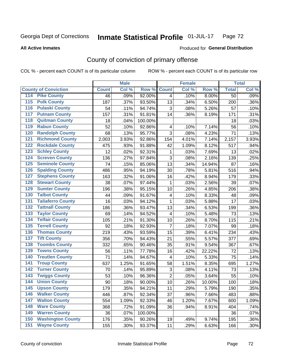#### Inmate Statistical Profile 01-JUL-17 Page 72

**All Active Inmates** 

### Produced for General Distribution

# County of conviction of primary offense

COL % - percent each COUNT is of its particular column

|                                          |              | <b>Male</b> |         |                         | <b>Female</b> |        |                 | <b>Total</b> |
|------------------------------------------|--------------|-------------|---------|-------------------------|---------------|--------|-----------------|--------------|
| <b>County of Conviction</b>              | <b>Count</b> | Col %       | Row %   | <b>Count</b>            | Col %         | Row %  | <b>Total</b>    | Col %        |
| <b>Pike County</b><br>114                | 46           | .09%        | 92.00%  | $\overline{4}$          | .10%          | 8.00%  | $\overline{50}$ | .09%         |
| <b>Polk County</b><br>$\overline{115}$   | 187          | .37%        | 93.50%  | 13                      | .34%          | 6.50%  | 200             | .36%         |
| <b>Pulaski County</b><br>116             | 54           | .11%        | 94.74%  | 3                       | .08%          | 5.26%  | 57              | .10%         |
| <b>Putnam County</b><br>117              | 157          | .31%        | 91.81%  | 14                      | .36%          | 8.19%  | 171             | .31%         |
| <b>Quitman County</b><br>118             | 18           | .04%        | 100.00% |                         |               |        | 18              | .03%         |
| <b>Rabun County</b><br>119               | 52           | .10%        | 92.86%  | 4                       | .10%          | 7.14%  | 56              | .10%         |
| <b>Randolph County</b><br>120            | 68           | .13%        | 95.77%  | 3                       | .08%          | 4.23%  | 71              | .13%         |
| <b>Richmond County</b><br>121            | 2,003        | 3.93%       | 92.86%  | 154                     | 4.01%         | 7.14%  | 2,157           | 3.93%        |
| <b>Rockdale County</b><br>122            | 475          | .93%        | 91.88%  | 42                      | 1.09%         | 8.12%  | 517             | .94%         |
| <b>Schley County</b><br>123              | 12           | .02%        | 92.31%  | 1                       | .03%          | 7.69%  | 13              | .02%         |
| <b>Screven County</b><br>124             | 136          | .27%        | 97.84%  | 3                       | .08%          | 2.16%  | 139             | .25%         |
| <b>Seminole County</b><br>125            | 74           | .15%        | 85.06%  | 13                      | .34%          | 14.94% | 87              | .16%         |
| <b>Spalding County</b><br>126            | 486          | .95%        | 94.19%  | 30                      | .78%          | 5.81%  | 516             | .94%         |
| <b>Stephens County</b><br>127            | 163          | .32%        | 91.06%  | 16                      | .42%          | 8.94%  | 179             | .33%         |
| <b>Stewart County</b><br>128             | 38           | .07%        | 97.44%  | 1                       | .03%          | 2.56%  | 39              | .07%         |
| <b>Sumter County</b><br>129              | 196          | .38%        | 95.15%  | 10                      | .26%          | 4.85%  | 206             | .38%         |
| <b>Talbot County</b><br>130              | 44           | .09%        | 91.67%  | $\overline{\mathbf{4}}$ | .10%          | 8.33%  | 48              | .09%         |
| <b>Taliaferro County</b><br>131          | 16           | .03%        | 94.12%  | 1                       | .03%          | 5.88%  | 17              | .03%         |
| <b>Tattnall County</b><br>132            | 186          | .36%        | 93.47%  | 13                      | .34%          | 6.53%  | 199             | .36%         |
| <b>Taylor County</b><br>133              | 69           | .14%        | 94.52%  | 4                       | .10%          | 5.48%  | 73              | .13%         |
| <b>Telfair County</b><br>134             | 105          | .21%        | 91.30%  | 10                      | .26%          | 8.70%  | 115             | .21%         |
| <b>Terrell County</b><br>135             | 92           | .18%        | 92.93%  | $\overline{7}$          | .18%          | 7.07%  | 99              | .18%         |
| <b>Thomas County</b><br>136              | 219          | .43%        | 93.59%  | 15                      | .39%          | 6.41%  | 234             | .43%         |
| <b>Tift County</b><br>137                | 356          | .70%        | 94.43%  | 21                      | .55%          | 5.57%  | 377             | .69%         |
| <b>Toombs County</b><br>138              | 332          | .65%        | 90.46%  | 35                      | .91%          | 9.54%  | 367             | .67%         |
| <b>Towns County</b><br>139               | 56           | .11%        | 77.78%  | 16                      | .42%          | 22.22% | 72              | .13%         |
| <b>Treutlen County</b><br>140            | 71           | .14%        | 94.67%  | 4                       | .10%          | 5.33%  | 75              | .14%         |
| <b>Troup County</b><br>141               | 637          | 1.25%       | 91.65%  | 58                      | 1.51%         | 8.35%  | 695             | 1.27%        |
| <b>Turner County</b><br>142              | 70           | .14%        | 95.89%  | 3                       | .08%          | 4.11%  | 73              | .13%         |
| <b>Twiggs County</b><br>$\overline{143}$ | 53           | .10%        | 96.36%  | $\overline{2}$          | .05%          | 3.64%  | 55              | .10%         |
| <b>Union County</b><br>144               | 90           | .18%        | 90.00%  | 10                      | .26%          | 10.00% | 100             | .18%         |
| 145<br><b>Upson County</b>               | 179          | .35%        | 94.21%  | 11                      | .29%          | 5.79%  | 190             | .35%         |
| <b>Walker County</b><br>146              | 446          | .87%        | 92.34%  | 37                      | .96%          | 7.66%  | 483             | .88%         |
| <b>Walton County</b><br>147              | 554          | 1.09%       | 92.33%  | 46                      | 1.20%         | 7.67%  | 600             | 1.09%        |
| <b>Ware County</b><br>148                | 368          | .72%        | 91.09%  | 36                      | .94%          | 8.91%  | 404             | .74%         |
| <b>Warren County</b><br>149              | 36           | .07%        | 100.00% |                         |               |        | 36              | .07%         |
| <b>Washington County</b><br>150          | 176          | .35%        | 90.26%  | 19                      | .49%          | 9.74%  | 195             | .36%         |
| <b>Wayne County</b><br>151               | 155          | .30%        | 93.37%  | 11                      | .29%          | 6.63%  | 166             | .30%         |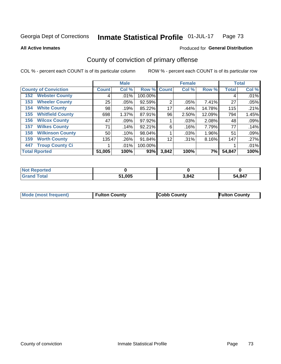#### Inmate Statistical Profile 01-JUL-17 Page 73

### **All Active Inmates**

# Produced for General Distribution

# County of conviction of primary offense

COL % - percent each COUNT is of its particular column

|                                |              | <b>Male</b> |         |                | <b>Female</b> |        |              | <b>Total</b> |
|--------------------------------|--------------|-------------|---------|----------------|---------------|--------|--------------|--------------|
| <b>County of Conviction</b>    | <b>Count</b> | Col %       |         | Row % Count    | Col %         | Row %  | <b>Total</b> | Col %        |
| <b>Webster County</b><br>152   | 4            | $.01\%$     | 100.00% |                |               |        | 4            | .01%         |
| <b>Wheeler County</b><br>153   | 25           | $.05\%$     | 92.59%  | $\overline{2}$ | .05%          | 7.41%  | 27           | .05%         |
| <b>White County</b><br>154     | 98           | .19%        | 85.22%  | 17             | .44%          | 14.78% | 115          | .21%         |
| <b>Whitfield County</b><br>155 | 698          | 1.37%       | 87.91%  | 96             | 2.50%         | 12.09% | 794          | 1.45%        |
| <b>Wilcox County</b><br>156    | 47           | .09%        | 97.92%  |                | .03%          | 2.08%  | 48           | .09%         |
| <b>Wilkes County</b><br>157    | 71           | .14%        | 92.21%  | 6              | .16%          | 7.79%  | 77           | .14%         |
| <b>Wilkinson County</b><br>158 | 50           | $.10\%$     | 98.04%  |                | .03%          | 1.96%  | 51           | .09%         |
| <b>Worth County</b><br>159     | 135          | .26%        | 91.84%  | 12             | .31%          | 8.16%  | 147          | .27%         |
| <b>Troup County Ci</b><br>447  |              | $.01\%$     | 100.00% |                |               |        |              | .01%         |
| <b>Total Rported</b>           | 51,005       | 100%        | 93%     | 3,842          | 100%          | 7%     | 54,847       | 100%         |

| <b>Not Reported</b> |        |       |        |
|---------------------|--------|-------|--------|
| <b>Grand Total</b>  | 51,005 | 3,842 | 54,847 |

|  | <b>Mode (most frequent)</b> | <b>Fulton County</b> | <b>Cobb County</b> | <b>Fulton County</b> |
|--|-----------------------------|----------------------|--------------------|----------------------|
|--|-----------------------------|----------------------|--------------------|----------------------|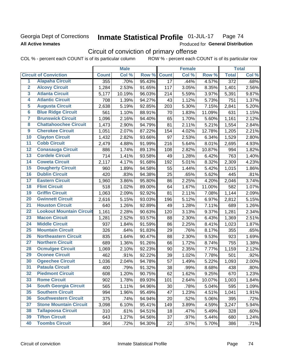## Georgia Dept of Corrections **All Active Inmates**

#### Inmate Statistical Profile 01-JUL-17 Page 74

Produced for General Distribution

# Circuit of conviction of primary offense

COL % - percent each COUNT is of its particular column ROW % - percent each COUNT is of its particular row

|                         |                                 |              | <b>Male</b> |        |                 | <b>Female</b> |        |                    | <b>Total</b> |
|-------------------------|---------------------------------|--------------|-------------|--------|-----------------|---------------|--------|--------------------|--------------|
|                         | <b>Circuit of Conviction</b>    | <b>Count</b> | Col %       | Row %  | <b>Count</b>    | Col %         | Row %  | <b>Total</b>       | Col%         |
| 1                       | <b>Alapaha Circuit</b>          | 355          | .70%        | 95.43% | $\overline{17}$ | .44%          | 4.57%  | $\overline{372}$   | .68%         |
| $\overline{2}$          | <b>Alcovy Circuit</b>           | 1,284        | 2.53%       | 91.65% | 117             | 3.05%         | 8.35%  | 1,401              | 2.56%        |
| $\overline{\mathbf{3}}$ | <b>Atlanta Circuit</b>          | 5,177        | 10.19%      | 96.03% | 214             | 5.59%         | 3.97%  | 5,391              | 9.87%        |
| 4                       | <b>Atlantic Circuit</b>         | 708          | 1.39%       | 94.27% | 43              | 1.12%         | 5.73%  | 751                | 1.37%        |
| 5                       | <b>Augusta Circuit</b>          | 2,638        | 5.19%       | 92.85% | 203             | 5.30%         | 7.15%  | 2,841              | 5.20%        |
| $\overline{\mathbf{6}}$ | <b>Blue Ridge Circuit</b>       | 561          | 1.10%       | 88.91% | 70              | 1.83%         | 11.09% | 631                | 1.15%        |
| $\overline{\mathbf{7}}$ | <b>Brunswick Circuit</b>        | 1,096        | 2.16%       | 94.40% | 65              | 1.70%         | 5.60%  | 1,161              | 2.12%        |
| 8                       | <b>Chattahoochee Circuit</b>    | 1,473        | 2.90%       | 94.79% | 81              | 2.11%         | 5.21%  | 1,554              | 2.84%        |
| $\overline{9}$          | <b>Cherokee Circuit</b>         | 1,051        | 2.07%       | 87.22% | 154             | 4.02%         | 12.78% | 1,205              | 2.21%        |
| 10                      | <b>Clayton Circuit</b>          | 1,432        | 2.82%       | 93.66% | 97              | 2.53%         | 6.34%  | 1,529              | 2.80%        |
| $\overline{11}$         | <b>Cobb Circuit</b>             | 2,479        | 4.88%       | 91.99% | 216             | 5.64%         | 8.01%  | 2,695              | 4.93%        |
| 12                      | <b>Conasauga Circuit</b>        | 886          | 1.74%       | 89.13% | 108             | 2.82%         | 10.87% | 994                | 1.82%        |
| $\overline{13}$         | <b>Cordele Circuit</b>          | 714          | 1.41%       | 93.58% | 49              | 1.28%         | 6.42%  | 763                | 1.40%        |
| $\overline{14}$         | <b>Coweta Circuit</b>           | 2,117        | 4.17%       | 91.68% | 192             | 5.01%         | 8.32%  | 2,309              | 4.23%        |
| 15                      | <b>Dougherty Circuit</b>        | 960          | 1.89%       | 94.58% | 55              | 1.44%         | 5.42%  | 1,015              | 1.86%        |
| 16                      | <b>Dublin Circuit</b>           | 420          | .83%        | 94.38% | 25              | .65%          | 5.62%  | 445                | .81%         |
| $\overline{17}$         | <b>Eastern Circuit</b>          | 1,960        | 3.86%       | 95.80% | 86              | 2.25%         | 4.20%  | $\overline{2,046}$ | 3.74%        |
| 18                      | <b>Flint Circuit</b>            | 518          | 1.02%       | 89.00% | 64              | 1.67%         | 11.00% | 582                | 1.07%        |
| 19                      | <b>Griffin Circuit</b>          | 1,063        | 2.09%       | 92.92% | 81              | 2.11%         | 7.08%  | 1,144              | 2.09%        |
| 20                      | <b>Gwinnett Circuit</b>         | 2,616        | 5.15%       | 93.03% | 196             | 5.12%         | 6.97%  | 2,812              | 5.15%        |
| $\overline{21}$         | <b>Houston Circuit</b>          | 640          | 1.26%       | 92.89% | 49              | 1.28%         | 7.11%  | 689                | 1.26%        |
| $\overline{22}$         | <b>Lookout Mountain Circuit</b> | 1,161        | 2.28%       | 90.63% | 120             | 3.13%         | 9.37%  | 1,281              | 2.34%        |
| 23                      | <b>Macon Circuit</b>            | 1,281        | 2.52%       | 93.57% | 88              | 2.30%         | 6.43%  | 1,369              | 2.51%        |
| 24                      | <b>Middle Circuit</b>           | 937          | 1.84%       | 91.59% | 86              | 2.25%         | 8.41%  | 1,023              | 1.87%        |
| $\overline{25}$         | <b>Mountain Circuit</b>         | 326          | .64%        | 91.83% | 29              | .76%          | 8.17%  | 355                | .65%         |
| 26                      | <b>Northeastern Circuit</b>     | 835          | 1.64%       | 90.47% | 88              | 2.30%         | 9.53%  | 923                | 1.69%        |
| 27                      | <b>Northern Circuit</b>         | 689          | 1.36%       | 91.26% | 66              | 1.72%         | 8.74%  | 755                | 1.38%        |
| 28                      | <b>Ocmulgee Circuit</b>         | 1,069        | 2.10%       | 92.23% | 90              | 2.35%         | 7.77%  | 1,159              | 2.12%        |
| 29                      | <b>Oconee Circuit</b>           | 462          | .91%        | 92.22% | 39              | 1.02%         | 7.78%  | 501                | .92%         |
| 30                      | <b>Ogeechee Circuit</b>         | 1,036        | 2.04%       | 94.78% | 57              | 1.49%         | 5.22%  | 1,093              | 2.00%        |
| $\overline{31}$         | <b>Pataula Circuit</b>          | 400          | .79%        | 91.32% | 38              | .99%          | 8.68%  | 438                | .80%         |
| 32                      | <b>Piedmont Circuit</b>         | 608          | 1.20%       | 90.75% | 62              | 1.62%         | 9.25%  | 670                | 1.23%        |
| 33                      | <b>Rome Circuit</b>             | 902          | 1.78%       | 89.93% | 101             | 2.64%         | 10.07% | 1,003              | 1.84%        |
| 34                      | <b>South Georgia Circuit</b>    | 565          | 1.11%       | 94.96% | 30              | .78%          | 5.04%  | 595                | 1.09%        |
| 35                      | <b>Southern Circuit</b>         | 994          | 1.96%       | 95.49% | 47              | 1.23%         | 4.51%  | 1,041              | 1.91%        |
| 36                      | <b>Southwestern Circuit</b>     | 375          | .74%        | 94.94% | 20              | .52%          | 5.06%  | 395                | .72%         |
| 37                      | <b>Stone Mountain Circuit</b>   | 3,098        | 6.10%       | 95.41% | 149             | 3.89%         | 4.59%  | 3,247              | 5.94%        |
| 38                      | <b>Tallapoosa Circuit</b>       | 310          | .61%        | 94.51% | 18              | .47%          | 5.49%  | 328                | .60%         |
| 39                      | <b>Tifton Circuit</b>           | 643          | 1.27%       | 94.56% | 37              | .97%          | 5.44%  | 680                | 1.24%        |
| 40                      | <b>Toombs Circuit</b>           | 364          | .72%        | 94.30% | 22              | .57%          | 5.70%  | 386                | .71%         |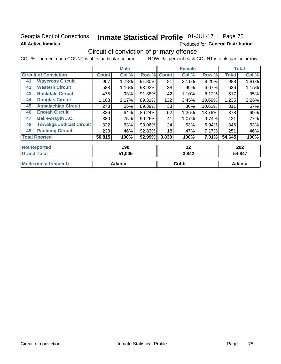## Georgia Dept of Corrections **All Active Inmates**

#### Inmate Statistical Profile 01-JUL-17 Page 75

Produced for General Distribution

# Circuit of conviction of primary offense

COL % - percent each COUNT is of its particular column ROW % - percent each COUNT is of its particular row

|    |                                  |              | <b>Male</b> |        |              | <b>Female</b> |        |              | <b>Total</b> |
|----|----------------------------------|--------------|-------------|--------|--------------|---------------|--------|--------------|--------------|
|    | <b>Circuit of Conviction</b>     | <b>Count</b> | Col %       | Row %  | <b>Count</b> | Col %         | Row %  | <b>Total</b> | Col %        |
| 41 | <b>Waycross Circuit</b>          | 907          | 1.78%       | 91.80% | 81           | 2.11%         | 8.20%  | 988          | 1.81%        |
| 42 | <b>Western Circuit</b>           | 588          | 1.16%       | 93.93% | 38           | .99%          | 6.07%  | 626          | 1.15%        |
| 43 | <b>Rockdale Circuit</b>          | 475          | .93%        | 91.88% | 42           | 1.10%         | 8.12%  | 517          | .95%         |
| 44 | <b>Douglas Circuit</b>           | 1,103        | 2.17%       | 89.31% | 132          | 3.45%         | 10.69% | 1,235        | 2.26%        |
| 45 | <b>Appalachian Circuit</b>       | 278          | .55%        | 89.39% | 33           | .86%          | 10.61% | 311          | .57%         |
| 46 | <b>Enotah Circuit</b>            | 326          | .64%        | 86.24% | 52           | 1.36%         | 13.76% | 378          | .69%         |
| 47 | <b>Bell-Forsyth J.C.</b>         | 380          | .75%        | 90.26% | 41           | 1.07%         | 9.74%  | 421          | .77%         |
| 48 | <b>Towaliga Judicial Circuit</b> | 322          | .63%        | 93.06% | 24           | .63%          | 6.94%  | 346          | .63%         |
| 49 | <b>Paulding Circuit</b>          | 233          | .46%        | 92.83% | 18           | .47%          | 7.17%  | 251          | .46%         |
|    | <b>Total Rported</b>             | 50,815       | 100%        | 92.99% | 3,830        | 100%          | 7.01%  | 54,645       | 100%         |
|    | <b>Not Reported</b>              |              | 190         |        |              | 12            |        |              | 202          |

| <b>Grand</b><br><b>Total</b> | 51,005  | 3,842 | 54,847         |
|------------------------------|---------|-------|----------------|
| Mode (most frequent)         | Atlanta | Cobb  | <b>Atlanta</b> |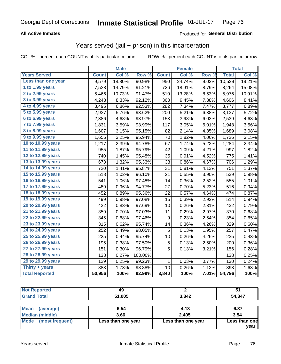### **All Active Inmates**

### Produced for **General Distribution**

## Years served (jail + prison) in this incarceration

|                        |              | <b>Male</b> |         |              | <b>Female</b> |                  |              | <b>Total</b> |
|------------------------|--------------|-------------|---------|--------------|---------------|------------------|--------------|--------------|
| <b>Years Served</b>    | <b>Count</b> | Col %       | Row %   | <b>Count</b> | Col %         | Row <sub>%</sub> | <b>Total</b> | Col%         |
| Less than one year     | 9,579        | 18.80%      | 90.98%  | 950          | 24.74%        | 9.02%            | 10,529       | 19.21%       |
| 1 to 1.99 years        | 7,538        | 14.79%      | 91.21%  | 726          | 18.91%        | 8.79%            | 8,264        | 15.08%       |
| 2 to 2.99 years        | 5,466        | 10.73%      | 91.47%  | 510          | 13.28%        | 8.53%            | 5,976        | 10.91%       |
| 3 to 3.99 years        | 4,243        | 8.33%       | 92.12%  | 363          | 9.45%         | 7.88%            | 4,606        | 8.41%        |
| 4 to 4.99 years        | 3,495        | 6.86%       | 92.53%  | 282          | 7.34%         | 7.47%            | 3,777        | 6.89%        |
| 5 to 5.99 years        | 2,937        | 5.76%       | 93.62%  | 200          | 5.21%         | 6.38%            | 3,137        | 5.72%        |
| 6 to 6.99 years        | 2,386        | 4.68%       | 93.97%  | 153          | 3.98%         | 6.03%            | 2,539        | 4.63%        |
| 7 to 7.99 years        | 1,831        | 3.59%       | 93.99%  | 117          | 3.05%         | 6.01%            | 1,948        | 3.56%        |
| <b>8 to 8.99 years</b> | 1,607        | 3.15%       | 95.15%  | 82           | 2.14%         | 4.85%            | 1,689        | 3.08%        |
| 9 to 9.99 years        | 1,656        | 3.25%       | 95.94%  | 70           | 1.82%         | 4.06%            | 1,726        | 3.15%        |
| 10 to 10.99 years      | 1,217        | 2.39%       | 94.78%  | 67           | 1.74%         | 5.22%            | 1,284        | 2.34%        |
| 11 to 11.99 years      | 955          | 1.87%       | 95.79%  | 42           | 1.09%         | 4.21%            | 997          | 1.82%        |
| 12 to 12.99 years      | 740          | 1.45%       | 95.48%  | 35           | 0.91%         | 4.52%            | 775          | 1.41%        |
| 13 to 13.99 years      | 673          | 1.32%       | 95.33%  | 33           | 0.86%         | 4.67%            | 706          | 1.29%        |
| 14 to 14.99 years      | 720          | 1.41%       | 95.87%  | 31           | 0.81%         | 4.13%            | 751          | 1.37%        |
| 15 to 15.99 years      | 518          | 1.02%       | 96.10%  | 21           | 0.55%         | 3.90%            | 539          | 0.98%        |
| 16 to 16.99 years      | 541          | 1.06%       | 97.48%  | 14           | 0.36%         | 2.52%            | 555          | 1.01%        |
| 17 to 17.99 years      | 489          | 0.96%       | 94.77%  | 27           | 0.70%         | 5.23%            | 516          | 0.94%        |
| 18 to 18.99 years      | 452          | 0.89%       | 95.36%  | 22           | 0.57%         | 4.64%            | 474          | 0.87%        |
| 19 to 19.99 years      | 499          | 0.98%       | 97.08%  | 15           | 0.39%         | 2.92%            | 514          | 0.94%        |
| 20 to 20.99 years      | 422          | 0.83%       | 97.69%  | 10           | 0.26%         | 2.31%            | 432          | 0.79%        |
| 21 to 21.99 years      | 359          | 0.70%       | 97.03%  | 11           | 0.29%         | 2.97%            | 370          | 0.68%        |
| 22 to 22.99 years      | 345          | 0.68%       | 97.46%  | 9            | 0.23%         | 2.54%            | 354          | 0.65%        |
| 23 to 23.99 years      | 315          | 0.62%       | 95.74%  | 14           | 0.36%         | 4.26%            | 329          | 0.60%        |
| 24 to 24.99 years      | 252          | 0.49%       | 98.05%  | 5            | 0.13%         | 1.95%            | 257          | 0.47%        |
| 25 to 25.99 years      | 225          | 0.44%       | 95.74%  | 10           | 0.26%         | 4.26%            | 235          | 0.43%        |
| 26 to 26.99 years      | 195          | 0.38%       | 97.50%  | $\sqrt{5}$   | 0.13%         | 2.50%            | 200          | 0.36%        |
| 27 to 27.99 years      | 151          | 0.30%       | 96.79%  | 5            | 0.13%         | 3.21%            | 156          | 0.28%        |
| 28 to 28.99 years      | 138          | 0.27%       | 100.00% |              |               |                  | 138          | 0.25%        |
| 29 to 29.99 years      | 129          | 0.25%       | 99.23%  | $\mathbf{1}$ | 0.03%         | 0.77%            | 130          | 0.24%        |
| Thirty + years         | 883          | 1.73%       | 98.88%  | 10           | 0.26%         | 1.12%            | 893          | 1.63%        |
| <b>Total Reported</b>  | 50,956       | 100%        | 92.99%  | 3,840        | 100%          | 7.01%            | 54,796       | 100%         |

| тео | лυ<br>∼ |       | יש     |
|-----|---------|-------|--------|
|     | 51,005  | 3,842 | 54,847 |

| Mean<br>(average)       | 6.54               | 4.13               | 6.37          |
|-------------------------|--------------------|--------------------|---------------|
| Median (middle)         | 3.66               | 2.405              | 3.54          |
| Mode<br>(most frequent) | Less than one year | Less than one year | Less than one |
|                         |                    |                    | vear          |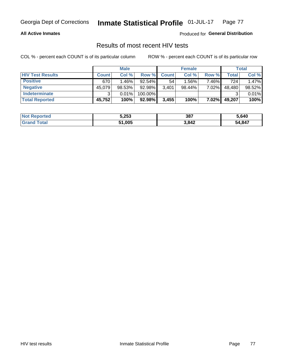### **All Active Inmates**

Produced for **General Distribution**

## Results of most recent HIV tests

|                         | <b>Male</b>  |          |           | <b>Female</b> |          |       | Total  |        |
|-------------------------|--------------|----------|-----------|---------------|----------|-------|--------|--------|
| <b>HIV Test Results</b> | <b>Count</b> | Col %    | Row %I    | <b>Count</b>  | Col %    | Row % | Total  | Col %  |
| <b>Positive</b>         | 670          | $1.46\%$ | $92.54\%$ | 54            | $1.56\%$ | 7.46% | 724    | 1.47%  |
| <b>Negative</b>         | 45,079       | 98.53%   | 92.98%    | 3,401         | 98.44%   | 7.02% | 48,480 | 98.52% |
| Indeterminate           | ີ            | 0.01%    | 100.00%   |               |          |       |        | 0.01%  |
| <b>Total Reported</b>   | 45,752       | 100%     | 92.98%    | 3,455         | 100%     | 7.02% | 49,207 | 100%   |

| <b>Not Reported</b> | 5,253  | 387   | 5,640  |
|---------------------|--------|-------|--------|
| Total               | 51,005 | 3,842 | 54,847 |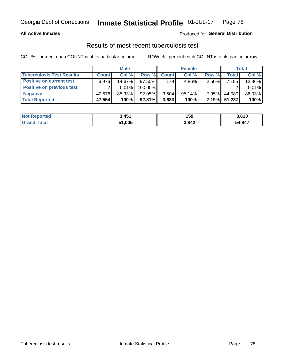### **All Active Inmates**

### Produced for **General Distribution**

### Results of most recent tuberculosis test

|                                  | <b>Male</b>  |          |           | <b>Female</b> |           |          | Total        |        |
|----------------------------------|--------------|----------|-----------|---------------|-----------|----------|--------------|--------|
| <b>Tuberculosis Test Results</b> | <b>Count</b> | Col%     | Row %     | <b>Count</b>  | Col %     | Row %    | <b>Total</b> | Col %  |
| <b>Positive on current test</b>  | 6.976        | 14.67%   | $97.50\%$ | 179           | $4.86\%$  | 2.50%    | 7,155        | 13.96% |
| <b>Positive on previous test</b> | ົ            | $0.01\%$ | 100.00%   |               |           |          |              | 0.01%  |
| <b>Negative</b>                  | 40.576       | 85.33%   | 92.05%    | 3,504         | $95.14\%$ | $7.95\%$ | 44.080       | 86.03% |
| <b>Total Reported</b>            | 47,554       | 100%     | $92.81\%$ | 3,683         | 100%      | $7.19\%$ | 51,237       | 100%   |

| <b>Not Reported</b>   | 3,451  | 159   | 3,610  |
|-----------------------|--------|-------|--------|
| Total<br><b>Grand</b> | 51,005 | 3,842 | 54,847 |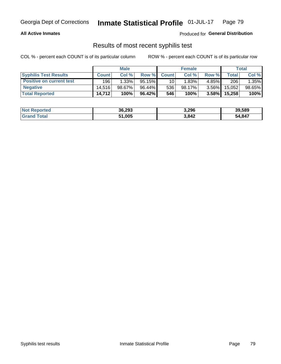### **All Active Inmates**

Produced for **General Distribution**

## Results of most recent syphilis test

|                                 | <b>Male</b>  |          |        | <b>Female</b> |        |          | Total   |        |
|---------------------------------|--------------|----------|--------|---------------|--------|----------|---------|--------|
| <b>Syphilis Test Results</b>    | <b>Count</b> | Col%     | Row %I | <b>Count</b>  | Col %  | Row %    | Total I | Col %  |
| <b>Positive on current test</b> | 196          | $1.33\%$ | 95.15% | 10            | 1.83%  | 4.85%I   | 206     | 1.35%  |
| <b>Negative</b>                 | 14.516       | 98.67%   | 96.44% | 536           | 98.17% | $3.56\%$ | 15,052  | 98.65% |
| <b>Total Reported</b>           | 14,712       | 100%     | 96.42% | 546           | 100%   | 3.58%    | 15,258  | 100%   |

| <b>Not Reported</b> | 36,293 | 3,296 | 39,589 |
|---------------------|--------|-------|--------|
| <b>Grand Total</b>  | 51,005 | 3,842 | 54,847 |